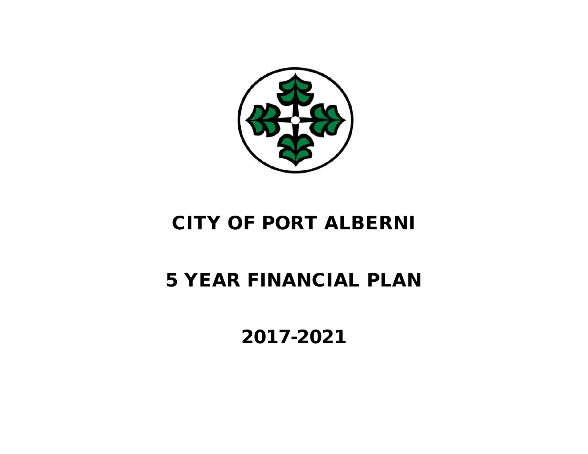

# CITY OF PORT ALBERNI

# 5 YEAR FINANCIAL PLAN

2017-2021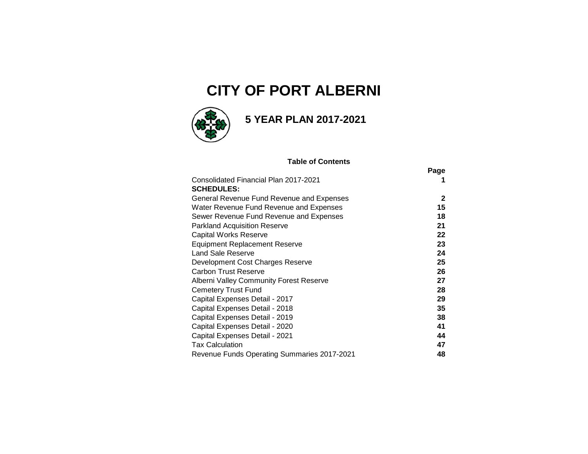# **CITY OF PORT ALBERNI**



## **5 YEAR PLAN 2017-2021**

#### **Table of Contents**

|                                             | Page         |
|---------------------------------------------|--------------|
| Consolidated Financial Plan 2017-2021       |              |
| <b>SCHEDULES:</b>                           |              |
| General Revenue Fund Revenue and Expenses   | $\mathbf{2}$ |
| Water Revenue Fund Revenue and Expenses     | 15           |
| Sewer Revenue Fund Revenue and Expenses     | 18           |
| <b>Parkland Acquisition Reserve</b>         | 21           |
| <b>Capital Works Reserve</b>                | 22           |
| Equipment Replacement Reserve               | 23           |
| Land Sale Reserve                           | 24           |
| Development Cost Charges Reserve            | 25           |
| <b>Carbon Trust Reserve</b>                 | 26           |
| Alberni Valley Community Forest Reserve     | 27           |
| <b>Cemetery Trust Fund</b>                  | 28           |
| Capital Expenses Detail - 2017              | 29           |
| Capital Expenses Detail - 2018              | 35           |
| Capital Expenses Detail - 2019              | 38           |
| Capital Expenses Detail - 2020              | 41           |
| Capital Expenses Detail - 2021              | 44           |
| <b>Tax Calculation</b>                      | 47           |
| Revenue Funds Operating Summaries 2017-2021 | 48           |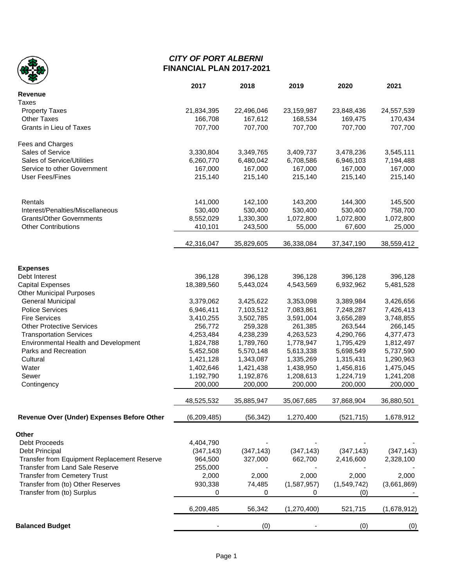

### *CITY OF PORT ALBERNI* **FINANCIAL PLAN 2017-2021**

|                                                                        | 2017                   | 2018                   | 2019                   | 2020                   | 2021                   |
|------------------------------------------------------------------------|------------------------|------------------------|------------------------|------------------------|------------------------|
| <b>Revenue</b>                                                         |                        |                        |                        |                        |                        |
| <b>Taxes</b>                                                           |                        |                        |                        |                        |                        |
| <b>Property Taxes</b>                                                  | 21,834,395             | 22,496,046             | 23,159,987             | 23,848,436             | 24,557,539             |
| <b>Other Taxes</b>                                                     | 166,708                | 167,612                | 168,534                | 169,475                | 170,434                |
| Grants in Lieu of Taxes                                                | 707,700                | 707,700                | 707,700                | 707,700                | 707,700                |
| Fees and Charges                                                       |                        |                        |                        |                        |                        |
| Sales of Service                                                       | 3,330,804              | 3,349,765              | 3,409,737              | 3,478,236              | 3,545,111              |
| Sales of Service/Utilities                                             | 6,260,770              | 6,480,042              | 6,708,586              | 6,946,103              | 7,194,488              |
| Service to other Government                                            | 167,000                | 167,000                | 167,000                | 167,000                | 167,000                |
| <b>User Fees/Fines</b>                                                 | 215,140                | 215,140                | 215,140                | 215,140                | 215,140                |
|                                                                        |                        |                        |                        |                        |                        |
| Rentals                                                                | 141,000                | 142,100                | 143,200                | 144,300                | 145,500                |
| Interest/Penalties/Miscellaneous                                       | 530,400                | 530,400                | 530,400                | 530,400                | 758,700                |
| <b>Grants/Other Governments</b>                                        | 8,552,029              | 1,330,300              | 1,072,800              | 1,072,800              | 1,072,800              |
| <b>Other Contributions</b>                                             | 410,101                | 243,500                | 55,000                 | 67,600                 | 25,000                 |
|                                                                        | 42,316,047             | 35,829,605             | 36,338,084             | 37,347,190             | 38,559,412             |
|                                                                        |                        |                        |                        |                        |                        |
| <b>Expenses</b>                                                        |                        |                        | 396,128                |                        |                        |
| Debt Interest                                                          | 396,128                | 396,128                |                        | 396,128                | 396,128                |
| <b>Capital Expenses</b>                                                | 18,389,560             | 5,443,024              | 4,543,569              | 6,932,962              | 5,481,528              |
| <b>Other Municipal Purposes</b>                                        |                        |                        |                        |                        |                        |
| <b>General Municipal</b><br><b>Police Services</b>                     | 3,379,062<br>6,946,411 | 3,425,622<br>7,103,512 | 3,353,098<br>7,083,861 | 3,389,984<br>7,248,287 | 3,426,656<br>7,426,413 |
| <b>Fire Services</b>                                                   | 3,410,255              | 3,502,785              |                        | 3,656,289              |                        |
| <b>Other Protective Services</b>                                       | 256,772                | 259,328                | 3,591,004<br>261,385   | 263,544                | 3,748,855<br>266,145   |
|                                                                        | 4,253,484              |                        | 4,263,523              | 4,290,766              | 4,377,473              |
| <b>Transportation Services</b><br>Environmental Health and Development |                        | 4,238,239              | 1,778,947              | 1,795,429              | 1,812,497              |
| Parks and Recreation                                                   | 1,824,788<br>5,452,508 | 1,789,760<br>5,570,148 | 5,613,338              | 5,698,549              |                        |
| Cultural                                                               | 1,421,128              | 1,343,087              | 1,335,269              | 1,315,431              | 5,737,590<br>1,290,963 |
| Water                                                                  | 1,402,646              | 1,421,438              | 1,438,950              | 1,456,816              | 1,475,045              |
| Sewer                                                                  | 1,192,790              | 1,192,876              | 1,208,613              | 1,224,719              | 1,241,208              |
| Contingency                                                            | 200,000                | 200,000                | 200,000                | 200,000                | 200,000                |
|                                                                        |                        |                        |                        |                        |                        |
|                                                                        | 48,525,532             | 35,885,947             | 35,067,685             | 37,868,904             | 36,880,501             |
| Revenue Over (Under) Expenses Before Other                             | (6, 209, 485)          | (56, 342)              | 1,270,400              | (521, 715)             | 1,678,912              |
| Other                                                                  |                        |                        |                        |                        |                        |
| Debt Proceeds                                                          | 4,404,790              |                        |                        |                        |                        |
| Debt Principal                                                         | (347, 143)             | (347, 143)             | (347, 143)             | (347, 143)             | (347, 143)             |
| Transfer from Equipment Replacement Reserve                            | 964,500                | 327,000                | 662,700                | 2,416,600              | 2,328,100              |
| Transfer from Land Sale Reserve                                        | 255,000                |                        |                        |                        |                        |
| <b>Transfer from Cemetery Trust</b>                                    | 2,000                  | 2,000                  | 2,000                  | 2,000                  | 2,000                  |
| Transfer from (to) Other Reserves                                      | 930,338                | 74,485                 | (1,587,957)            | (1,549,742)            | (3,661,869)            |
| Transfer from (to) Surplus                                             | 0                      | 0                      | 0                      | (0)                    |                        |
|                                                                        | 6,209,485              | 56,342                 | (1,270,400)            | 521,715                | (1,678,912)            |
| <b>Balanced Budget</b>                                                 |                        | (0)                    |                        | (0)                    | (0)                    |
|                                                                        |                        |                        |                        |                        |                        |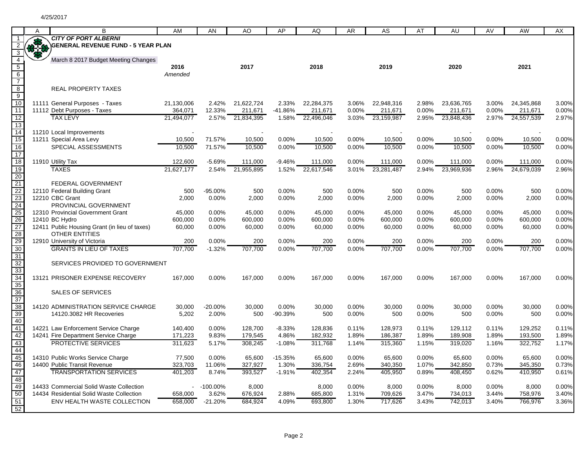|                                                       | А   | B                                                                      | AM         | AN          | AO               | AP        | AQ         | AR    | AS         | AT       | AU         | AV       | AW         | AX    |
|-------------------------------------------------------|-----|------------------------------------------------------------------------|------------|-------------|------------------|-----------|------------|-------|------------|----------|------------|----------|------------|-------|
|                                                       |     | <b>CITY OF PORT ALBERNI</b>                                            |            |             |                  |           |            |       |            |          |            |          |            |       |
| $\overline{2}$                                        | 378 | <b>GENERAL REVENUE FUND - 5 YEAR PLAN</b>                              |            |             |                  |           |            |       |            |          |            |          |            |       |
| $\overline{3}$                                        |     |                                                                        |            |             |                  |           |            |       |            |          |            |          |            |       |
| $\overline{4}$                                        |     | March 8 2017 Budget Meeting Changes                                    |            |             |                  |           |            |       |            |          |            |          |            |       |
| $\overline{5}$                                        |     |                                                                        | 2016       |             | 2017             |           | 2018       |       | 2019       |          | 2020       |          | 2021       |       |
| $\frac{6}{7}$                                         |     |                                                                        | Amended    |             |                  |           |            |       |            |          |            |          |            |       |
| $\bf 8$                                               |     | <b>REAL PROPERTY TAXES</b>                                             |            |             |                  |           |            |       |            |          |            |          |            |       |
| $\overline{9}$                                        |     |                                                                        |            |             |                  |           |            |       |            |          |            |          |            |       |
| $\overline{10}$                                       |     | 11111 General Purposes - Taxes                                         | 21,130,006 | 2.42%       | 21,622,724       | 2.33%     | 22,284,375 | 3.06% | 22,948,316 | 2.98%    | 23,636,765 | 3.00%    | 24,345,868 | 3.00% |
| $\overline{11}$                                       |     | 11112 Debt Purposes - Taxes                                            | 364,071    | 12.33%      | 211,671          | $-41.86%$ | 211,671    | 0.00% | 211,671    | $0.00\%$ | 211,671    | $0.00\%$ | 211,671    | 0.00% |
| $\overline{12}$                                       |     | <b>TAX LEVY</b>                                                        | 21,494,077 |             | 2.57% 21,834,395 | 1.58%     | 22,496,046 | 3.03% | 23,159,987 | 2.95%    | 23,848,436 | 2.97%    | 24,557,539 | 2.97% |
| $\overline{13}$                                       |     |                                                                        |            |             |                  |           |            |       |            |          |            |          |            |       |
| $\overline{14}$                                       |     | 11210 Local Improvements                                               |            |             |                  |           |            |       |            |          |            |          |            |       |
| $\overline{15}$                                       |     | 11211 Special Area Levy                                                | 10,500     | 71.57%      | 10,500           | 0.00%     | 10,500     | 0.00% | 10,500     | 0.00%    | 10,500     | 0.00%    | 10,500     | 0.00% |
| $\overline{16}$                                       |     | SPECIAL ASSESSMENTS                                                    | 10.500     | 71.57%      | 10.500           | 0.00%     | 10.500     | 0.00% | 10.500     | 0.00%    | 10.500     | 0.00%    | 10.500     | 0.00% |
| $\overline{17}$<br>18                                 |     | 11910 Utility Tax                                                      | 122,600    | $-5.69%$    | 111,000          | $-9.46%$  | 111,000    | 0.00% | 111,000    | 0.00%    | 111,000    | 0.00%    | 111,000    | 0.00% |
| 19                                                    |     | <b>TAXES</b>                                                           | 21,627,177 | 2.54%       | 21,955,895       | 1.52%     | 22,617,546 | 3.01% | 23,281,487 | 2.94%    | 23,969,936 | 2.96%    | 24,679,039 | 2.96% |
| $\overline{20}$                                       |     |                                                                        |            |             |                  |           |            |       |            |          |            |          |            |       |
|                                                       |     | FEDERAL GOVERNMENT                                                     |            |             |                  |           |            |       |            |          |            |          |            |       |
| 21<br>22<br>23                                        |     | 12110 Federal Building Grant                                           | 500        | -95.00%     | 500              | 0.00%     | 500        | 0.00% | 500        | 0.00%    | 500        | 0.00%    | 500        | 0.00% |
|                                                       |     | 12210 CBC Grant                                                        | 2,000      | 0.00%       | 2,000            | 0.00%     | 2,000      | 0.00% | 2,000      | 0.00%    | 2,000      | 0.00%    | 2,000      | 0.00% |
| 24                                                    |     | PROVINCIAL GOVERNMENT                                                  |            |             |                  |           |            |       |            |          |            |          |            |       |
|                                                       |     | 12310 Provincial Government Grant                                      | 45,000     | 0.00%       | 45,000           | 0.00%     | 45,000     | 0.00% | 45,000     | 0.00%    | 45,000     | 0.00%    | 45,000     | 0.00% |
|                                                       |     | 12410 BC Hydro                                                         | 600,000    | 0.00%       | 600,000          | 0.00%     | 600,000    | 0.00% | 600,000    | 0.00%    | 600,000    | 0.00%    | 600,000    | 0.00% |
|                                                       |     | 12411 Public Housing Grant (in lieu of taxes)<br><b>OTHER ENTITIES</b> | 60,000     | 0.00%       | 60,000           | 0.00%     | 60,000     | 0.00% | 60,000     | 0.00%    | 60,000     | 0.00%    | 60,000     | 0.00% |
| $\frac{25}{26}$<br>$\frac{27}{28}$<br>$\frac{28}{30}$ |     | 12910 University of Victoria                                           | 200        | 0.00%       | 200              | 0.00%     | 200        | 0.00% | 200        | 0.00%    | 200        | 0.00%    | 200        | 0.00% |
|                                                       |     | <b>GRANTS IN LIEU OF TAXES</b>                                         | 707,700    | $-1.32%$    | 707,700          | 0.00%     | 707,700    | 0.00% | 707,700    | 0.00%    | 707,700    | 0.00%    | 707,700    | 0.00% |
| 31                                                    |     |                                                                        |            |             |                  |           |            |       |            |          |            |          |            |       |
| 32                                                    |     | SERVICES PROVIDED TO GOVERNMENT                                        |            |             |                  |           |            |       |            |          |            |          |            |       |
| 33<br>34<br>35                                        |     |                                                                        |            |             |                  |           |            |       |            |          |            |          |            |       |
|                                                       |     | 13121 PRISONER EXPENSE RECOVERY                                        | 167,000    | 0.00%       | 167,000          | 0.00%     | 167,000    | 0.00% | 167,000    | 0.00%    | 167,000    | 0.00%    | 167,000    | 0.00% |
|                                                       |     |                                                                        |            |             |                  |           |            |       |            |          |            |          |            |       |
| 36                                                    |     | SALES OF SERVICES                                                      |            |             |                  |           |            |       |            |          |            |          |            |       |
| 37<br>38                                              |     | 14120 ADMINISTRATION SERVICE CHARGE                                    | 30,000     | $-20.00\%$  | 30,000           | 0.00%     | 30,000     | 0.00% | 30,000     | 0.00%    | 30,000     | 0.00%    | 30,000     | 0.00% |
| 39                                                    |     | 14120.3082 HR Recoveries                                               | 5,202      | 2.00%       | 500              | $-90.39%$ | 500        | 0.00% | 500        | 0.00%    | 500        | 0.00%    | 500        | 0.00% |
| 40                                                    |     |                                                                        |            |             |                  |           |            |       |            |          |            |          |            |       |
| 41<br>42                                              |     | 14221 Law Enforcement Service Charge                                   | 140,400    | 0.00%       | 128,700          | $-8.33%$  | 128,836    | 0.11% | 128,973    | 0.11%    | 129,112    | 0.11%    | 129,252    | 0.11% |
|                                                       |     | 14241 Fire Department Service Charge                                   | 171,223    | 9.83%       | 179,545          | 4.86%     | 182,932    | 1.89% | 186,387    | 1.89%    | 189,908    | 1.89%    | 193,500    | 1.89% |
| 43                                                    |     | <b>PROTECTIVE SERVICES</b>                                             | 311,623    | 5.17%       | 308,245          | $-1.08%$  | 311,768    | 1.14% | 315,360    | 1.15%    | 319,020    | 1.16%    | 322,752    | 1.17% |
| 44                                                    |     | 14310 Public Works Service Charge                                      | 77,500     | 0.00%       | 65,600           | $-15.35%$ | 65,600     | 0.00% | 65,600     | 0.00%    | 65,600     | 0.00%    | 65,600     | 0.00% |
| 45<br>46                                              |     | 14400 Public Transit Revenue                                           | 323,703    | 11.06%      | 327,927          | 1.30%     | 336,754    | 2.69% | 340,350    | 1.07%    | 342,850    | 0.73%    | 345,350    | 0.73% |
| 47                                                    |     | <b>TRANSPORTATION SERVICES</b>                                         | 401,203    | 8.74%       | 393,527          | $-1.91%$  | 402,354    | 2.24% | 405,950    | 0.89%    | 408,450    | 0.62%    | 410,950    | 0.61% |
| 48                                                    |     |                                                                        |            |             |                  |           |            |       |            |          |            |          |            |       |
| $\frac{1}{49}$                                        |     | 14433 Commercial Solid Waste Collection                                |            | $-100.00\%$ | 8,000            |           | 8,000      | 0.00% | 8,000      | 0.00%    | 8,000      | 0.00%    | 8,000      | 0.00% |
| 50                                                    |     | 14434 Residential Solid Waste Collection                               | 658,000    | 3.62%       | 676,924          | 2.88%     | 685,800    | 1.31% | 709,626    | 3.47%    | 734,013    | 3.44%    | 758,976    | 3.40% |
| 51                                                    |     | ENV HEALTH WASTE COLLECTION                                            | 658,000    | $-21.20%$   | 684.924          | 4.09%     | 693,800    | 1.30% | 717,626    | 3.43%    | 742.013    | 3.40%    | 766,976    | 3.36% |
| $\overline{52}$                                       |     |                                                                        |            |             |                  |           |            |       |            |          |            |          |            |       |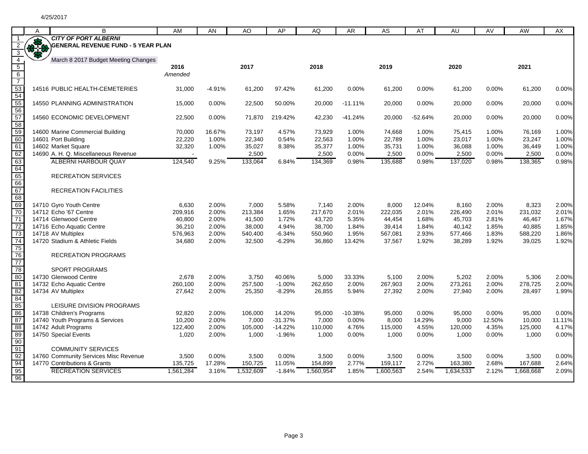|                               | A          | B                                               | AM                | AN             | AO               | AP                   | AQ                | AR              | A <sub>S</sub>    | AT             | AU                | AV             | AW                | AX             |
|-------------------------------|------------|-------------------------------------------------|-------------------|----------------|------------------|----------------------|-------------------|-----------------|-------------------|----------------|-------------------|----------------|-------------------|----------------|
| -1                            |            | <b>CITY OF PORT ALBERNI</b>                     |                   |                |                  |                      |                   |                 |                   |                |                   |                |                   |                |
| 2                             | <b>BAR</b> | <b>GENERAL REVENUE FUND - 5 YEAR PLAN</b>       |                   |                |                  |                      |                   |                 |                   |                |                   |                |                   |                |
| $\frac{3}{4}$                 |            | March 8 2017 Budget Meeting Changes             |                   |                |                  |                      |                   |                 |                   |                |                   |                |                   |                |
|                               |            |                                                 | 2016              |                | 2017             |                      | 2018              |                 | 2019              |                | 2020              |                | 2021              |                |
|                               |            |                                                 | Amended           |                |                  |                      |                   |                 |                   |                |                   |                |                   |                |
|                               |            |                                                 |                   |                |                  |                      |                   |                 |                   |                |                   |                |                   |                |
|                               |            | 14516 PUBLIC HEALTH-CEMETERIES                  | 31,000            | $-4.91%$       | 61,200           | 97.42%               | 61,200            | 0.00%           | 61,200            | 0.00%          | 61,200            | 0.00%          | 61,200            | 0.00%          |
| 5 6 7 53 54 55 56 57 58 59 60 |            | 14550 PLANNING ADMINISTRATION                   | 15,000            | $0.00\%$       | 22,500           | 50.00%               | 20,000            | $-11.11%$       | 20,000            | 0.00%          | 20,000            | $0.00\%$       | 20,000            | 0.00%          |
|                               |            | 14560 ECONOMIC DEVELOPMENT                      | 22,500            | $0.00\%$       | 71,870           | 219.42%              | 42,230            | $-41.24%$       | 20,000            | $-52.64%$      | 20,000            | $0.00\%$       | 20,000            | 0.00%          |
|                               |            |                                                 |                   |                |                  |                      |                   |                 |                   |                |                   |                |                   |                |
|                               |            | 14600 Marine Commercial Building                | 70,000            | 16.67%         | 73,197           | 4.57%                | 73,929            | 1.00%           | 74,668            | 1.00%          | 75,415            | 1.00%          | 76,169            | 1.00%          |
|                               |            | 14601 Port Building                             | 22,220            | 1.00%          | 22,340           | 0.54%                | 22,563            | 1.00%           | 22,789            | 1.00%          | 23,017            | 1.00%          | 23,247            | 1.00%          |
| 61                            |            | 14602 Market Square                             | 32,320            | 1.00%          | 35,027           | 8.38%                | 35,377            | 1.00%           | 35,731            | 1.00%          | 36,088            | 1.00%          | 36,449            | 1.00%          |
| 62                            |            | 14690 A. H. Q. Miscellaneous Revenue            |                   |                | 2,500            |                      | 2,500             | 0.00%           | 2,500             | 0.00%          | 2,500             | 0.00%          | 2,500             | 0.00%          |
| 63                            |            | <b>ALBERNI HARBOUR QUAY</b>                     | 124,540           | 9.25%          | 133,064          | 6.84%                | 134,369           | 0.98%           | 135,688           | 0.98%          | 137,020           | 0.98%          | 138,365           | 0.98%          |
| 64                            |            |                                                 |                   |                |                  |                      |                   |                 |                   |                |                   |                |                   |                |
| 65                            |            | <b>RECREATION SERVICES</b>                      |                   |                |                  |                      |                   |                 |                   |                |                   |                |                   |                |
| 66                            |            |                                                 |                   |                |                  |                      |                   |                 |                   |                |                   |                |                   |                |
| 67                            |            | <b>RECREATION FACILITIES</b>                    |                   |                |                  |                      |                   |                 |                   |                |                   |                |                   |                |
| 68                            |            |                                                 |                   |                |                  |                      |                   |                 |                   |                |                   |                |                   |                |
| 69                            |            | 14710 Gyro Youth Centre                         | 6,630             | 2.00%          | 7,000            | 5.58%                | 7,140             | 2.00%           | 8,000             | 12.04%         | 8,160             | 2.00%          | 8,323             | 2.00%          |
| 70                            |            | 14712 Echo '67 Centre                           | 209,916           | 2.00%          | 213,384          | 1.65%                | 217,670           | 2.01%           | 222,035           | 2.01%          | 226,490           | 2.01%          | 231,032           | 2.01%          |
| $\overline{71}$               |            | 14714 Glenwood Centre                           | 40,800            | 2.00%          | 41,500           | 1.72%                | 43,720            | 5.35%           | 44,454            | 1.68%          | 45,703            | 2.81%          | 46,467            | 1.67%          |
|                               |            | 14716 Echo Aquatic Centre                       | 36,210            | 2.00%          | 38,000           | 4.94%                | 38,700            | 1.84%           | 39,414            | 1.84%          | 40,142            | 1.85%          | 40,885            | 1.85%          |
| 73                            |            | 14718 AV Multiplex                              | 576.963           | 2.00%          | 540,400          | $-6.34%$             | 550,960           | 1.95%           | 567.081           | 2.93%          | 577,466           | 1.83%          | 588,220           | 1.86%          |
| 74                            |            | 14720 Stadium & Athletic Fields                 | 34,680            | 2.00%          | 32,500           | $-6.29%$             | 36,860            | 13.42%          | 37,567            | 1.92%          | 38,289            | 1.92%          | 39,025            | 1.92%          |
| 75<br>76                      |            | <b>RECREATION PROGRAMS</b>                      |                   |                |                  |                      |                   |                 |                   |                |                   |                |                   |                |
| 77                            |            |                                                 |                   |                |                  |                      |                   |                 |                   |                |                   |                |                   |                |
| 78                            |            | <b>SPORT PROGRAMS</b>                           |                   |                |                  |                      |                   |                 |                   |                |                   |                |                   |                |
| 80                            |            | 14730 Glenwood Centre                           | 2,678             | 2.00%          | 3,750<br>257,500 | 40.06%               | 5,000             | 33.33%<br>2.00% | 5,100             | 2.00%          | 5,202             | 2.00%          | 5,306             | 2.00%<br>2.00% |
| 81<br>82                      |            | 14732 Echo Aquatic Centre<br>14734 AV Multiplex | 260,100<br>27,642 | 2.00%<br>2.00% | 25,350           | $-1.00%$<br>$-8.29%$ | 262,650<br>26,855 | 5.94%           | 267,903<br>27,392 | 2.00%<br>2.00% | 273,261<br>27,940 | 2.00%<br>2.00% | 278,725<br>28.497 | 1.99%          |
| 84                            |            |                                                 |                   |                |                  |                      |                   |                 |                   |                |                   |                |                   |                |
| 85                            |            | LEISURE DIVISION PROGRAMS                       |                   |                |                  |                      |                   |                 |                   |                |                   |                |                   |                |
| 86                            |            | 14738 Children's Programs                       | 92,820            | 2.00%          | 106,000          | 14.20%               | 95,000            | $-10.38%$       | 95,000            | 0.00%          | 95,000            | $0.00\%$       | 95,000            | 0.00%          |
| 87                            |            | 14740 Youth Programs & Services                 | 10,200            | 2.00%          | 7,000            | $-31.37%$            | 7,000             | 0.00%           | 8,000             | 14.29%         | 9,000             | 12.50%         | 10,000            | 11.11%         |
| 88                            |            | 14742 Adult Programs                            | 122,400           | 2.00%          | 105,000          | $-14.22%$            | 110,000           | 4.76%           | 115,000           | 4.55%          | 120,000           | 4.35%          | 125,000           | 4.17%          |
| 89                            |            | 14750 Special Events                            | 1,020             | 2.00%          | 1,000            | $-1.96%$             | 1,000             | 0.00%           | 1,000             | 0.00%          | 1,000             | 0.00%          | 1,000             | 0.00%          |
| 90                            |            |                                                 |                   |                |                  |                      |                   |                 |                   |                |                   |                |                   |                |
| 91                            |            | <b>COMMUNITY SERVICES</b>                       |                   |                |                  |                      |                   |                 |                   |                |                   |                |                   |                |
| 92                            |            | 14760 Community Services Misc Revenue           | 3,500             | $0.00\%$       | 3,500            | 0.00%                | 3,500             | 0.00%           | 3,500             | 0.00%          | 3,500             | 0.00%          | 3,500             | 0.00%          |
| 94                            |            | 14770 Contributions & Grants                    | 135,725           | 17.28%         | 150,725          | 11.05%               | 154,899           | 2.77%           | 159,117           | 2.72%          | 163,380           | 2.68%          | 167,688           | 2.64%          |
| 95                            |            | <b>RECREATION SERVICES</b>                      | 1,561,284         | 3.16%          | 1.532.609        | $-1.84%$             | 1,560,954         | 1.85%           | 1,600,563         | 2.54%          | 1.634.533         | 2.12%          | 1,668,668         | 2.09%          |
| 96                            |            |                                                 |                   |                |                  |                      |                   |                 |                   |                |                   |                |                   |                |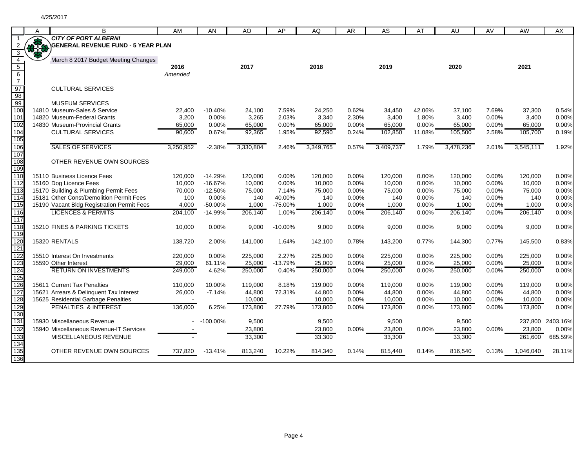|                  | Α | B                                                             | AM              | AN             | AO              | AP             | AQ              | AR             | AS        | AT     | AU              | AV    | AW              | <b>AX</b>        |
|------------------|---|---------------------------------------------------------------|-----------------|----------------|-----------------|----------------|-----------------|----------------|-----------|--------|-----------------|-------|-----------------|------------------|
|                  |   | <b>CITY OF PORT ALBERNI</b>                                   |                 |                |                 |                |                 |                |           |        |                 |       |                 |                  |
| $\overline{2}$   |   | CITY OF PORT ALBERNI<br>SENERAL REVENUE FUND - 5 YEAR PLAN    |                 |                |                 |                |                 |                |           |        |                 |       |                 |                  |
| $\overline{3}$   |   |                                                               |                 |                |                 |                |                 |                |           |        |                 |       |                 |                  |
| $\overline{4}$   |   | March 8 2017 Budget Meeting Changes                           |                 |                |                 |                |                 |                |           |        |                 |       |                 |                  |
| $5\overline{)}$  |   |                                                               | 2016            |                | 2017            |                | 2018            |                | 2019      |        | 2020            |       | 2021            |                  |
| $6\overline{6}$  |   |                                                               | Amended         |                |                 |                |                 |                |           |        |                 |       |                 |                  |
| $\overline{7}$   |   |                                                               |                 |                |                 |                |                 |                |           |        |                 |       |                 |                  |
| 97               |   | <b>CULTURAL SERVICES</b>                                      |                 |                |                 |                |                 |                |           |        |                 |       |                 |                  |
| 98               |   |                                                               |                 |                |                 |                |                 |                |           |        |                 |       |                 |                  |
| 99               |   | <b>MUSEUM SERVICES</b>                                        |                 |                |                 |                |                 |                |           |        |                 |       |                 |                  |
| 100              |   | 14810 Museum-Sales & Service                                  | 22,400          | $-10.40%$      | 24,100          | 7.59%          | 24,250          | 0.62%          | 34,450    | 42.06% | 37,100          | 7.69% | 37,300          | 0.54%            |
| 101<br>102       |   | 14820 Museum-Federal Grants<br>14830 Museum-Provincial Grants | 3,200<br>65,000 | 0.00%<br>0.00% | 3,265<br>65,000 | 2.03%<br>0.00% | 3,340<br>65,000 | 2.30%<br>0.00% | 3,400     | 1.80%  | 3,400<br>65,000 | 0.00% | 3,400<br>65,000 | 0.00%<br>0.00%   |
|                  |   |                                                               |                 |                |                 |                |                 |                | 65,000    | 0.00%  |                 | 0.00% |                 |                  |
| 104<br>105       |   | <b>CULTURAL SERVICES</b>                                      | 90,600          | 0.67%          | 92,365          | 1.95%          | 92,590          | 0.24%          | 102,850   | 11.08% | 105,500         | 2.58% | 105,700         | 0.19%            |
| 106              |   | <b>SALES OF SERVICES</b>                                      | 3,250,952       | $-2.38%$       | 3,330,804       | 2.46%          | 3,349,765       | 0.57%          | 3,409,737 |        | 3,478,236       |       | 3,545,111       | 1.92%            |
| 107              |   |                                                               |                 |                |                 |                |                 |                |           | 1.79%  |                 | 2.01% |                 |                  |
| 108              |   | OTHER REVENUE OWN SOURCES                                     |                 |                |                 |                |                 |                |           |        |                 |       |                 |                  |
| 109              |   |                                                               |                 |                |                 |                |                 |                |           |        |                 |       |                 |                  |
| 110              |   | 15110 Business Licence Fees                                   | 120,000         | $-14.29%$      | 120,000         | 0.00%          | 120,000         | 0.00%          | 120,000   | 0.00%  | 120,000         | 0.00% | 120,000         | 0.00%            |
| 112              |   | 15160 Dog Licence Fees                                        | 10,000          | $-16.67%$      | 10,000          | 0.00%          | 10,000          | 0.00%          | 10,000    | 0.00%  | 10,000          | 0.00% | 10,000          | 0.00%            |
| 113              |   | 15170 Building & Plumbing Permit Fees                         | 70,000          | $-12.50%$      | 75,000          | 7.14%          | 75,000          | 0.00%          | 75,000    | 0.00%  | 75,000          | 0.00% | 75,000          | 0.00%            |
| 11 <sup>2</sup>  |   | 15181 Other Const/Demolition Permit Fees                      | 100             | 0.00%          | 140             | 40.00%         | 140             | 0.00%          | 140       | 0.00%  | 140             | 0.00% | 140             | 0.00%            |
| 115              |   | 15190 Vacant Bldg Registration Permit Fees                    | 4,000           | -50.00%        | 1,000           | -75.00%        | 1,000           | 0.00%          | 1,000     | 0.00%  | 1,000           | 0.00% | 1,000           | 0.00%            |
| 116              |   | <b>LICENCES &amp; PERMITS</b>                                 | 204,100         | $-14.99%$      | 206,140         | 1.00%          | 206,140         | 0.00%          | 206,140   | 0.00%  | 206,140         | 0.00% | 206,140         | 0.00%            |
| $\overline{117}$ |   |                                                               |                 |                |                 |                |                 |                |           |        |                 |       |                 |                  |
| 118              |   | 15210 FINES & PARKING TICKETS                                 | 10,000          | $0.00\%$       | 9,000           | $-10.00\%$     | 9,000           | 0.00%          | 9,000     | 0.00%  | 9,000           | 0.00% | 9,000           | 0.00%            |
| 119              |   |                                                               |                 |                |                 |                |                 |                |           |        |                 |       |                 |                  |
| 120              |   | 15320 RENTALS                                                 | 138,720         | 2.00%          | 141,000         | 1.64%          | 142,100         | 0.78%          | 143,200   | 0.77%  | 144,300         | 0.77% | 145,500         | 0.83%            |
| 121              |   |                                                               |                 |                |                 |                |                 |                |           |        |                 |       |                 |                  |
| 122              |   | 15510 Interest On Investments                                 | 220,000         | 0.00%          | 225,000         | 2.27%          | 225,000         | 0.00%          | 225,000   | 0.00%  | 225,000         | 0.00% | 225,000         | 0.00%            |
| 123              |   | 15590 Other Interest                                          | 29,000          | 61.11%         | 25,000          | $-13.79%$      | 25,000          | 0.00%          | 25,000    | 0.00%  | 25,000          | 0.00% | 25,000          | 0.00%            |
| 124              |   | <b>RETURN ON INVESTMENTS</b>                                  | 249,000         | 4.62%          | 250,000         | 0.40%          | 250,000         | 0.00%          | 250,000   | 0.00%  | 250,000         | 0.00% | 250,000         | 0.00%            |
| 125              |   |                                                               |                 |                |                 |                |                 |                |           |        |                 |       |                 |                  |
| 126              |   | 15611 Current Tax Penalties                                   | 110,000         | 10.00%         | 119,000         | 8.18%          | 119,000         | 0.00%          | 119,000   | 0.00%  | 119,000         | 0.00% | 119,000         | 0.00%            |
| 127              |   | 15621 Arrears & Delinquent Tax Interest                       | 26,000          | $-7.14%$       | 44,800          | 72.31%         | 44,800          | 0.00%          | 44,800    | 0.00%  | 44,800          | 0.00% | 44,800          | 0.00%            |
| 128              |   | 15625 Residential Garbage Penalties                           |                 |                | 10,000          |                | 10,000          | 0.00%          | 10,000    | 0.00%  | 10,000          | 0.00% | 10,000          | 0.00%            |
| 129              |   | <b>PENALTIES &amp; INTEREST</b>                               | 136,000         | 6.25%          | 173,800         | 27.79%         | 173,800         | 0.00%          | 173,800   | 0.00%  | 173,800         | 0.00% | 173,800         | 0.00%            |
| 130              |   |                                                               |                 |                |                 |                |                 |                |           |        |                 |       |                 |                  |
| 131              |   | 15930 Miscellaneous Revenue                                   |                 | $-100.00\%$    | 9,500           |                | 9,500           |                | 9,500     |        | 9,500           |       |                 | 237,800 2403.16% |
| 132              |   | 15940 Miscellaneous Revenue-IT Services                       |                 |                | 23,800          |                | 23,800          | 0.00%          | 23,800    | 0.00%  | 23,800          | 0.00% | 23,800          | 0.00%            |
| 133              |   | MISCELLANEOUS REVENUE                                         |                 |                | 33,300          |                | 33,300          |                | 33,300    |        | 33,300          |       | 261,600         | 685.59%          |
| 134              |   |                                                               |                 |                |                 |                |                 |                |           |        |                 |       |                 |                  |
| 135              |   | OTHER REVENUE OWN SOURCES                                     | 737,820         | $-13.41%$      | 813,240         | 10.22%         | 814,340         | 0.14%          | 815,440   | 0.14%  | 816,540         | 0.13% | 1,046,040       | 28.11%           |
| 136              |   |                                                               |                 |                |                 |                |                 |                |           |        |                 |       |                 |                  |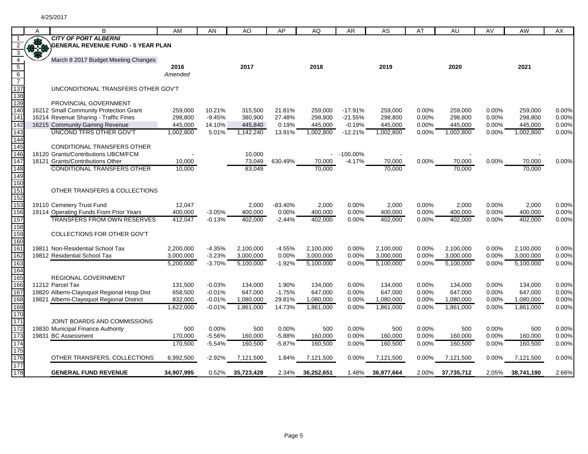|                                       | A   | В                                                                       | AM                 | AN                 | AO                 | AP              | AQ                 | AR                    | AS                 | AT             | AU                 | AV             | AW                 | AX             |
|---------------------------------------|-----|-------------------------------------------------------------------------|--------------------|--------------------|--------------------|-----------------|--------------------|-----------------------|--------------------|----------------|--------------------|----------------|--------------------|----------------|
|                                       |     | <b>CITY OF PORT ALBERNI</b>                                             |                    |                    |                    |                 |                    |                       |                    |                |                    |                |                    |                |
| $\overline{2}$                        | *** | <b>GENERAL REVENUE FUND - 5 YEAR PLAN</b>                               |                    |                    |                    |                 |                    |                       |                    |                |                    |                |                    |                |
| $\overline{\mathbf{3}}$               |     |                                                                         |                    |                    |                    |                 |                    |                       |                    |                |                    |                |                    |                |
| $\overline{4}$                        |     | March 8 2017 Budget Meeting Changes                                     |                    |                    |                    |                 |                    |                       |                    |                |                    |                |                    |                |
| $\begin{array}{c} 5 \\ 6 \end{array}$ |     |                                                                         | 2016               |                    | 2017               |                 | 2018               |                       | 2019               |                | 2020               |                | 2021               |                |
|                                       |     |                                                                         | Amended            |                    |                    |                 |                    |                       |                    |                |                    |                |                    |                |
| $\overline{7}$                        |     |                                                                         |                    |                    |                    |                 |                    |                       |                    |                |                    |                |                    |                |
| 137                                   |     | UNCONDITIONAL TRANSFERS OTHER GOV'T                                     |                    |                    |                    |                 |                    |                       |                    |                |                    |                |                    |                |
| 138                                   |     |                                                                         |                    |                    |                    |                 |                    |                       |                    |                |                    |                |                    |                |
| 139                                   |     | PROVINCIAL GOVERNMENT                                                   |                    |                    |                    |                 |                    |                       |                    |                |                    |                |                    |                |
| 140<br>141                            |     | 16212 Small Community Protection Grant                                  | 259,000            | 10.21%             | 315,500            | 21.81%          | 259,000            | $-17.91%$             | 259,000            | 0.00%          | 259.000            | 0.00%          | 259,000            | 0.00%          |
| 142                                   |     | 16214 Revenue Sharing - Traffic Fines<br>16215 Community Gaming Revenue | 298,800<br>445,000 | $-9.45%$<br>14.10% | 380,900<br>445,840 | 27.48%<br>0.19% | 298,800<br>445,000 | $-21.55%$<br>$-0.19%$ | 298,800<br>445.000 | 0.00%<br>0.00% | 298,800<br>445.000 | 0.00%<br>0.00% | 298,800<br>445,000 | 0.00%<br>0.00% |
| 143                                   |     | <b>UNCOND TFRS OTHER GOV'T</b>                                          | 1,002,800          | 5.01%              | 1,142,240          | 13.91%          | 1,002,800          | $-12.21%$             | 1,002,800          | $0.00\%$       | 1,002,800          | 0.00%          | 1,002,800          | 0.00%          |
| 144                                   |     |                                                                         |                    |                    |                    |                 |                    |                       |                    |                |                    |                |                    |                |
| 145                                   |     | <b>CONDITIONAL TRANSFERS OTHER</b>                                      |                    |                    |                    |                 |                    |                       |                    |                |                    |                |                    |                |
| 146                                   |     | 18120 Grants/Contributions UBCM/FCM                                     |                    |                    | 10,000             |                 |                    | -100.00%              |                    |                |                    |                |                    |                |
| 147                                   |     | 18121 Grants/Contributions Other                                        | 10,000             |                    | 73,049             | 630.49%         | 70,000             | -4.17%                | 70,000             | 0.00%          | 70,000             | 0.00%          | 70,000             | 0.00%          |
| 148                                   |     | <b>CONDITIONAL TRANSFERS OTHER</b>                                      | 10,000             |                    | 83,049             |                 | 70,000             |                       | 70,000             |                | 70,000             |                | 70,000             |                |
| 149                                   |     |                                                                         |                    |                    |                    |                 |                    |                       |                    |                |                    |                |                    |                |
| 150                                   |     |                                                                         |                    |                    |                    |                 |                    |                       |                    |                |                    |                |                    |                |
| 151                                   |     | OTHER TRANSFERS & COLLECTIONS                                           |                    |                    |                    |                 |                    |                       |                    |                |                    |                |                    |                |
| 152                                   |     |                                                                         |                    |                    |                    |                 |                    |                       |                    |                |                    |                |                    |                |
| 153                                   |     | 19110 Cemetery Trust Fund                                               | 12,047             |                    | 2,000              | $-83.40%$       | 2,000              | 0.00%                 | 2,000              | 0.00%          | 2,000              | 0.00%          | 2,000              | 0.00%          |
| 156                                   |     | 19114 Operating Funds From Prior Years                                  | 400,000            | $-3.05%$           | 400,000            | 0.00%           | 400,000            | 0.00%                 | 400,000            | 0.00%          | 400,000            | 0.00%          | 400,000            | 0.00%          |
| 157                                   |     | <b>TRANSFERS FROM OWN RESERVES</b>                                      | 412,047            | $-0.13%$           | 402,000            | $-2.44%$        | 402,000            | 0.00%                 | 402,000            | 0.00%          | 402,000            | 0.00%          | 402,000            | 0.00%          |
| 158                                   |     |                                                                         |                    |                    |                    |                 |                    |                       |                    |                |                    |                |                    |                |
| 159                                   |     | COLLECTIONS FOR OTHER GOV'T                                             |                    |                    |                    |                 |                    |                       |                    |                |                    |                |                    |                |
| 160                                   |     |                                                                         |                    |                    |                    |                 |                    |                       |                    |                |                    |                |                    |                |
| 161                                   |     | 19811 Non-Residential School Tax                                        | 2,200,000          | $-4.35%$           | 2,100,000          | $-4.55%$        | 2,100,000          | 0.00%                 | 2,100,000          | 0.00%          | 2,100,000          | 0.00%          | 2,100,000          | 0.00%          |
| 162                                   |     | 19812 Residential School Tax                                            | 3,000,000          | $-3.23%$           | 3,000,000          | 0.00%           | 3,000,000          | 0.00%                 | 3,000,000          | 0.00%          | 3,000,000          | 0.00%          | 3,000,000          | 0.00%          |
| 163                                   |     |                                                                         | 5,200,000          | $-3.70%$           | 5,100,000          | $-1.92%$        | 5,100,000          | 0.00%                 | 5,100,000          | 0.00%          | 5,100,000          | 0.00%          | 5,100,000          | 0.00%          |
| 164<br>165                            |     | REGIONAL GOVERNMENT                                                     |                    |                    |                    |                 |                    |                       |                    |                |                    |                |                    |                |
| 166                                   |     | 11212 Parcel Tax                                                        | 131,500            | $-0.03%$           | 134,000            | 1.90%           | 134,000            | 0.00%                 | 134,000            | 0.00%          | 134,000            | 0.00%          | 134,000            | 0.00%          |
| 167                                   |     | 19820 Alberni-Clayoquot Regional Hosp Dist                              | 658,500            | $-0.01%$           | 647,000            | $-1.75%$        | 647,000            | 0.00%                 | 647,000            | 0.00%          | 647,000            | 0.00%          | 647,000            | 0.00%          |
| 168                                   |     | 19821 Alberni-Clayoquot Regional District                               | 832,000            | $-0.01%$           | 1,080,000          | 29.81%          | 1,080,000          | 0.00%                 | 1,080,000          | 0.00%          | 1,080,000          | 0.00%          | 1,080,000          | 0.00%          |
| 169                                   |     |                                                                         | 1,622,000          | $-0.01%$           | 1,861,000          | 14.73%          | 1,861,000          | 0.00%                 | 1,861,000          | 0.00%          | 1,861,000          | 0.00%          | 1,861,000          | 0.00%          |
| 170                                   |     |                                                                         |                    |                    |                    |                 |                    |                       |                    |                |                    |                |                    |                |
| 171                                   |     | JOINT BOARDS AND COMMISSIONS                                            |                    |                    |                    |                 |                    |                       |                    |                |                    |                |                    |                |
| 172                                   |     | 19830 Municipal Finance Authority                                       | 500                | 0.00%              | 500                | 0.00%           | 500                | 0.00%                 | 500                | 0.00%          | 500                | 0.00%          | 500                | 0.00%          |
| 173                                   |     | 19831 BC Assessment                                                     | 170,000            | $-5.56%$           | 160,000            | $-5.88%$        | 160,000            | 0.00%                 | 160,000            | 0.00%          | 160,000            | 0.00%          | 160,000            | 0.00%          |
| 174                                   |     |                                                                         | 170,500            | $-5.54%$           | 160,500            | $-5.87%$        | 160,500            | 0.00%                 | 160,500            | 0.00%          | 160,500            | 0.00%          | 160,500            | 0.00%          |
| 175                                   |     |                                                                         |                    |                    |                    |                 |                    |                       |                    |                |                    |                |                    |                |
| 176                                   |     | OTHER TRANSFERS, COLLECTIONS                                            | 6,992,500          | $-2.92%$           | 7,121,500          | 1.84%           | 7,121,500          | 0.00%                 | 7,121,500          | $0.00\%$       | 7,121,500          | 0.00%          | 7,121,500          | $0.00\%$       |
| 177                                   |     |                                                                         |                    |                    |                    |                 |                    |                       |                    |                |                    |                |                    |                |
| 178                                   |     | <b>GENERAL FUND REVENUE</b>                                             | 34.907.995         | 0.52%              | 35,723,428         | 2.34%           | 36.252.651         | 1.48%                 | 36,977,664         | 2.00%          | 37,735,712         | 2.05%          | 38.741.190         | 2.66%          |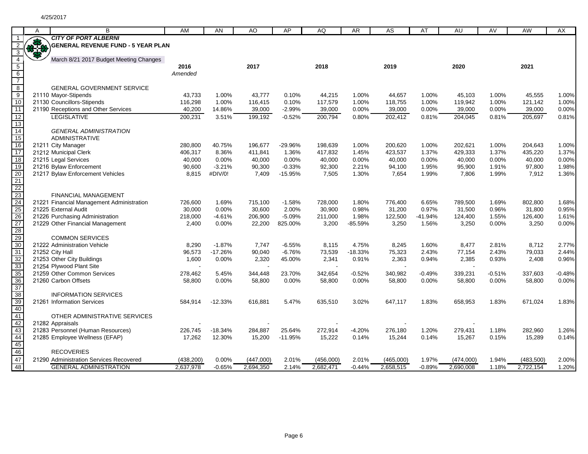|                                                       | A           | B                                                       | AM              | AN        | AO        | AP        | AQ        | AR.       | <b>AS</b> | AT       | AU        | AV       | AW         | AX       |
|-------------------------------------------------------|-------------|---------------------------------------------------------|-----------------|-----------|-----------|-----------|-----------|-----------|-----------|----------|-----------|----------|------------|----------|
|                                                       |             | <b>CITY OF PORT ALBERNI</b>                             |                 |           |           |           |           |           |           |          |           |          |            |          |
|                                                       | <b>OPEN</b> | <b>GENERAL REVENUE FUND - 5 YEAR PLAN</b>               |                 |           |           |           |           |           |           |          |           |          |            |          |
| 3                                                     |             |                                                         |                 |           |           |           |           |           |           |          |           |          |            |          |
| $\overline{4}$                                        |             | March 8/21 2017 Budget Meeting Changes                  |                 |           | 2017      |           | 2018      |           | 2019      |          | 2020      |          |            |          |
| $\begin{array}{c} 5 \\ 6 \\ 7 \end{array}$            |             |                                                         | 2016<br>Amended |           |           |           |           |           |           |          |           |          | 2021       |          |
|                                                       |             |                                                         |                 |           |           |           |           |           |           |          |           |          |            |          |
| $\frac{1}{8}$                                         |             | <b>GENERAL GOVERNMENT SERVICE</b>                       |                 |           |           |           |           |           |           |          |           |          |            |          |
|                                                       |             | 21110 Mayor-Stipends                                    | 43,733          | 1.00%     | 43,777    | 0.10%     | 44,215    | 1.00%     | 44,657    | 1.00%    | 45,103    | 1.00%    | 45,555     | 1.00%    |
| $\frac{9}{10}$                                        |             | 21130 Councillors-Stipends                              | 116,298         | 1.00%     | 116,415   | 0.10%     | 117,579   | 1.00%     | 118,755   | 1.00%    | 119,942   | 1.00%    | 121,142    | 1.00%    |
| $\overline{11}$                                       |             | 21190 Receptions and Other Services                     | 40,200          | 14.86%    | 39,000    | $-2.99%$  | 39,000    | 0.00%     | 39,000    | 0.00%    | 39,000    | 0.00%    | 39,000     | 0.00%    |
| 12                                                    |             | <b>LEGISLATIVE</b>                                      | 200,231         | 3.51%     | 199,192   | $-0.52%$  | 200,794   | 0.80%     | 202,412   | 0.81%    | 204,045   | 0.81%    | 205,697    | 0.81%    |
| $\overline{13}$                                       |             |                                                         |                 |           |           |           |           |           |           |          |           |          |            |          |
| 14                                                    |             | <b>GENERAL ADMINISTRATION</b>                           |                 |           |           |           |           |           |           |          |           |          |            |          |
| 15                                                    |             | <b>ADMINISTRATIVE</b>                                   |                 |           |           |           |           |           |           |          |           |          |            |          |
| 16                                                    |             | 21211 City Manager                                      | 280,800         | 40.75%    | 196,677   | -29.96%   | 198,639   | 1.00%     | 200,620   | 1.00%    | 202,621   | 1.00%    | 204,643    | 1.00%    |
| $\overline{17}$                                       |             | 21212 Municipal Clerk                                   | 406,317         | 8.36%     | 411,841   | 1.36%     | 417,832   | 1.45%     | 423,537   | 1.37%    | 429,333   | 1.37%    | 435,220    | 1.37%    |
| 18                                                    |             | 21215 Legal Services                                    | 40,000          | 0.00%     | 40,000    | 0.00%     | 40,000    | 0.00%     | 40,000    | 0.00%    | 40,000    | 0.00%    | 40,000     | 0.00%    |
| $\overline{19}$                                       |             | 21216 Bylaw Enforcement                                 | 90,600          | $-3.21%$  | 90,300    | $-0.33%$  | 92,300    | 2.21%     | 94,100    | 1.95%    | 95,900    | 1.91%    | 97,800     | 1.98%    |
| 20                                                    |             | 21217 Bylaw Enforcement Vehicles                        | 8,815           | #DIV/0!   | 7,409     | $-15.95%$ | 7,505     | 1.30%     | 7,654     | 1.99%    | 7,806     | 1.99%    | 7,912      | 1.36%    |
| $\frac{21}{22}$<br>$\frac{22}{23}$<br>$\frac{24}{25}$ |             |                                                         |                 |           |           |           |           |           |           |          |           |          |            |          |
|                                                       |             |                                                         |                 |           |           |           |           |           |           |          |           |          |            |          |
|                                                       |             | <b>FINANCIAL MANAGEMENT</b>                             |                 |           |           |           |           |           |           |          |           |          |            |          |
|                                                       |             | 21221 Financial Management Administration               | 726,600         | 1.69%     | 715,100   | $-1.58%$  | 728,000   | 1.80%     | 776,400   | 6.65%    | 789,500   | 1.69%    | 802,800    | 1.68%    |
|                                                       |             | 21225 External Audit                                    | 30,000          | 0.00%     | 30,600    | 2.00%     | 30,900    | 0.98%     | 31,200    | 0.97%    | 31,500    | 0.96%    | 31,800     | 0.95%    |
| 26                                                    |             | 21226 Purchasing Administration                         | 218,000         | $-4.61%$  | 206,900   | $-5.09%$  | 211,000   | 1.98%     | 122,500   | -41.94%  | 124,400   | 1.55%    | 126,400    | 1.61%    |
| 27                                                    |             | 21229 Other Financial Management                        | 2,400           | 0.00%     | 22,200    | 825.00%   | 3,200     | $-85.59%$ | 3,250     | 1.56%    | 3,250     | 0.00%    | 3,250      | 0.00%    |
| 28                                                    |             |                                                         |                 |           |           |           |           |           |           |          |           |          |            |          |
| 29<br>30                                              |             | <b>COMMON SERVICES</b>                                  |                 |           |           |           |           |           |           |          |           |          |            |          |
|                                                       |             | 21222 Administration Vehicle                            | 8,290           | $-1.87%$  | 7,747     | $-6.55%$  | 8,115     | 4.75%     | 8,245     | 1.60%    | 8,477     | 2.81%    | 8,712      | 2.77%    |
| 31                                                    |             | 21252 City Hall                                         | 96,573          | $-17.26%$ | 90,040    | $-6.76%$  | 73,539    | $-18.33%$ | 75,323    | 2.43%    | 77,154    | 2.43%    | 79,033     | 2.44%    |
| 32<br>33                                              |             | 21253 Other City Buildings                              | 1,600           | 0.00%     | 2,320     | 45.00%    | 2,341     | 0.91%     | 2,363     | 0.94%    | 2,385     | 0.93%    | 2,408      | 0.96%    |
| 35                                                    |             | 21254 Plywood Plant Site<br>21259 Other Common Services | 278,462         | 5.45%     | 344.448   | 23.70%    | 342,654   | $-0.52%$  | 340,982   | $-0.49%$ | 339,231   | $-0.51%$ | 337,603    | $-0.48%$ |
| 36                                                    |             | 21260 Carbon Offsets                                    | 58,800          | 0.00%     | 58,800    | 0.00%     | 58,800    | 0.00%     | 58,800    | 0.00%    | 58,800    | 0.00%    | 58,800     | 0.00%    |
| 37                                                    |             |                                                         |                 |           |           |           |           |           |           |          |           |          |            |          |
| 38                                                    |             | <b>INFORMATION SERVICES</b>                             |                 |           |           |           |           |           |           |          |           |          |            |          |
| 39                                                    |             | 21261 Information Services                              | 584,914         | $-12.33%$ | 616,881   | 5.47%     | 635,510   | 3.02%     | 647,117   | 1.83%    | 658,953   | 1.83%    | 671,024    | 1.83%    |
| 40                                                    |             |                                                         |                 |           |           |           |           |           |           |          |           |          |            |          |
| 41                                                    |             | OTHER ADMINISTRATIVE SERVICES                           |                 |           |           |           |           |           |           |          |           |          |            |          |
| 42                                                    |             | 21282 Appraisals                                        |                 |           |           |           |           |           |           |          |           |          |            |          |
| 43                                                    |             | 21283 Personnel (Human Resources)                       | 226,745         | $-18.34%$ | 284,887   | 25.64%    | 272,914   | $-4.20%$  | 276,180   | 1.20%    | 279,431   | 1.18%    | 282,960    | 1.26%    |
| 44                                                    |             | 21285 Employee Wellness (EFAP)                          | 17,262          | 12.30%    | 15,200    | $-11.95%$ | 15,222    | 0.14%     | 15,244    | 0.14%    | 15,267    | 0.15%    | 15,289     | 0.14%    |
| 45                                                    |             |                                                         |                 |           |           |           |           |           |           |          |           |          |            |          |
| 46                                                    |             | <b>RECOVERIES</b>                                       |                 |           |           |           |           |           |           |          |           |          |            |          |
| 47                                                    |             | 21290 Administration Services Recovered                 | (438, 200)      | 0.00%     | (447,000) | 2.01%     | (456,000) | 2.01%     | (465,000) | 1.97%    | (474,000) | 1.94%    | (483, 500) | 2.00%    |
| 48                                                    |             | <b>GENERAL ADMINISTRATION</b>                           | 2.637.978       | $-0.65%$  | 2.694.350 | 2.14%     | 2.682.471 | $-0.44%$  | 2,658,515 | $-0.89%$ | 2.690.008 | 1.18%    | 2.722.154  | 1.20%    |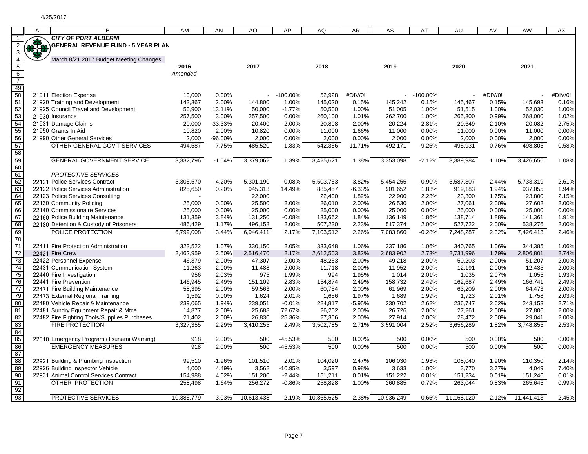|                             | A            | B                                                                      | AM                   | AN             | AO                   | AP             | AQ                   | <b>AR</b>      | AS                   | AT             | AU                   | AV             | AW                   | AX             |
|-----------------------------|--------------|------------------------------------------------------------------------|----------------------|----------------|----------------------|----------------|----------------------|----------------|----------------------|----------------|----------------------|----------------|----------------------|----------------|
|                             |              | <b>CITY OF PORT ALBERNI</b>                                            |                      |                |                      |                |                      |                |                      |                |                      |                |                      |                |
|                             | <b>SHEEP</b> | <b>GENERAL REVENUE FUND - 5 YEAR PLAN</b>                              |                      |                |                      |                |                      |                |                      |                |                      |                |                      |                |
| $\overline{3}$              |              |                                                                        |                      |                |                      |                |                      |                |                      |                |                      |                |                      |                |
|                             |              | March 8/21 2017 Budget Meeting Changes                                 |                      |                |                      |                |                      |                |                      |                |                      |                |                      |                |
| $\frac{4}{5}$ $\frac{6}{7}$ |              |                                                                        | 2016                 |                | 2017                 |                | 2018                 |                | 2019                 |                | 2020                 |                | 2021                 |                |
|                             |              |                                                                        | Amended              |                |                      |                |                      |                |                      |                |                      |                |                      |                |
|                             |              |                                                                        |                      |                |                      |                |                      |                |                      |                |                      |                |                      |                |
|                             |              |                                                                        |                      |                |                      |                |                      |                |                      |                |                      |                |                      |                |
| 49<br>50                    |              | 21911 Election Expense                                                 | 10,000               | 0.00%          |                      | $-100.00\%$    | 52,928               | #DIV/0!        |                      | $-100.00\%$    |                      | #DIV/0!        |                      | #DIV/0!        |
| 51                          |              | 21920 Training and Development                                         | 143,367              | 2.00%          | 144,800              | 1.00%          | 145,020              | 0.15%          | 145,242              | 0.15%          | 145,467              | 0.15%          | 145,693              | 0.16%          |
| 52                          |              | 21925 Council Travel and Development                                   | 50,900               | 13.11%         | 50,000               | $-1.77%$       | 50,500               | 1.00%          | 51,005               | 1.00%          | 51,515               | 1.00%          | 52,030               | 1.00%          |
| 53                          |              | 21930 Insurance                                                        | 257,500              | 3.00%          | 257,500              | 0.00%          | 260,100              | 1.01%          | 262,700              | 1.00%          | 265,300              | 0.99%          | 268,000              | 1.02%          |
| 54                          |              | 21931 Damage Claims                                                    | 20,000               | -33.33%        | 20,400               | 2.00%          | 20,808               | 2.00%          | 20,224               | $-2.81%$       | 20,649               | 2.10%          | 20,082               | $-2.75%$       |
| 55                          |              | 21950 Grants In Aid                                                    | 10,820               | 2.00%          | 10,820               | 0.00%          | 11,000               | 1.66%          | 11,000               | 0.00%          | 11,000               | $0.00\%$       | 11,000               | 0.00%          |
| 56                          |              | 21990 Other General Services                                           | 2,000                | -96.00%        | 2,000                | 0.00%          | 2,000                | 0.00%          | 2,000                | 0.00%          | 2,000                | 0.00%          | 2,000                | 0.00%          |
| 57                          |              | OTHER GENERAL GOV'T SERVICES                                           | 494,587              | $-7.75%$       | 485,520              | $-1.83%$       | 542,356              | 11.71%         | 492,171              | $-9.25%$       | 495,931              | 0.76%          | 498,805              | 0.58%          |
| 58                          |              |                                                                        |                      |                |                      |                |                      |                |                      |                |                      |                |                      |                |
| 59                          |              | <b>GENERAL GOVERNMENT SERVICE</b>                                      | 3,332,796            | $-1.54%$       | 3,379,062            | 1.39%          | 3,425,621            | 1.38%          | 3,353,098            | $-2.12%$       | 3,389,984            | 1.10%          | 3,426,656            | 1.08%          |
| 60                          |              |                                                                        |                      |                |                      |                |                      |                |                      |                |                      |                |                      |                |
|                             |              | <b>PROTECTIVE SERVICES</b>                                             |                      |                |                      |                |                      |                |                      |                |                      |                |                      |                |
| 61<br>62                    |              | 22121 Police Services Contract                                         |                      | 4.20%          | 5,301,190            | $-0.08%$       | 5,503,753            | 3.82%          | 5,454,255            | $-0.90%$       | 5,587,307            | 2.44%          | 5,733,319            | 2.61%          |
|                             |              | 22122 Police Services Administration                                   | 5,305,570<br>825,650 | 0.20%          | 945,313              | 14.49%         | 885,457              | $-6.33%$       | 901,652              | 1.83%          | 919,183              | 1.94%          | 937,055              | 1.94%          |
| 63<br>64                    |              | 22123 Police Services Consulting                                       |                      |                | 22,000               |                | 22,400               | 1.82%          | 22,900               | 2.23%          | 23,300               | 1.75%          | 23,800               | 2.15%          |
| 65                          |              | 22130 Community Policing                                               | 25,000               | 0.00%          | 25,500               | 2.00%          | 26,010               | 2.00%          | 26,530               | 2.00%          | 27,061               | 2.00%          | 27,602               | 2.00%          |
|                             |              | 22140 Commissionaire Services                                          | 25,000               | 0.00%          | 25,000               | 0.00%          | 25,000               | 0.00%          | 25,000               | 0.00%          | 25,000               | 0.00%          | 25,000               | 0.00%          |
| 66                          |              |                                                                        |                      |                |                      | $-0.08%$       |                      |                | 136,149              | 1.86%          |                      |                | 141,361              | 1.91%          |
| 67<br>68                    |              | 22160 Police Building Maintenance                                      | 131,359<br>486,429   | 3.84%<br>1.17% | 131,250<br>496,158   | 2.00%          | 133,662<br>507,230   | 1.84%<br>2.23% |                      |                | 138,714<br>527,722   | 1.88%<br>2.00% |                      | 2.00%          |
|                             |              | 22180 Detention & Custody of Prisoners                                 |                      |                |                      |                |                      |                | 517,374              | 2.00%          |                      |                | 538,276              |                |
| 69<br>70                    |              | POLICE PROTECTION                                                      | 6,799,008            | 3.44%          | 6,946,411            | 2.17%          | 7,103,512            | 2.26%          | 7,083,860            | $-0.28%$       | 7,248,287            | 2.32%          | 7,426,413            | 2.46%          |
| 71                          |              |                                                                        |                      |                |                      |                |                      |                |                      |                |                      |                |                      |                |
| 72                          |              | 22411 Fire Protection Administration<br>22421 Fire Crew                | 323,522<br>2,462,959 | 1.07%<br>2.50% | 330.150<br>2,516,470 | 2.05%<br>2.17% | 333,648<br>2,612,503 | 1.06%<br>3.82% | 337,186<br>2,683,902 | 1.06%<br>2.73% | 340,765<br>2,731,996 | 1.06%<br>1.79% | 344,385<br>2,806,801 | 1.06%<br>2.74% |
| 73                          |              |                                                                        | 46,379               | 2.00%          | 47.307               | 2.00%          | 48.253               | 2.00%          | 49,218               | 2.00%          | 50,203               | 2.00%          | 51,207               | 2.00%          |
| 74                          |              | 22422 Personnel Expense<br>22431 Communication System                  | 11,263               | 2.00%          | 11,488               | 2.00%          | 11,718               | 2.00%          | 11,952               | 2.00%          | 12,191               | 2.00%          | 12,435               | 2.00%          |
| 75                          |              |                                                                        | 956                  | 2.03%          | 975                  | 1.99%          | 994                  | 1.95%          |                      |                |                      |                |                      | 1.93%          |
|                             |              | 22440 Fire Investigation                                               |                      | 2.49%          | 151.109              | 2.83%          |                      | 2.49%          | 1,014<br>158.732     | 2.01%<br>2.49% | 1,035                | 2.07%<br>2.49% | 1,055                | 2.49%          |
| $\overline{76}$<br>77       |              | 22441 Fire Prevention                                                  | 146,945<br>58,395    | 2.00%          |                      | 2.00%          | 154,874<br>60,754    | 2.00%          | 61,969               | 2.00%          | 162,687              |                | 166,741<br>64,473    | 2.00%          |
| 79                          |              | 22471 Fire Building Maintenance                                        | 1,592                | 0.00%          | 59,563<br>1,624      | 2.01%          | 1,656                | 1.97%          | 1,689                | 1.99%          | 63,209<br>1,723      | 2.00%<br>2.01% | 1,758                | 2.03%          |
| 80                          |              | 22473 External Regional Training                                       |                      | 1.94%          |                      | $-0.01%$       | 224,817              | $-5.95%$       |                      |                |                      | 2.62%          |                      | 2.71%          |
|                             |              | 22480 Vehicle Repair & Maintenance                                     | 239,065              | 2.00%          | 239,051              | 72.67%         |                      | 2.00%          | 230,702              | 2.62%          | 236,747              |                | 243,153              | 2.00%          |
| 81<br>82                    |              | 22481 Sundry Equipment Repair & Mtce                                   | 14,877<br>21,402     | 2.00%          | 25,688<br>26,830     | 25.36%         | 26,202<br>27,366     | 2.00%          | 26,726<br>27,914     | 2.00%<br>2.00% | 27,261<br>28,472     | 2.00%<br>2.00% | 27,806<br>29,041     | 2.00%          |
| 83                          |              | 22482 Fire Fighting Tools/Supplies Purchases<br><b>FIRE PROTECTION</b> |                      |                |                      |                |                      |                |                      |                |                      |                |                      |                |
|                             |              |                                                                        | 3,327,355            | 2.29%          | 3,410,255            | 2.49%          | 3,502,785            | 2.71%          | 3,591,004            | 2.52%          | 3,656,289            | 1.82%          | 3,748,855            | 2.53%          |
| 84<br>85                    |              |                                                                        |                      | 2.00%          |                      |                |                      | 0.00%          |                      | 0.00%          |                      |                |                      |                |
| 86                          |              | 22510 Emergency Program (Tsunami Warning)                              | 918<br>918           |                | 500                  | -45.53%        | 500                  |                | 500                  |                | 500                  | $0.00\%$       | 500                  | 0.00%          |
|                             |              | <b>EMERGENCY MEASURES</b>                                              |                      | 2.00%          | 500                  | $-45.53%$      | 500                  | 0.00%          | 500                  | 0.00%          | 500                  | 0.00%          | 500                  | 0.00%          |
| 87                          |              |                                                                        | 99,510               | $-1.96%$       | 101,510              | 2.01%          | 104,020              | 2.47%          | 106,030              |                | 108,040              | 1.90%          | 110,350              | 2.14%          |
| 88                          |              | 22921 Building & Plumbing Inspection                                   |                      | 4.49%          |                      | $-10.95%$      |                      |                |                      | 1.93%          |                      |                |                      |                |
| 89<br>90                    |              | 22926 Building Inspector Vehicle                                       | 4,000                |                | 3,562                |                | 3,597                | 0.98%          | 3,633                | 1.00%          | 3,770                | 3.77%          | 4,049                | 7.40%          |
|                             |              | 22931 Animal Control Services Contract                                 | 154,988              | 4.02%          | 151,200              | $-2.44%$       | 151,211              | 0.01%          | 151,222              | 0.01%          | 151,234              | 0.01%          | 151,246              | 0.01%          |
| 91                          |              | OTHER PROTECTION                                                       | 258.498              | 1.64%          | 256.272              | $-0.86%$       | 258.828              | 1.00%          | 260,885              | 0.79%          | 263.044              | 0.83%          | 265.645              | 0.99%          |
| 92<br>93                    |              |                                                                        |                      |                |                      |                |                      |                |                      |                |                      |                |                      |                |
|                             |              | PROTECTIVE SERVICES                                                    | 10,385,779           | 3.03%          | 10,613,438           | 2.19%          | 10,865,625           | 2.38%          | 10,936,249           | 0.65%          | 11,168,120           | 2.12%          | 11,441,413           | 2.45%          |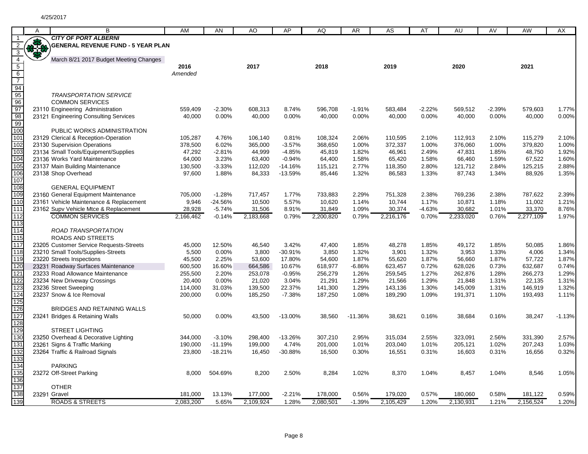|                  | A   | B                                         | AM        | AN        | AO        | AP        | AQ        | <b>AR</b> | AS        | AT       | AU        | AV       | <b>AW</b> | AX       |
|------------------|-----|-------------------------------------------|-----------|-----------|-----------|-----------|-----------|-----------|-----------|----------|-----------|----------|-----------|----------|
|                  |     | <b>CITY OF PORT ALBERNI</b>               |           |           |           |           |           |           |           |          |           |          |           |          |
| $\overline{2}$   | *** | <b>GENERAL REVENUE FUND - 5 YEAR PLAN</b> |           |           |           |           |           |           |           |          |           |          |           |          |
| $\overline{3}$   |     |                                           |           |           |           |           |           |           |           |          |           |          |           |          |
| $\overline{4}$   |     | March 8/21 2017 Budget Meeting Changes    |           |           |           |           |           |           |           |          |           |          |           |          |
| $\overline{5}$   |     |                                           | 2016      |           | 2017      |           | 2018      |           | 2019      |          | 2020      |          | 2021      |          |
| $6\overline{6}$  |     |                                           | Amended   |           |           |           |           |           |           |          |           |          |           |          |
| $\overline{7}$   |     |                                           |           |           |           |           |           |           |           |          |           |          |           |          |
| 94               |     |                                           |           |           |           |           |           |           |           |          |           |          |           |          |
| 95               |     | <b>TRANSPORTATION SERVICE</b>             |           |           |           |           |           |           |           |          |           |          |           |          |
| 96               |     | <b>COMMON SERVICES</b>                    |           |           |           |           |           |           |           |          |           |          |           |          |
| 97               |     | 23110 Engineering Administration          | 559.409   | $-2.30%$  | 608,313   | 8.74%     | 596,708   | $-1.91%$  | 583.484   | $-2.22%$ | 569,512   | $-2.39%$ | 579,603   | 1.77%    |
| 98               |     | 23121 Engineering Consulting Services     | 40,000    | 0.00%     | 40,000    | 0.00%     | 40,000    | 0.00%     | 40,000    | 0.00%    | 40,000    | $0.00\%$ | 40,000    | 0.00%    |
| 99               |     |                                           |           |           |           |           |           |           |           |          |           |          |           |          |
| 100              |     | PUBLIC WORKS ADMINISTRATION               |           |           |           |           |           |           |           |          |           |          |           |          |
| 101              |     | 23129 Clerical & Reception-Operation      | 105,287   | 4.76%     | 106,140   | 0.81%     | 108,324   | 2.06%     | 110,595   | 2.10%    | 112,913   | 2.10%    | 115,279   | 2.10%    |
| 102              |     | 23130 Supervision Operations              | 378,500   | 6.02%     | 365,000   | $-3.57%$  | 368,650   | 1.00%     | 372,337   | 1.00%    | 376,060   | 1.00%    | 379,820   | 1.00%    |
| 103              |     | 23134 Small Tools/Equipment/Supplies      | 47,292    | $-2.81%$  | 44,999    | $-4.85%$  | 45,819    | 1.82%     | 46,961    | 2.49%    | 47,831    | 1.85%    | 48,750    | 1.92%    |
| 104              |     | 23136 Works Yard Maintenance              | 64,000    | 3.23%     | 63,400    | $-0.94%$  | 64,400    | 1.58%     | 65,420    | 1.58%    | 66,460    | 1.59%    | 67,522    | 1.60%    |
| 105              |     | 23137 Main Building Maintenance           | 130,500   | $-3.33%$  | 112,020   | $-14.16%$ | 115,121   | 2.77%     | 118,350   | 2.80%    | 121,712   | 2.84%    | 125,215   | 2.88%    |
| 106              |     | 23138 Shop Overhead                       | 97,600    | 1.88%     | 84,333    | $-13.59%$ | 85,446    | 1.32%     | 86,583    | 1.33%    | 87,743    | 1.34%    | 88,926    | 1.35%    |
| 107              |     |                                           |           |           |           |           |           |           |           |          |           |          |           |          |
| 108              |     | <b>GENERAL EQUIPMENT</b>                  |           |           |           |           |           |           |           |          |           |          |           |          |
| 109              |     | 23160 General Equipment Maintenance       | 705,000   | $-1.28%$  | 717,457   | 1.77%     | 733,883   | 2.29%     | 751,328   | 2.38%    | 769,236   | 2.38%    | 787,622   | 2.39%    |
| 110              |     | 23161 Vehicle Maintenance & Replacement   | 9,946     | $-24.56%$ | 10,500    | 5.57%     | 10,620    | 1.14%     | 10,744    | 1.17%    | 10,871    | 1.18%    | 11,002    | 1.21%    |
| 111              |     | 23162 Supv Vehicle Mtce & Replacement     | 28,928    | $-5.74%$  | 31,506    | 8.91%     | 31,849    | 1.09%     | 30,374    | $-4.63%$ | 30,682    | 1.01%    | 33,370    | 8.76%    |
| $\overline{112}$ |     | <b>COMMON SERVICES</b>                    | 2,166,462 | $-0.14%$  | 2,183,668 | 0.79%     | 2,200,820 | 0.79%     | 2,216,176 | 0.70%    | 2,233,020 | 0.76%    | 2,277,109 | 1.97%    |
| 113              |     |                                           |           |           |           |           |           |           |           |          |           |          |           |          |
| $\overline{114}$ |     | ROAD TRANSPORTATION                       |           |           |           |           |           |           |           |          |           |          |           |          |
| $\overline{115}$ |     | <b>ROADS AND STREETS</b>                  |           |           |           |           |           |           |           |          |           |          |           |          |
| 117              |     | 23205 Customer Service Requests-Streets   | 45,000    | 12.50%    | 46,540    | 3.42%     | 47,400    | 1.85%     | 48,278    | 1.85%    | 49,172    | 1.85%    | 50,085    | 1.86%    |
| 118              |     | 23210 Small Tools/Supplies-Streets        | 5,500     | 0.00%     | 3,800     | $-30.91%$ | 3,850     | 1.32%     | 3,901     | 1.32%    | 3,953     | 1.33%    | 4,006     | 1.34%    |
| 119              |     | 23220 Streets Inspections                 | 45,500    | 2.25%     | 53,600    | 17.80%    | 54,600    | 1.87%     | 55,620    | 1.87%    | 56,660    | 1.87%    | 57,722    | 1.87%    |
| 120              |     | 23231 Roadway Surfaces Maintenance        | 600,500   | 16.60%    | 664,586   | 10.67%    | 618,977   | $-6.86%$  | 623,457   | 0.72%    | 628,026   | 0.73%    | 632,687   | 0.74%    |
| 121              |     | 23233 Road Allowance Maintenance          | 255,500   | 2.20%     | 253,078   | $-0.95%$  | 256,279   | 1.26%     | 259,545   | 1.27%    | 262,876   | 1.28%    | 266,273   | 1.29%    |
| 122              |     | 23234 New Driveway Crossings              | 20,400    | 0.00%     | 21,020    | 3.04%     | 21,291    | 1.29%     | 21,566    | 1.29%    | 21,848    | 1.31%    | 22,135    | 1.31%    |
| 123              |     | 23236 Street Sweeping                     | 114,000   | 31.03%    | 139,500   | 22.37%    | 141,300   | 1.29%     | 143,136   | 1.30%    | 145,009   | 1.31%    | 146,919   | 1.32%    |
| 124              |     | 23237 Snow & Ice Removal                  | 200,000   | $0.00\%$  | 185,250   | $-7.38%$  | 187,250   | 1.08%     | 189,290   | 1.09%    | 191,371   | 1.10%    | 193,493   | 1.11%    |
| 125              |     |                                           |           |           |           |           |           |           |           |          |           |          |           |          |
| 126              |     | BRIDGES AND RETAINING WALLS               |           |           |           |           |           |           |           |          |           |          |           |          |
| 127              |     | 23241 Bridges & Retaining Walls           | 50,000    | 0.00%     | 43,500    | $-13.00%$ | 38,560    | $-11.36%$ | 38,621    | 0.16%    | 38,684    | 0.16%    | 38,247    | $-1.13%$ |
| 128              |     |                                           |           |           |           |           |           |           |           |          |           |          |           |          |
| 129              |     | <b>STREET LIGHTING</b>                    |           |           |           |           |           |           |           |          |           |          |           |          |
| 130              |     | 23250 Overhead & Decorative Lighting      | 344,000   | $-3.10%$  | 298,400   | $-13.26%$ | 307,210   | 2.95%     | 315,034   | 2.55%    | 323,091   | 2.56%    | 331,390   | 2.57%    |
| 131              |     | 23261 Signs & Traffic Marking             | 190,000   | $-11.19%$ | 199,000   | 4.74%     | 201,000   | 1.01%     | 203,040   | 1.01%    | 205,121   | 1.02%    | 207,243   | 1.03%    |
| 132              |     | 23264 Traffic & Railroad Signals          | 23,800    | $-18.21%$ | 16,450    | $-30.88%$ | 16,500    | 0.30%     | 16,551    | 0.31%    | 16,603    | 0.31%    | 16,656    | 0.32%    |
| 133              |     |                                           |           |           |           |           |           |           |           |          |           |          |           |          |
| 134              |     | <b>PARKING</b>                            |           |           |           |           |           |           |           |          |           |          |           |          |
| 135              |     | 23272 Off-Street Parking                  | 8,000     | 504.69%   | 8,200     | 2.50%     | 8,284     | 1.02%     | 8,370     | 1.04%    | 8,457     | 1.04%    | 8,546     | 1.05%    |
| 136              |     |                                           |           |           |           |           |           |           |           |          |           |          |           |          |
| 137              |     | <b>OTHER</b>                              |           |           |           |           |           |           |           |          |           |          |           |          |
| 138              |     |                                           |           |           |           |           |           |           |           |          |           |          |           |          |
|                  |     | 23291 Gravel                              | 181,000   | 13.13%    | 177,000   | $-2.21%$  | 178,000   | 0.56%     | 179,020   | 0.57%    | 180,060   | 0.58%    | 181,122   | 0.59%    |
| 139              |     | <b>ROADS &amp; STREETS</b>                | 2,083,200 | 5.65%     | 2,109,924 | 1.28%     | 2,080,501 | $-1.39%$  | 2,105,429 | 1.20%    | 2,130,931 | 1.21%    | 2,156,524 | 1.20%    |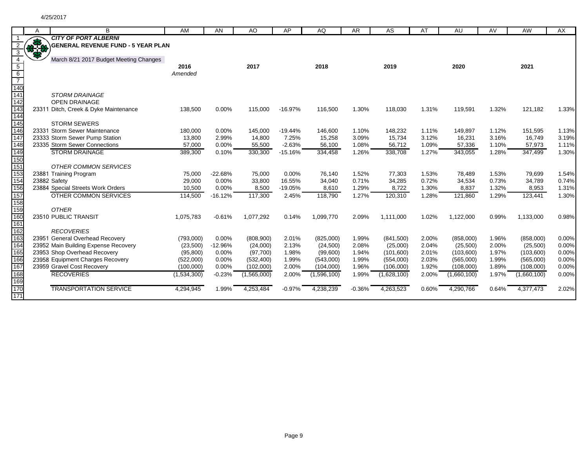|                  | A            | B                                         | <b>AM</b>   | <b>AN</b> | AO          | AP        | AQ          | AR.      | AS          | AT    | AU          | AV    | AW          | AX    |
|------------------|--------------|-------------------------------------------|-------------|-----------|-------------|-----------|-------------|----------|-------------|-------|-------------|-------|-------------|-------|
|                  |              | <b>CITY OF PORT ALBERNI</b>               |             |           |             |           |             |          |             |       |             |       |             |       |
|                  | <b>33-53</b> | <b>GENERAL REVENUE FUND - 5 YEAR PLAN</b> |             |           |             |           |             |          |             |       |             |       |             |       |
| 3                |              |                                           |             |           |             |           |             |          |             |       |             |       |             |       |
| $\overline{4}$   |              | March 8/21 2017 Budget Meeting Changes    |             |           |             |           |             |          |             |       |             |       |             |       |
| $\overline{5}$   |              |                                           | 2016        |           | 2017        |           | 2018        |          | 2019        |       | 2020        |       | 2021        |       |
| $6\overline{6}$  |              |                                           | Amended     |           |             |           |             |          |             |       |             |       |             |       |
| $\overline{7}$   |              |                                           |             |           |             |           |             |          |             |       |             |       |             |       |
| $\overline{140}$ |              |                                           |             |           |             |           |             |          |             |       |             |       |             |       |
| 141              |              | <b>STORM DRAINAGE</b>                     |             |           |             |           |             |          |             |       |             |       |             |       |
| 142              |              | <b>OPEN DRAINAGE</b>                      |             |           |             |           |             |          |             |       |             |       |             |       |
| 143              |              | 23311 Ditch, Creek & Dyke Maintenance     | 138,500     | 0.00%     | 115,000     | $-16.97%$ | 116,500     | 1.30%    | 118,030     | 1.31% | 119,591     | 1.32% | 121,182     | 1.33% |
| 144              |              |                                           |             |           |             |           |             |          |             |       |             |       |             |       |
| 145              |              | <b>STORM SEWERS</b>                       |             |           |             |           |             |          |             |       |             |       |             |       |
| 146              |              | 23331 Storm Sewer Maintenance             | 180,000     | 0.00%     | 145,000     | $-19.44%$ | 146,600     | 1.10%    | 148,232     | 1.11% | 149,897     | 1.12% | 151,595     | 1.13% |
| 147              |              | 23333 Storm Sewer Pump Station            | 13,800      | 2.99%     | 14,800      | 7.25%     | 15,258      | 3.09%    | 15,734      | 3.12% | 16,231      | 3.16% | 16,749      | 3.19% |
| 148              |              | 23335 Storm Sewer Connections             | 57,000      | 0.00%     | 55,500      | $-2.63%$  | 56,100      | 1.08%    | 56,712      | 1.09% | 57,336      | 1.10% | 57,973      | 1.11% |
| 149              |              | <b>STORM DRAINAGE</b>                     | 389,300     | 0.10%     | 330,300     | $-15.16%$ | 334,458     | 1.26%    | 338,708     | 1.27% | 343,055     | 1.28% | 347,499     | 1.30% |
| 150              |              |                                           |             |           |             |           |             |          |             |       |             |       |             |       |
| 151              |              | <b>OTHER COMMON SERVICES</b>              |             |           |             |           |             |          |             |       |             |       |             |       |
| 153              |              | 23881 Training Program                    | 75,000      | $-22.68%$ | 75,000      | 0.00%     | 76,140      | 1.52%    | 77,303      | 1.53% | 78,489      | 1.53% | 79,699      | 1.54% |
| 154              |              | 23882 Safety                              | 29,000      | 0.00%     | 33,800      | 16.55%    | 34,040      | 0.71%    | 34,285      | 0.72% | 34,534      | 0.73% | 34,789      | 0.74% |
| 156              |              | 23884 Special Streets Work Orders         | 10,500      | 0.00%     | 8,500       | $-19.05%$ | 8,610       | 1.29%    | 8,722       | 1.30% | 8,837       | 1.32% | 8,953       | 1.31% |
| 157              |              | <b>OTHER COMMON SERVICES</b>              | 114,500     | $-16.12%$ | 117,300     | 2.45%     | 118,790     | 1.27%    | 120,310     | 1.28% | 121,860     | 1.29% | 123,441     | 1.30% |
| 158              |              |                                           |             |           |             |           |             |          |             |       |             |       |             |       |
| 159              |              | <b>OTHER</b>                              |             |           |             |           |             |          |             |       |             |       |             |       |
| 160              |              | 23510 PUBLIC TRANSIT                      | 1,075,783   | $-0.61%$  | 1,077,292   | 0.14%     | 1,099,770   | 2.09%    | 1,111,000   | 1.02% | 1,122,000   | 0.99% | 1,133,000   | 0.98% |
| 161<br>162       |              | <b>RECOVERIES</b>                         |             |           |             |           |             |          |             |       |             |       |             |       |
| 163              |              | 23951 General Overhead Recovery           | (793,000)   | 0.00%     | (808,900)   | 2.01%     | (825,000)   | 1.99%    | (841,500)   | 2.00% | (858,000)   | 1.96% | (858,000)   | 0.00% |
| 164              |              | 23952 Main Building Expense Recovery      | (23,500)    | $-12.96%$ | (24,000)    | 2.13%     | (24, 500)   | 2.08%    | (25,000)    | 2.04% | (25,500)    | 2.00% | (25,500)    | 0.00% |
| 165              |              | 23953 Shop Overhead Recovery              | (95, 800)   | 0.00%     | (97,700)    | 1.98%     | (99,600)    | 1.94%    | (101,600)   | 2.01% | (103,600)   | 1.97% | (103,600)   | 0.00% |
| 166              |              | 23958 Equipment Charges Recovery          | (522,000)   | 0.00%     | (532, 400)  | 1.99%     | (543,000)   | 1.99%    | (554,000)   | 2.03% | (565,000)   | 1.99% | (565,000)   | 0.00% |
| 167              |              | 23959 Gravel Cost Recovery                | (100,000)   | 0.00%     | (102,000)   | 2.00%     | (104,000)   | 1.96%    | (106,000)   | 1.92% | (108,000)   | 1.89% | (108,000)   | 0.00% |
| 168              |              | <b>RECOVERIES</b>                         | (1,534,300) | $-0.23%$  | (1,565,000) | 2.00%     | (1,596,100) | 1.99%    | (1,628,100) | 2.00% | (1,660,100) | 1.97% | (1,660,100) | 0.00% |
| 169              |              |                                           |             |           |             |           |             |          |             |       |             |       |             |       |
| 170              |              | <b>TRANSPORTATION SERVICE</b>             | 4,294,945   | 1.99%     | 4,253,484   | $-0.97%$  | 4,238,239   | $-0.36%$ | 4,263,523   | 0.60% | 4,290,766   | 0.64% | 4,377,473   | 2.02% |
| 171              |              |                                           |             |           |             |           |             |          |             |       |             |       |             |       |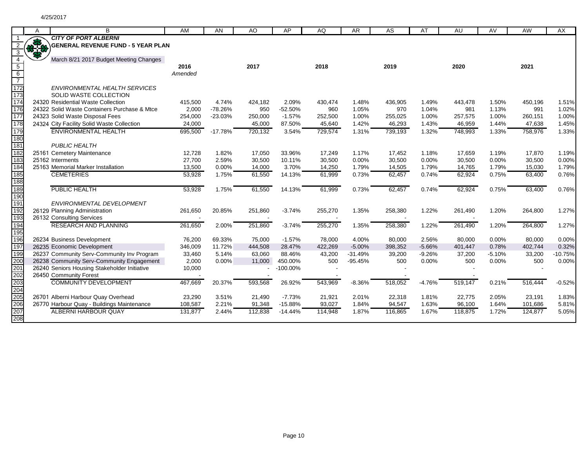|                                    | A          | B                                            | AM              | AN        | AO      | AP          | AQ      | <b>AR</b> | AS      | AT       | AU      | AV       | AW      | AX        |
|------------------------------------|------------|----------------------------------------------|-----------------|-----------|---------|-------------|---------|-----------|---------|----------|---------|----------|---------|-----------|
|                                    |            | <b>CITY OF PORT ALBERNI</b>                  |                 |           |         |             |         |           |         |          |         |          |         |           |
| $\overline{2}$<br>3                | <b>RAN</b> | GENERAL REVENUE FUND - 5 YEAR PLAN           |                 |           |         |             |         |           |         |          |         |          |         |           |
| $\overline{4}$                     |            | March 8/21 2017 Budget Meeting Changes       |                 |           | 2017    |             |         |           |         |          |         |          |         |           |
| $5\overline{)}$<br>$6\overline{6}$ |            |                                              | 2016<br>Amended |           |         |             | 2018    |           | 2019    |          | 2020    |          | 2021    |           |
| $\overline{7}$                     |            |                                              |                 |           |         |             |         |           |         |          |         |          |         |           |
| 172                                |            | ENVIRONMENTAL HEALTH SERVICES                |                 |           |         |             |         |           |         |          |         |          |         |           |
| 173                                |            | SOLID WASTE COLLECTION                       |                 |           |         |             |         |           |         |          |         |          |         |           |
| 174                                |            | 24320 Residential Waste Collection           | 415,500         | 4.74%     | 424,182 | 2.09%       | 430,474 | 1.48%     | 436,905 | 1.49%    | 443,478 | 1.50%    | 450,196 | 1.51%     |
| 176                                |            | 24322 Solid Waste Containers Purchase & Mtce | 2,000           | $-78.26%$ | 950     | $-52.50%$   | 960     | 1.05%     | 970     | 1.04%    | 981     | 1.13%    | 991     | 1.02%     |
| 177                                |            | 24323 Solid Waste Disposal Fees              | 254,000         | $-23.03%$ | 250,000 | $-1.57%$    | 252,500 | 1.00%     | 255,025 | 1.00%    | 257,575 | 1.00%    | 260,151 | 1.00%     |
| 178                                |            | 24324 City Facility Solid Waste Collection   | 24,000          |           | 45,000  | 87.50%      | 45,640  | 1.42%     | 46,293  | 1.43%    | 46,959  | 1.44%    | 47,638  | 1.45%     |
| 179                                |            | <b>ENVIRONMENTAL HEALTH</b>                  | 695,500         | $-17.78%$ | 720,132 | 3.54%       | 729,574 | 1.31%     | 739,193 | 1.32%    | 748,993 | 1.33%    | 758,976 | 1.33%     |
| 180                                |            |                                              |                 |           |         |             |         |           |         |          |         |          |         |           |
| 181                                |            | <b>PUBLIC HEALTH</b>                         |                 |           |         |             |         |           |         |          |         |          |         |           |
| 182                                |            | 25161 Cemetery Maintenance                   | 12,728          | 1.82%     | 17,050  | 33.96%      | 17,249  | 1.17%     | 17,452  | 1.18%    | 17,659  | 1.19%    | 17,870  | 1.19%     |
| 183                                |            | 25162 Interments                             | 27,700          | 2.59%     | 30,500  | 10.11%      | 30,500  | 0.00%     | 30,500  | 0.00%    | 30,500  | 0.00%    | 30,500  | 0.00%     |
| 184                                |            | 25163 Memorial Marker Installation           | 13,500          | 0.00%     | 14,000  | 3.70%       | 14,250  | 1.79%     | 14,505  | 1.79%    | 14,765  | 1.79%    | 15,030  | 1.79%     |
| 185                                |            | <b>CEMETERIES</b>                            | 53,928          | 1.75%     | 61,550  | 14.13%      | 61,999  | 0.73%     | 62,457  | 0.74%    | 62,924  | 0.75%    | 63,400  | 0.76%     |
| 188                                |            |                                              |                 |           |         |             |         |           |         |          |         |          |         |           |
| 189                                |            | PUBLIC HEALTH                                | 53,928          | 1.75%     | 61,550  | 14.13%      | 61,999  | 0.73%     | 62,457  | 0.74%    | 62,924  | 0.75%    | 63,400  | 0.76%     |
| 190<br>191                         |            | ENVIRONMENTAL DEVELOPMENT                    |                 |           |         |             |         |           |         |          |         |          |         |           |
| 192                                |            | 26129 Planning Administration                | 261,650         | 20.85%    | 251,860 | $-3.74%$    | 255,270 | 1.35%     | 258,380 | 1.22%    | 261,490 | 1.20%    | 264,800 | 1.27%     |
| 193                                |            | 26132 Consulting Services                    |                 |           |         |             |         |           |         |          |         |          |         |           |
| 194                                |            | <b>RESEARCH AND PLANNING</b>                 | 261,650         | 2.00%     | 251,860 | $-3.74%$    | 255,270 | 1.35%     | 258,380 | 1.22%    | 261,490 | 1.20%    | 264,800 | 1.27%     |
| 195                                |            |                                              |                 |           |         |             |         |           |         |          |         |          |         |           |
| 196                                |            | 26234 Business Development                   | 76,200          | 69.33%    | 75,000  | $-1.57%$    | 78,000  | 4.00%     | 80,000  | 2.56%    | 80,000  | 0.00%    | 80,000  | 0.00%     |
| 197                                |            | 26235 Economic Development                   | 346,009         | 11.72%    | 444,508 | 28.47%      | 422,269 | $-5.00%$  | 398,352 | $-5.66%$ | 401,447 | 0.78%    | 402,744 | 0.32%     |
| 199                                |            | 26237 Community Serv-Community Inv Program   | 33,460          | 5.14%     | 63,060  | 88.46%      | 43,200  | $-31.49%$ | 39,200  | $-9.26%$ | 37,200  | $-5.10%$ | 33,200  | $-10.75%$ |
| 200<br>201                         |            | 26238 Community Serv-Community Engagement    | 2,000           | 0.00%     | 11,000  | 450.00%     | 500     | $-95.45%$ | 500     | 0.00%    | 500     | 0.00%    | 500     | 0.00%     |
|                                    |            | 26240 Seniors Housing Stakeholder Initiative | 10,000          |           |         | $-100.00\%$ |         |           |         |          |         |          |         |           |
| 202                                |            | 26450 Community Forest                       |                 |           |         |             |         |           |         |          |         |          |         |           |
| 203                                |            | <b>COMMUNITY DEVELOPMENT</b>                 | 467,669         | 20.37%    | 593,568 | 26.92%      | 543,969 | $-8.36%$  | 518,052 | $-4.76%$ | 519,147 | 0.21%    | 516,444 | $-0.52%$  |
| 204<br>205                         |            |                                              |                 |           |         |             |         |           |         |          |         |          |         |           |
|                                    |            | 26701 Alberni Harbour Quay Overhead          | 23,290          | 3.51%     | 21,490  | $-7.73%$    | 21,921  | 2.01%     | 22,318  | 1.81%    | 22,775  | 2.05%    | 23,191  | 1.83%     |
| 206                                |            | 26770 Harbour Quay - Buildings Maintenance   | 108,587         | 2.21%     | 91,348  | $-15.88%$   | 93,027  | 1.84%     | 94,547  | 1.63%    | 96,100  | 1.64%    | 101,686 | 5.81%     |
| 207<br>208                         |            | <b>ALBERNI HARBOUR QUAY</b>                  | 131,877         | 2.44%     | 112,838 | $-14.44%$   | 114,948 | 1.87%     | 116,865 | 1.67%    | 118,875 | 1.72%    | 124,877 | 5.05%     |
|                                    |            |                                              |                 |           |         |             |         |           |         |          |         |          |         |           |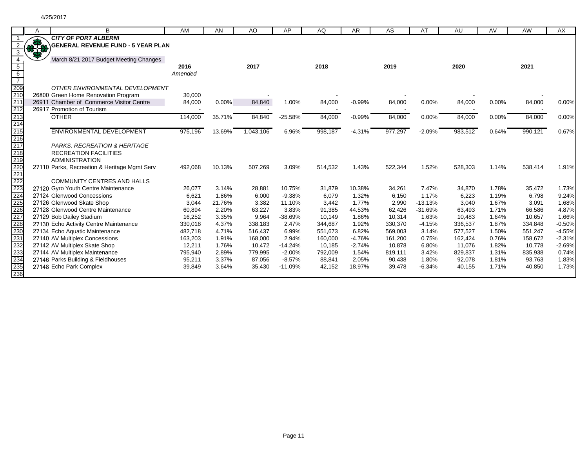|                                                                                                                | Α           | B                                                                        | AM      | AN     | AO        | AP        | AQ      | <b>AR</b> | AS      | AT        | AU      | AV    | AW      | AX       |
|----------------------------------------------------------------------------------------------------------------|-------------|--------------------------------------------------------------------------|---------|--------|-----------|-----------|---------|-----------|---------|-----------|---------|-------|---------|----------|
|                                                                                                                | <b>RASA</b> | <b>CITY OF PORT ALBERNI</b><br><b>GENERAL REVENUE FUND - 5 YEAR PLAN</b> |         |        |           |           |         |           |         |           |         |       |         |          |
| 3<br>$\overline{4}$                                                                                            | 88          | March 8/21 2017 Budget Meeting Changes                                   |         |        |           |           |         |           |         |           |         |       |         |          |
| $5\overline{)}$                                                                                                |             |                                                                          | 2016    |        | 2017      |           | 2018    |           | 2019    |           | 2020    |       | 2021    |          |
| $6\overline{6}$<br>$\overline{7}$                                                                              |             |                                                                          | Amended |        |           |           |         |           |         |           |         |       |         |          |
| $\frac{1}{209}$<br>210<br>211<br>212                                                                           |             | OTHER ENVIRONMENTAL DEVELOPMENT                                          |         |        |           |           |         |           |         |           |         |       |         |          |
|                                                                                                                |             | 26800 Green Home Renovation Program                                      | 30,000  |        |           |           |         |           |         |           |         |       |         |          |
|                                                                                                                |             | 26911 Chamber of Commerce Visitor Centre                                 | 84,000  | 0.00%  | 84,840    | 1.00%     | 84,000  | $-0.99%$  | 84,000  | 0.00%     | 84,000  | 0.00% | 84,000  | 0.00%    |
|                                                                                                                |             | 26917 Promotion of Tourism                                               |         |        |           |           |         |           |         |           |         |       |         |          |
| 213                                                                                                            |             | <b>OTHER</b>                                                             | 114,000 | 35.71% | 84,840    | $-25.58%$ | 84,000  | $-0.99%$  | 84,000  | 0.00%     | 84,000  | 0.00% | 84,000  | 0.00%    |
| 214                                                                                                            |             |                                                                          |         |        |           |           |         |           |         |           |         |       |         |          |
|                                                                                                                |             | ENVIRONMENTAL DEVELOPMENT                                                | 975,196 | 13.69% | 1,043,106 | 6.96%     | 998,187 | $-4.31%$  | 977,297 | $-2.09%$  | 983,512 | 0.64% | 990,121 | 0.67%    |
|                                                                                                                |             |                                                                          |         |        |           |           |         |           |         |           |         |       |         |          |
|                                                                                                                |             | PARKS, RECREATION & HERITAGE                                             |         |        |           |           |         |           |         |           |         |       |         |          |
|                                                                                                                |             | <b>RECREATION FACILITIES</b>                                             |         |        |           |           |         |           |         |           |         |       |         |          |
|                                                                                                                |             | <b>ADMINISTRATION</b>                                                    |         |        |           |           |         |           |         |           |         |       |         |          |
|                                                                                                                |             | 27110 Parks, Recreation & Heritage Mgmt Serv                             | 492,068 | 10.13% | 507,269   | 3.09%     | 514,532 | 1.43%     | 522,344 | 1.52%     | 528,303 | 1.14% | 538,414 | 1.91%    |
|                                                                                                                |             |                                                                          |         |        |           |           |         |           |         |           |         |       |         |          |
|                                                                                                                |             | <b>COMMUNITY CENTRES AND HALLS</b>                                       |         |        |           |           |         |           |         |           |         |       |         |          |
|                                                                                                                |             | 27120 Gyro Youth Centre Maintenance                                      | 26,077  | 3.14%  | 28,881    | 10.75%    | 31,879  | 10.38%    | 34,261  | 7.47%     | 34,870  | 1.78% | 35,472  | 1.73%    |
|                                                                                                                |             | 27124 Glenwood Concessions                                               | 6,621   | 1.86%  | 6,000     | $-9.38%$  | 6,079   | 1.32%     | 6,150   | 1.17%     | 6,223   | 1.19% | 6,798   | 9.24%    |
|                                                                                                                |             | 27126 Glenwood Skate Shop                                                | 3,044   | 21.76% | 3,382     | 11.10%    | 3,442   | 1.77%     | 2,990   | $-13.13%$ | 3,040   | 1.67% | 3,091   | 1.68%    |
|                                                                                                                |             | 27128 Glenwood Centre Maintenance                                        | 60,894  | 2.20%  | 63,227    | 3.83%     | 91,385  | 44.53%    | 62,426  | $-31.69%$ | 63,493  | 1.71% | 66,586  | 4.87%    |
|                                                                                                                |             | 27129 Bob Dailey Stadium                                                 | 16,252  | 3.35%  | 9,964     | $-38.69%$ | 10,149  | 1.86%     | 10,314  | 1.63%     | 10,483  | 1.64% | 10,657  | 1.66%    |
|                                                                                                                |             | 27130 Echo Activity Centre Maintenance                                   | 330,018 | 4.37%  | 338,183   | 2.47%     | 344,687 | 1.92%     | 330,370 | $-4.15%$  | 336,537 | 1.87% | 334,848 | $-0.50%$ |
|                                                                                                                |             | 27134 Echo Aquatic Maintenance                                           | 482,718 | 4.71%  | 516,437   | 6.99%     | 551,673 | 6.82%     | 569,003 | 3.14%     | 577,527 | 1.50% | 551,247 | $-4.55%$ |
| 215<br>216 217 218<br>219 220 2212 2223<br>2222 2223 2222 2222 2232 2332<br>2332 2332 2332 2332 2332 2332 2332 |             | 27140 AV Multiplex Concessions                                           | 163,203 | 1.91%  | 168,000   | 2.94%     | 160,000 | $-4.76%$  | 161,200 | 0.75%     | 162,424 | 0.76% | 158,672 | $-2.31%$ |
|                                                                                                                |             | 27142 AV Multiplex Skate Shop                                            | 12,211  | 1.76%  | 10,472    | $-14.24%$ | 10,185  | $-2.74%$  | 10,878  | 6.80%     | 11,076  | 1.82% | 10,778  | $-2.69%$ |
|                                                                                                                |             | 27144 AV Multiplex Maintenance                                           | 795,940 | 2.89%  | 779,995   | $-2.00%$  | 792,009 | 1.54%     | 819,111 | 3.42%     | 829,837 | 1.31% | 835,938 | 0.74%    |
|                                                                                                                |             | 27146 Parks Building & Fieldhouses                                       | 95,211  | 3.37%  | 87,056    | $-8.57%$  | 88,841  | 2.05%     | 90,438  | 1.80%     | 92,078  | 1.81% | 93,763  | 1.83%    |
|                                                                                                                |             | 27148 Echo Park Complex                                                  | 39,849  | 3.64%  | 35,430    | $-11.09%$ | 42,152  | 18.97%    | 39,478  | $-6.34%$  | 40,155  | 1.71% | 40,850  | 1.73%    |
| 236                                                                                                            |             |                                                                          |         |        |           |           |         |           |         |           |         |       |         |          |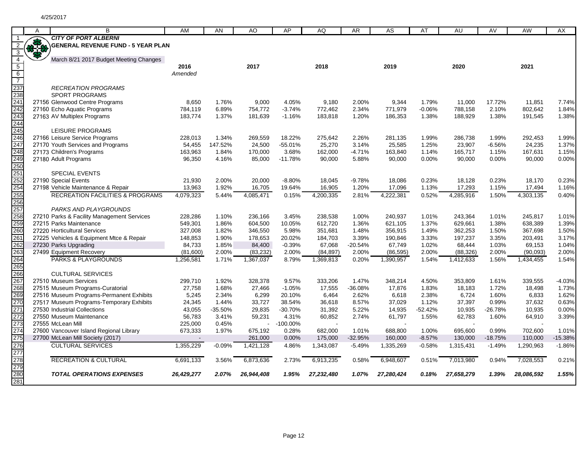|                                 | A   | B                                           | AM         | AN        | AO         | AP          | AQ         | AR        | AS         | AT        | AU         | AV        | AW         | AX        |
|---------------------------------|-----|---------------------------------------------|------------|-----------|------------|-------------|------------|-----------|------------|-----------|------------|-----------|------------|-----------|
|                                 |     | <b>CITY OF PORT ALBERNI</b>                 |            |           |            |             |            |           |            |           |            |           |            |           |
| $\overline{2}$                  | *** | <b>GENERAL REVENUE FUND - 5 YEAR PLAN</b>   |            |           |            |             |            |           |            |           |            |           |            |           |
| $\overline{3}$                  |     |                                             |            |           |            |             |            |           |            |           |            |           |            |           |
| $\overline{4}$                  |     | March 8/21 2017 Budget Meeting Changes      |            |           |            |             |            |           |            |           |            |           |            |           |
| $\overline{5}$                  |     |                                             | 2016       |           | 2017       |             | 2018       |           | 2019       |           | 2020       |           | 2021       |           |
| $6\overline{6}$                 |     |                                             | Amended    |           |            |             |            |           |            |           |            |           |            |           |
| $\overline{7}$                  |     |                                             |            |           |            |             |            |           |            |           |            |           |            |           |
|                                 |     | <b>RECREATION PROGRAMS</b>                  |            |           |            |             |            |           |            |           |            |           |            |           |
|                                 |     | SPORT PROGRAMS                              |            |           |            |             |            |           |            |           |            |           |            |           |
|                                 |     | 27156 Glenwood Centre Programs              | 8,650      | 1.76%     | 9,000      | 4.05%       | 9,180      | 2.00%     | 9,344      | 1.79%     | 11,000     | 17.72%    | 11,851     | 7.74%     |
| 237<br>238<br>241<br>242<br>243 |     | 27160 Echo Aquatic Programs                 | 784,119    | 6.89%     | 754,772    | $-3.74%$    | 772,462    | 2.34%     | 771,979    | $-0.06%$  | 788,158    | 2.10%     | 802,642    | 1.84%     |
|                                 |     | 27163 AV Multiplex Programs                 | 183,774    | 1.37%     | 181,639    | $-1.16%$    | 183,818    | 1.20%     | 186,353    | 1.38%     | 188,929    | 1.38%     | 191,545    | 1.38%     |
|                                 |     |                                             |            |           |            |             |            |           |            |           |            |           |            |           |
| 244<br>245                      |     | LEISURE PROGRAMS                            |            |           |            |             |            |           |            |           |            |           |            |           |
|                                 |     | 27166 Leisure Service Programs              | 228,013    | 1.34%     | 269,559    | 18.22%      | 275,642    | 2.26%     | 281,135    | 1.99%     | 286,738    | 1.99%     | 292,453    | 1.99%     |
|                                 |     | 27170 Youth Services and Programs           | 54,455     | 147.52%   | 24,500     | $-55.01%$   | 25,270     | 3.14%     | 25,585     | 1.25%     | 23,907     | $-6.56%$  | 24,235     | 1.37%     |
| 246<br>247<br>248<br>249        |     | 27173 Children's Programs                   | 163,963    | 1.84%     | 170,000    | 3.68%       | 162,000    | $-4.71%$  | 163,840    | 1.14%     | 165,717    | 1.15%     | 167,631    | 1.15%     |
|                                 |     | 27180 Adult Programs                        | 96,350     | 4.16%     | 85,000     | $-11.78%$   | 90,000     | 5.88%     | 90,000     | 0.00%     | 90,000     | 0.00%     | 90,000     | 0.00%     |
| 250                             |     |                                             |            |           |            |             |            |           |            |           |            |           |            |           |
| 251                             |     | <b>SPECIAL EVENTS</b>                       |            |           |            |             |            |           |            |           |            |           |            |           |
|                                 |     | 27190 Special Events                        | 21,930     | 2.00%     | 20,000     | $-8.80%$    | 18,045     | $-9.78%$  | 18,086     | 0.23%     | 18,128     | 0.23%     | 18,170     | 0.23%     |
|                                 |     | 27198 Vehicle Maintenance & Repair          | 13,963     | 1.92%     | 16,705     | 19.64%      | 16,905     | 1.20%     | 17,096     | 1.13%     | 17,293     | 1.15%     | 17,494     | 1.16%     |
|                                 |     | <b>RECREATION FACILITIES &amp; PROGRAMS</b> | 4,079,323  | 5.44%     | 4,085,471  | 0.15%       | 4,200,335  | 2.81%     | 4,222,381  | 0.52%     | 4,285,916  | 1.50%     | 4,303,135  | 0.40%     |
| 252<br>254<br>255<br>256<br>257 |     |                                             |            |           |            |             |            |           |            |           |            |           |            |           |
|                                 |     | PARKS AND PLAYGROUNDS                       |            |           |            |             |            |           |            |           |            |           |            |           |
|                                 |     | 27210 Parks & Facility Management Services  | 228,286    | 1.10%     | 236,166    | 3.45%       | 238,538    | 1.00%     | 240,937    | 1.01%     | 243,364    | 1.01%     | 245,817    | 1.01%     |
| 258<br>259                      |     | 27215 Parks Maintenance                     | 549,301    | 1.86%     | 604,500    | 10.05%      | 612,720    | 1.36%     | 621,105    | 1.37%     | 629,661    | 1.38%     | 638,389    | 1.39%     |
| 260                             |     | 27220 Horticultural Services                | 327,008    | 1.82%     | 346,550    | 5.98%       | 351,681    | 1.48%     | 356,915    | 1.49%     | 362,253    | 1.50%     | 367,698    | 1.50%     |
| 261                             |     | 27225 Vehicles & Equipment Mtce & Repair    | 148,853    | 1.90%     | 178,653    | 20.02%      | 184,703    | 3.39%     | 190,846    | 3.33%     | 197,237    | 3.35%     | 203,491    | 3.17%     |
|                                 |     | 27230 Parks Upgrading                       | 84,733     | 1.85%     | 84,400     | $-0.39%$    | 67,068     | $-20.54%$ | 67,749     | 1.02%     | 68,444     | 1.03%     | 69,153     | 1.04%     |
|                                 |     | 27499 Equipment Recovery                    | (81,600)   | 2.00%     | (83, 232)  | 2.00%       | (84, 897)  | 2.00%     | (86, 595)  | 2.00%     | (88, 326)  | 2.00%     | (90,093)   | 2.00%     |
| 262<br>263<br>264               |     | <b>PARKS &amp; PLAYGROUNDS</b>              | 1,256,581  | 1.71%     | 1,367,037  | 8.79%       | 1,369,813  | 0.20%     | 1,390,957  | 1.54%     | 1,412,633  | 1.56%     | 1,434,455  | 1.54%     |
| 265                             |     |                                             |            |           |            |             |            |           |            |           |            |           |            |           |
|                                 |     | <b>CULTURAL SERVICES</b>                    |            |           |            |             |            |           |            |           |            |           |            |           |
| 266<br>267<br>268               |     | 27510 Museum Services                       | 299,710    | 1.92%     | 328,378    | 9.57%       | 333,206    | 1.47%     | 348,214    | 4.50%     | 353,809    | 1.61%     | 339,555    | $-4.03%$  |
|                                 |     | 27515 Museum Programs-Curatorial            | 27,758     | 1.68%     | 27,466     | $-1.05%$    | 17,555     | $-36.08%$ | 17,876     | 1.83%     | 18,183     | 1.72%     | 18,498     | 1.73%     |
| 269                             |     | 27516 Museum Programs-Permanent Exhibits    | 5,245      | 2.34%     | 6,299      | 20.10%      | 6,464      | 2.62%     | 6,618      | 2.38%     | 6,724      | 1.60%     | 6,833      | 1.62%     |
| 270                             |     | 27517 Museum Programs-Temporary Exhibits    | 24,345     | 1.44%     | 33,727     | 38.54%      | 36,618     | 8.57%     | 37,029     | 1.12%     | 37,397     | 0.99%     | 37,632     | 0.63%     |
| 271                             |     | 27530 Industrial Collections                | 43,055     | $-35.50%$ | 29,835     | $-30.70%$   | 31,392     | 5.22%     | 14,935     | $-52.42%$ | 10,935     | $-26.78%$ | 10,935     | 0.00%     |
| 272                             |     | 27550 Museum Maintenance                    | 56,783     | 3.41%     | 59,231     | 4.31%       | 60,852     | 2.74%     | 61,797     | 1.55%     | 62,783     | 1.60%     | 64,910     | 3.39%     |
| 273                             |     | 27555 McLean Mill                           | 225,000    | 0.45%     |            | $-100.00\%$ |            |           |            |           |            |           |            |           |
| 274                             |     | 27600 Vancouver Island Regional Library     | 673,333    | 1.97%     | 675,192    | 0.28%       | 682,000    | 1.01%     | 688,800    | 1.00%     | 695,600    | 0.99%     | 702,600    | 1.01%     |
| 275                             |     | 27700 McLean Mill Society (2017)            |            |           | 261,000    | 0.00%       | 175,000    | $-32.95%$ | 160,000    | $-8.57%$  | 130,000    | $-18.75%$ | 110,000    | $-15.38%$ |
| 276                             |     | <b>CULTURAL SERVICES</b>                    | 1,355,229  | $-0.09%$  | 1,421,128  | 4.86%       | 1,343,087  | $-5.49%$  | 1,335,269  | $-0.58%$  | 1,315,431  | $-1.49%$  | 1,290,963  | $-1.86%$  |
| 277                             |     |                                             |            |           |            |             |            |           |            |           |            |           |            |           |
| 278                             |     | <b>RECREATION &amp; CULTURAL</b>            | 6,691,133  | 3.56%     | 6,873,636  | 2.73%       | 6,913,235  | 0.58%     | 6,948,607  | 0.51%     | 7,013,980  | 0.94%     | 7,028,553  | 0.21%     |
| 279                             |     |                                             |            |           |            |             |            |           |            |           |            |           |            |           |
| 280                             |     | <b>TOTAL OPERATIONS EXPENSES</b>            | 26,429,277 | 2.07%     | 26,944,408 | 1.95%       | 27,232,480 | 1.07%     | 27,280,424 | 0.18%     | 27,658,279 | 1.39%     | 28,086,592 | 1.55%     |
| 281                             |     |                                             |            |           |            |             |            |           |            |           |            |           |            |           |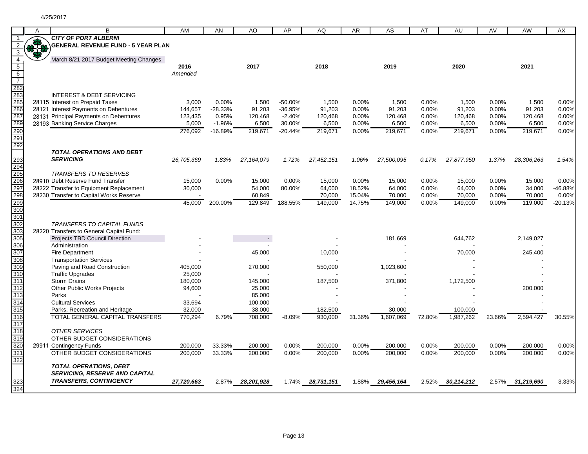|                         | A   | B                                                    | AM         | AN        | AO         | AP        | AQ               | <b>AR</b> | AS         | AT     | AU         | AV       | <b>AW</b>  | AX        |
|-------------------------|-----|------------------------------------------------------|------------|-----------|------------|-----------|------------------|-----------|------------|--------|------------|----------|------------|-----------|
|                         |     | <b>CITY OF PORT ALBERNI</b>                          |            |           |            |           |                  |           |            |        |            |          |            |           |
| $\overline{2}$          | *** | <b>GENERAL REVENUE FUND - 5 YEAR PLAN</b>            |            |           |            |           |                  |           |            |        |            |          |            |           |
| $\overline{3}$          |     |                                                      |            |           |            |           |                  |           |            |        |            |          |            |           |
| $\overline{4}$          |     | March 8/21 2017 Budget Meeting Changes               |            |           |            |           |                  |           |            |        |            |          |            |           |
| $\overline{5}$          |     |                                                      | 2016       |           | 2017       |           | 2018             |           | 2019       |        | 2020       |          | 2021       |           |
| $6\overline{6}$         |     |                                                      | Amended    |           |            |           |                  |           |            |        |            |          |            |           |
| $\overline{7}$          |     |                                                      |            |           |            |           |                  |           |            |        |            |          |            |           |
| 282                     |     |                                                      |            |           |            |           |                  |           |            |        |            |          |            |           |
| 283<br>285<br>286       |     | <b>INTEREST &amp; DEBT SERVICING</b>                 |            |           |            |           |                  |           |            |        |            |          |            |           |
|                         |     | 28115 Interest on Prepaid Taxes                      | 3.000      | $0.00\%$  | 1.500      | $-50.00%$ | 1.500            | $0.00\%$  | 1,500      | 0.00%  | 1,500      | $0.00\%$ | 1,500      | 0.00%     |
|                         |     | 28121 Interest Payments on Debentures                | 144,657    | $-28.33%$ | 91,203     | $-36.95%$ | 91,203           | 0.00%     | 91,203     | 0.00%  | 91,203     | 0.00%    | 91,203     | 0.00%     |
| 287                     |     | 28131 Principal Payments on Debentures               | 123,435    | 0.95%     | 120,468    | $-2.40%$  | 120,468          | 0.00%     | 120,468    | 0.00%  | 120,468    | 0.00%    | 120,468    | 0.00%     |
| 289                     |     | 28193 Banking Service Charges                        | 5,000      | $-1.96%$  | 6,500      | 30.00%    | 6,500            | 0.00%     | 6,500      | 0.00%  | 6,500      | 0.00%    | 6,500      | 0.00%     |
| 290                     |     |                                                      | 276,092    | $-16.89%$ | 219,671    | $-20.44%$ | 219,671          | 0.00%     | 219,671    | 0.00%  | 219,671    | 0.00%    | 219,671    | 0.00%     |
| 291                     |     |                                                      |            |           |            |           |                  |           |            |        |            |          |            |           |
| 292                     |     |                                                      |            |           |            |           |                  |           |            |        |            |          |            |           |
|                         |     | <b>TOTAL OPERATIONS AND DEBT</b><br><b>SERVICING</b> |            |           |            |           |                  |           |            |        |            |          |            |           |
| <u>293</u>              |     |                                                      | 26,705,369 | 1.83%     | 27,164,079 | 1.72%     | 27,452,151       | 1.06%     | 27,500,095 | 0.17%  | 27,877,950 | 1.37%    | 28,306,263 | 1.54%     |
| 294<br>295<br>296       |     | <b>TRANSFERS TO RESERVES</b>                         |            |           |            |           |                  |           |            |        |            |          |            |           |
|                         |     | 28910 Debt Reserve Fund Transfer                     | 15,000     | 0.00%     | 15,000     | 0.00%     | 15,000           | 0.00%     | 15,000     | 0.00%  | 15,000     | 0.00%    | 15,000     | 0.00%     |
| 297                     |     | 28222 Transfer to Equipment Replacement              | 30,000     |           | 54,000     | 80.00%    | 64,000           | 18.52%    | 64,000     | 0.00%  | 64,000     | 0.00%    | 34,000     | $-46.88%$ |
|                         |     | 28230 Transfer to Capital Works Reserve              |            |           | 60,849     |           | 70,000           | 15.04%    | 70,000     | 0.00%  | 70,000     | 0.00%    | 70,000     | 0.00%     |
| 298<br>299              |     |                                                      | 45,000     | 200.00%   | 129,849    | 188.55%   | 149,000          | 14.75%    | 149,000    | 0.00%  | 149,000    | 0.00%    | 119,000    | $-20.13%$ |
| 300                     |     |                                                      |            |           |            |           |                  |           |            |        |            |          |            |           |
| 301                     |     |                                                      |            |           |            |           |                  |           |            |        |            |          |            |           |
| 302                     |     | TRANSFERS TO CAPITAL FUNDS                           |            |           |            |           |                  |           |            |        |            |          |            |           |
| 303                     |     | 28220 Transfers to General Capital Fund:             |            |           |            |           |                  |           |            |        |            |          |            |           |
| 305                     |     | Projects TBD Council Direction                       |            |           |            |           |                  |           | 181,669    |        | 644,762    |          | 2,149,027  |           |
| 306                     |     | Administration                                       |            |           |            |           |                  |           |            |        |            |          |            |           |
| 307                     |     | <b>Fire Department</b>                               |            |           | 45,000     |           | 10,000           |           |            |        | 70,000     |          | 245,400    |           |
| 308                     |     | <b>Transportation Services</b>                       |            |           |            |           |                  |           |            |        |            |          |            |           |
| 309                     |     | Paving and Road Construction                         | 405,000    |           | 270,000    |           | 550,000          |           | 1,023,600  |        |            |          |            |           |
| 310                     |     | <b>Traffic Upgrades</b>                              | 25,000     |           |            |           |                  |           |            |        |            |          |            |           |
| 311                     |     | <b>Storm Drains</b>                                  | 180,000    |           | 145,000    |           | 187,500          |           | 371,800    |        | 1,172,500  |          |            |           |
| 312                     |     | <b>Other Public Works Projects</b>                   | 94,600     |           | 25,000     |           |                  |           |            |        |            |          | 200,000    |           |
| 313                     |     | Parks                                                |            |           | 85,000     |           |                  |           |            |        |            |          |            |           |
| 314                     |     | <b>Cultural Services</b>                             | 33.694     |           | 100,000    |           |                  |           |            |        |            |          |            |           |
| 315                     |     | Parks, Recreation and Heritage                       | 32,000     |           | 38,000     |           | 182,500          |           | 30,000     |        | 100,000    |          |            |           |
| 316                     |     | <b>TOTAL GENERAL CAPITAL TRANSFERS</b>               | 770,294    | 6.79%     | 708,000    | $-8.09%$  | 930,000          | 31.36%    | 1,607,069  | 72.80% | 1,987,262  | 23.66%   | 2,594,427  | 30.55%    |
| 317                     |     |                                                      |            |           |            |           |                  |           |            |        |            |          |            |           |
| 318                     |     | <b>OTHER SERVICES</b>                                |            |           |            |           |                  |           |            |        |            |          |            |           |
| 319<br>320              |     | OTHER BUDGET CONSIDERATIONS                          |            |           |            |           |                  |           |            |        |            |          |            |           |
|                         |     | 29911 Contingency Funds                              | 200,000    | 33.33%    | 200,000    | 0.00%     | 200,000          | 0.00%     | 200,000    | 0.00%  | 200,000    | 0.00%    | 200,000    | 0.00%     |
| 321                     |     | OTHER BUDGET CONSIDERATIONS                          | 200,000    | 33.33%    | 200,000    | 0.00%     | 200,000          | 0.00%     | 200,000    | 0.00%  | 200,000    | 0.00%    | 200,000    | 0.00%     |
| 322                     |     | <b>TOTAL OPERATIONS, DEBT</b>                        |            |           |            |           |                  |           |            |        |            |          |            |           |
|                         |     | <b>SERVICING, RESERVE AND CAPITAL</b>                |            |           |            |           |                  |           |            |        |            |          |            |           |
|                         |     | <b>TRANSFERS, CONTINGENCY</b>                        | 27,720,663 | 2.87%     | 28,201,928 |           | 1.74% 28,731,151 | 1.88%     | 29,456,164 | 2.52%  | 30,214,212 | 2.57%    | 31,219,690 | 3.33%     |
| 323<br>$\overline{324}$ |     |                                                      |            |           |            |           |                  |           |            |        |            |          |            |           |
|                         |     |                                                      |            |           |            |           |                  |           |            |        |            |          |            |           |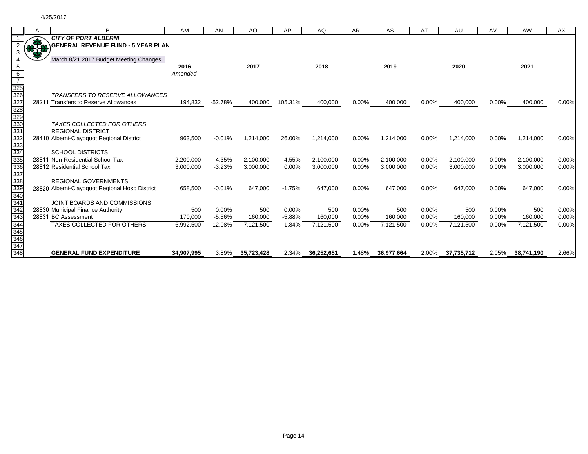|                   | A   | B                                              | AM         | AN        | AO         | AP       | AQ         | <b>AR</b> | AS         | AT       | AU         | AV       | AW         | AX    |
|-------------------|-----|------------------------------------------------|------------|-----------|------------|----------|------------|-----------|------------|----------|------------|----------|------------|-------|
|                   |     | <b>CITY OF PORT ALBERNI</b>                    |            |           |            |          |            |           |            |          |            |          |            |       |
|                   | 8.0 | <b>\GENERAL REVENUE FUND - 5 YEAR PLAN</b>     |            |           |            |          |            |           |            |          |            |          |            |       |
|                   | 55  |                                                |            |           |            |          |            |           |            |          |            |          |            |       |
|                   |     | March 8/21 2017 Budget Meeting Changes         |            |           |            |          |            |           |            |          |            |          |            |       |
| 5                 |     |                                                | 2016       |           | 2017       |          | 2018       |           | 2019       |          | 2020       |          | 2021       |       |
| 6                 |     |                                                | Amended    |           |            |          |            |           |            |          |            |          |            |       |
|                   |     |                                                |            |           |            |          |            |           |            |          |            |          |            |       |
| 325<br>326<br>327 |     | <b>TRANSFERS TO RESERVE ALLOWANCES</b>         |            |           |            |          |            |           |            |          |            |          |            |       |
|                   |     | 28211 Transfers to Reserve Allowances          | 194,832    | $-52.78%$ | 400,000    | 105.31%  | 400,000    | $0.00\%$  | 400,000    | 0.00%    | 400,000    | $0.00\%$ | 400,000    | 0.00% |
| 328               |     |                                                |            |           |            |          |            |           |            |          |            |          |            |       |
| 329               |     |                                                |            |           |            |          |            |           |            |          |            |          |            |       |
| 330               |     | <b>TAXES COLLECTED FOR OTHERS</b>              |            |           |            |          |            |           |            |          |            |          |            |       |
| 331               |     | <b>REGIONAL DISTRICT</b>                       |            |           |            |          |            |           |            |          |            |          |            |       |
|                   |     | 28410 Alberni-Clayoquot Regional District      | 963,500    | $-0.01%$  | 1,214,000  | 26.00%   | 1,214,000  | 0.00%     | 1,214,000  | 0.00%    | 1,214,000  | 0.00%    | 1,214,000  | 0.00% |
| 332<br>332<br>333 |     |                                                |            |           |            |          |            |           |            |          |            |          |            |       |
| 334               |     | <b>SCHOOL DISTRICTS</b>                        |            |           |            |          |            |           |            |          |            |          |            |       |
| 335               |     | 28811 Non-Residential School Tax               | 2,200,000  | $-4.35%$  | 2.100.000  | $-4.55%$ | 2,100,000  | $0.00\%$  | 2,100,000  | 0.00%    | 2,100,000  | $0.00\%$ | 2,100,000  | 0.00% |
| 336               |     | 28812 Residential School Tax                   | 3,000,000  | $-3.23%$  | 3,000,000  | 0.00%    | 3,000,000  | 0.00%     | 3,000,000  | 0.00%    | 3,000,000  | 0.00%    | 3,000,000  | 0.00% |
| 337               |     |                                                |            |           |            |          |            |           |            |          |            |          |            |       |
| 338               |     | <b>REGIONAL GOVERNMENTS</b>                    |            |           |            |          |            |           |            |          |            |          |            |       |
| $\frac{339}{340}$ |     | 28820 Alberni-Clayoquot Regional Hosp District | 658,500    | $-0.01%$  | 647,000    | $-1.75%$ | 647,000    | 0.00%     | 647,000    | 0.00%    | 647,000    | 0.00%    | 647,000    | 0.00% |
|                   |     |                                                |            |           |            |          |            |           |            |          |            |          |            |       |
| 341               |     | JOINT BOARDS AND COMMISSIONS                   |            |           |            |          |            |           |            |          |            |          |            |       |
| 342               |     | 28830 Municipal Finance Authority              | 500        | 0.00%     | 500        | $0.00\%$ | 500        | $0.00\%$  | 500        | $0.00\%$ | 500        | $0.00\%$ | 500        | 0.00% |
| 343               |     | 28831 BC Assessment                            | 170,000    | $-5.56%$  | 160,000    | $-5.88%$ | 160,000    | 0.00%     | 160,000    | 0.00%    | 160,000    | 0.00%    | 160,000    | 0.00% |
| 344               |     | <b>TAXES COLLECTED FOR OTHERS</b>              | 6,992,500  | 12.08%    | 7,121,500  | 1.84%    | 7,121,500  | 0.00%     | 7,121,500  | 0.00%    | 7,121,500  | 0.00%    | 7,121,500  | 0.00% |
| 345               |     |                                                |            |           |            |          |            |           |            |          |            |          |            |       |
| 346               |     |                                                |            |           |            |          |            |           |            |          |            |          |            |       |
| 347               |     |                                                |            |           |            |          |            |           |            |          |            |          |            |       |
| 348               |     | <b>GENERAL FUND EXPENDITURE</b>                | 34,907,995 | 3.89%     | 35,723,428 | 2.34%    | 36,252,651 | 1.48%     | 36,977,664 | 2.00%    | 37,735,712 | 2.05%    | 38,741,190 | 2.66% |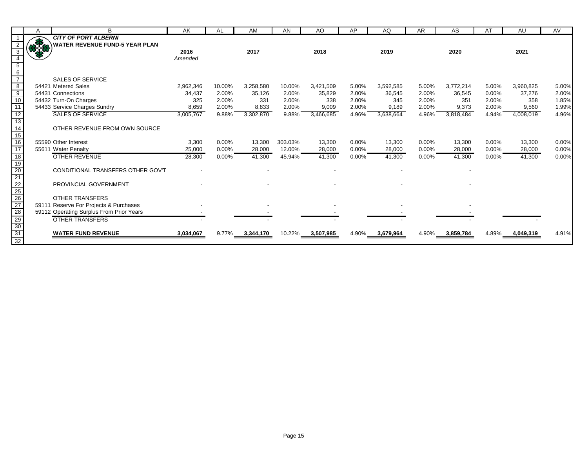|                                             | A | B                                        | AK        | AL       | AM                 | AN      | AO        | AP    | AQ        | AR       | AS              | AT       | AU        | AV    |
|---------------------------------------------|---|------------------------------------------|-----------|----------|--------------------|---------|-----------|-------|-----------|----------|-----------------|----------|-----------|-------|
|                                             |   | <b>CITY OF PORT ALBERNI</b>              |           |          |                    |         |           |       |           |          |                 |          |           |       |
|                                             |   | <b>WATER REVENUE FUND-5 YEAR PLAN</b>    |           |          |                    |         |           |       |           |          |                 |          |           |       |
|                                             |   |                                          | 2016      |          | 2017               |         | 2018      |       | 2019      |          | 2020            |          | 2021      |       |
|                                             |   |                                          | Amended   |          |                    |         |           |       |           |          |                 |          |           |       |
| $\begin{array}{c} 5 \\ 6 \\ 7 \end{array}$  |   |                                          |           |          |                    |         |           |       |           |          |                 |          |           |       |
|                                             |   |                                          |           |          |                    |         |           |       |           |          |                 |          |           |       |
|                                             |   | <b>SALES OF SERVICE</b>                  |           |          |                    |         |           |       |           |          |                 |          |           |       |
| $\begin{array}{c} 8 \\ 9 \\ 10 \end{array}$ |   | 54421 Metered Sales                      | 2,962,346 | 10.00%   | 3,258,580          | 10.00%  | 3,421,509 | 5.00% | 3,592,585 | 5.00%    | 3,772,214       | 5.00%    | 3,960,825 | 5.00% |
|                                             |   | 54431 Connections                        | 34,437    | 2.00%    | 35,126             | 2.00%   | 35,829    | 2.00% | 36,545    | 2.00%    | 36,545          | 0.00%    | 37,276    | 2.00% |
|                                             |   | 54432 Turn-On Charges                    | 325       | 2.00%    | 331                | 2.00%   | 338       | 2.00% | 345       | 2.00%    | 351             | 2.00%    | 358       | 1.85% |
| $\overline{11}$                             |   | 54433 Service Charges Sundry             | 8,659     | 2.00%    | 8,833              | 2.00%   | 9,009     | 2.00% | 9,189     | 2.00%    | 9,373           | 2.00%    | 9,560     | 1.99% |
| $\frac{12}{13}$                             |   | <b>SALES OF SERVICE</b>                  | 3,005,767 | 9.88%    | 3,302,870          | 9.88%   | 3,466,685 | 4.96% | 3,638,664 | 4.96%    | 3,818,484       | 4.94%    | 4,008,019 | 4.96% |
|                                             |   |                                          |           |          |                    |         |           |       |           |          |                 |          |           |       |
| $\frac{14}{15}$                             |   | OTHER REVENUE FROM OWN SOURCE            |           |          |                    |         |           |       |           |          |                 |          |           |       |
|                                             |   |                                          |           |          |                    |         |           |       |           |          |                 |          |           |       |
| 16                                          |   | 55590 Other Interest                     | 3,300     | $0.00\%$ | 13,300             | 303.03% | 13,300    | 0.00% | 13,300    | $0.00\%$ | 13,300          | $0.00\%$ | 13,300    | 0.00% |
| $\overline{17}$                             |   | 55611 Water Penalty                      | 25,000    | $0.00\%$ | 28,000             | 12.00%  | 28,000    | 0.00% | 28,000    | 0.00%    | 28,000          | $0.00\%$ | 28,000    | 0.00% |
|                                             |   | <b>OTHER REVENUE</b>                     | 28,300    | 0.00%    | 41,300             | 45.94%  | 41,300    | 0.00% | 41,300    | 0.00%    | 41,300          | 0.00%    | 41,300    | 0.00% |
|                                             |   |                                          |           |          |                    |         |           |       |           |          |                 |          |           |       |
|                                             |   | CONDITIONAL TRANSFERS OTHER GOV'T        |           |          |                    |         |           |       |           |          |                 |          |           |       |
|                                             |   |                                          |           |          |                    |         |           |       |           |          |                 |          |           |       |
|                                             |   | PROVINCIAL GOVERNMENT                    |           |          |                    |         |           |       |           |          |                 |          |           |       |
|                                             |   |                                          |           |          |                    |         |           |       |           |          |                 |          |           |       |
|                                             |   | OTHER TRANSFERS                          |           |          |                    |         |           |       |           |          |                 |          |           |       |
|                                             |   | 59111 Reserve For Projects & Purchases   |           |          |                    |         |           |       |           |          |                 |          |           |       |
|                                             |   | 59112 Operating Surplus From Prior Years |           |          |                    |         |           |       |           |          |                 |          |           |       |
|                                             |   | <b>OTHER TRANSFERS</b>                   |           |          |                    |         |           |       |           |          |                 |          |           |       |
| 18 19 20 21 22 25 26 27 28 29 30 31         |   |                                          |           |          |                    |         |           |       |           |          |                 |          |           |       |
| $\frac{1}{32}$                              |   | <b>WATER FUND REVENUE</b>                | 3,034,067 |          | $9.77\%$ 3,344,170 | 10.22%  | 3,507,985 | 4.90% | 3,679,964 |          | 4.90% 3,859,784 | 4.89%    | 4,049,319 | 4.91% |
|                                             |   |                                          |           |          |                    |         |           |       |           |          |                 |          |           |       |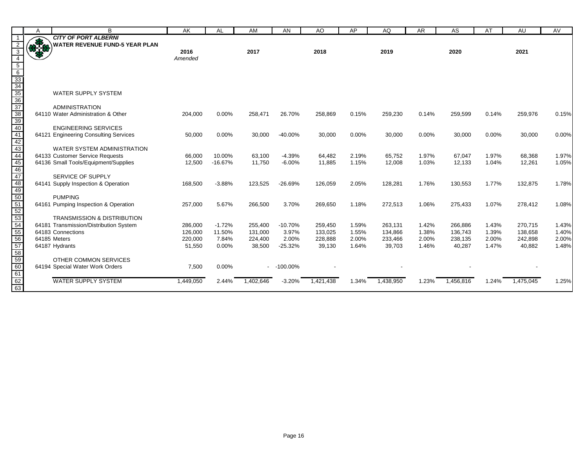|                                                                                         | A            | B                                                           | AK                 | AL              | AM                | AN             | AO                | AP             | AQ                | <b>AR</b>      | AS                 | AT             | AU                | AV             |
|-----------------------------------------------------------------------------------------|--------------|-------------------------------------------------------------|--------------------|-----------------|-------------------|----------------|-------------------|----------------|-------------------|----------------|--------------------|----------------|-------------------|----------------|
|                                                                                         |              | <b>CITY OF PORT ALBERNI</b>                                 |                    |                 |                   |                |                   |                |                   |                |                    |                |                   |                |
| 2                                                                                       | <b>OB 30</b> | <b>WATER REVENUE FUND-5 YEAR PLAN</b>                       |                    |                 |                   |                |                   |                |                   |                |                    |                |                   |                |
| $\overline{3}$                                                                          |              |                                                             | 2016               |                 | 2017              |                | 2018              |                | 2019              |                | 2020               |                | 2021              |                |
| $\overline{4}$                                                                          |              |                                                             | Amended            |                 |                   |                |                   |                |                   |                |                    |                |                   |                |
|                                                                                         |              |                                                             |                    |                 |                   |                |                   |                |                   |                |                    |                |                   |                |
|                                                                                         |              |                                                             |                    |                 |                   |                |                   |                |                   |                |                    |                |                   |                |
|                                                                                         |              |                                                             |                    |                 |                   |                |                   |                |                   |                |                    |                |                   |                |
|                                                                                         |              |                                                             |                    |                 |                   |                |                   |                |                   |                |                    |                |                   |                |
|                                                                                         |              | <b>WATER SUPPLY SYSTEM</b>                                  |                    |                 |                   |                |                   |                |                   |                |                    |                |                   |                |
|                                                                                         |              | <b>ADMINISTRATION</b>                                       |                    |                 |                   |                |                   |                |                   |                |                    |                |                   |                |
|                                                                                         |              | 64110 Water Administration & Other                          | 204,000            | 0.00%           | 258,471           | 26.70%         | 258,869           | 0.15%          | 259,230           | 0.14%          | 259,599            | 0.14%          | 259,976           | 0.15%          |
|                                                                                         |              |                                                             |                    |                 |                   |                |                   |                |                   |                |                    |                |                   |                |
|                                                                                         |              | <b>ENGINEERING SERVICES</b>                                 |                    |                 |                   |                |                   |                |                   |                |                    |                |                   |                |
|                                                                                         |              | 64121 Engineering Consulting Services                       | 50,000             | 0.00%           | 30,000            | $-40.00%$      | 30,000            | 0.00%          | 30,000            | 0.00%          | 30,000             | 0.00%          | 30,000            | 0.00%          |
|                                                                                         |              |                                                             |                    |                 |                   |                |                   |                |                   |                |                    |                |                   |                |
|                                                                                         |              | WATER SYSTEM ADMINISTRATION                                 |                    |                 |                   |                |                   |                |                   |                |                    |                |                   |                |
|                                                                                         |              | 64133 Customer Service Requests                             | 66,000             | 10.00%          | 63,100            | $-4.39%$       | 64,482            | 2.19%          | 65,752            | 1.97%          | 67,047             | 1.97%          | 68,368            | 1.97%          |
|                                                                                         |              | 64136 Small Tools/Equipment/Supplies                        | 12,500             | $-16.67%$       | 11,750            | $-6.00%$       | 11,885            | 1.15%          | 12,008            | 1.03%          | 12,133             | 1.04%          | 12,261            | 1.05%          |
|                                                                                         |              |                                                             |                    |                 |                   |                |                   |                |                   |                |                    |                |                   |                |
|                                                                                         |              | SERVICE OF SUPPLY                                           |                    |                 |                   |                |                   |                |                   |                |                    |                |                   |                |
|                                                                                         |              | 64141 Supply Inspection & Operation                         | 168,500            | $-3.88%$        | 123,525           | $-26.69%$      | 126,059           | 2.05%          | 128,281           | 1.76%          | 130,553            | 1.77%          | 132,875           | 1.78%          |
|                                                                                         |              |                                                             |                    |                 |                   |                |                   |                |                   |                |                    |                |                   |                |
|                                                                                         |              | <b>PUMPING</b>                                              |                    |                 |                   |                |                   |                |                   |                |                    |                |                   |                |
|                                                                                         |              | 64161 Pumping Inspection & Operation                        | 257,000            | 5.67%           | 266,500           | 3.70%          | 269,650           | 1.18%          | 272,513           | 1.06%          | 275,433            | 1.07%          | 278,412           | 1.08%          |
|                                                                                         |              |                                                             |                    |                 |                   |                |                   |                |                   |                |                    |                |                   |                |
|                                                                                         |              | <b>TRANSMISSION &amp; DISTRIBUTION</b>                      |                    |                 |                   |                |                   |                |                   |                |                    |                |                   |                |
|                                                                                         |              | 64181 Transmission/Distribution System<br>64183 Connections | 286,000            | $-1.72%$        | 255,400           | $-10.70%$      | 259,450           | 1.59%          | 263,131           | 1.42%          | 266,886            | 1.43%          | 270,715           | 1.43%          |
|                                                                                         |              | 64185 Meters                                                | 126,000<br>220,000 | 11.50%<br>7.84% | 131,000           | 3.97%<br>2.00% | 133,025           | 1.55%<br>2.00% | 134,866           | 1.38%<br>2.00% | 136,743<br>238,135 | 1.39%<br>2.00% | 138,658           | 1.40%<br>2.00% |
|                                                                                         |              | 64187 Hydrants                                              | 51,550             | 0.00%           | 224,400<br>38,500 | $-25.32%$      | 228,888<br>39,130 | 1.64%          | 233,466<br>39,703 | 1.46%          | 40,287             | 1.47%          | 242,898<br>40,882 | 1.48%          |
|                                                                                         |              |                                                             |                    |                 |                   |                |                   |                |                   |                |                    |                |                   |                |
| 5 6 33 34 35 36 37 38 39 40 41 42 43 44 44 45 44 49 49 50 51 52 53 54 55 65 67 68 59 60 |              | OTHER COMMON SERVICES                                       |                    |                 |                   |                |                   |                |                   |                |                    |                |                   |                |
|                                                                                         |              | 64194 Special Water Work Orders                             | 7,500              | 0.00%           |                   | $-100.00\%$    |                   |                |                   |                |                    |                |                   |                |
| 61                                                                                      |              |                                                             |                    |                 |                   |                |                   |                |                   |                |                    |                |                   |                |
|                                                                                         |              | <b>WATER SUPPLY SYSTEM</b>                                  | 1,449,050          | 2.44%           | 1,402,646         | $-3.20%$       | 1,421,438         | 1.34%          | 1,438,950         | 1.23%          | 1,456,816          | 1.24%          | 1,475,045         | 1.25%          |
| 62<br>63                                                                                |              |                                                             |                    |                 |                   |                |                   |                |                   |                |                    |                |                   |                |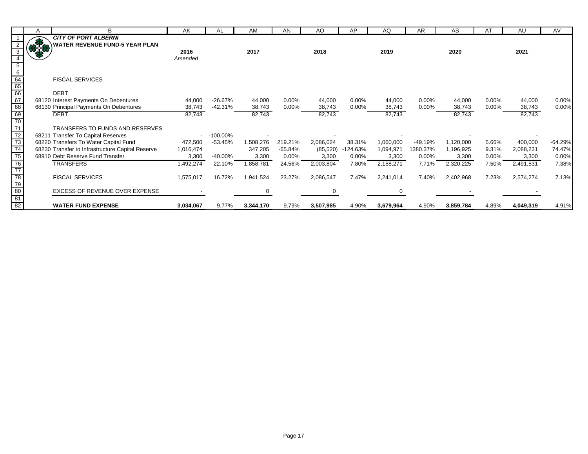|                           | A  | в                                                | AK        | AL          | AM        | AN        | AO.       | AP       | AQ        | AR.      | AS        | AT       | AU        | AV        |
|---------------------------|----|--------------------------------------------------|-----------|-------------|-----------|-----------|-----------|----------|-----------|----------|-----------|----------|-----------|-----------|
|                           |    | <b>CITY OF PORT ALBERNI</b>                      |           |             |           |           |           |          |           |          |           |          |           |           |
|                           |    | <b>WATER REVENUE FUND-5 YEAR PLAN</b>            |           |             |           |           |           |          |           |          |           |          |           |           |
|                           | ma |                                                  | 2016      |             | 2017      |           | 2018      |          | 2019      |          | 2020      |          | 2021      |           |
|                           |    |                                                  | Amended   |             |           |           |           |          |           |          |           |          |           |           |
|                           |    |                                                  |           |             |           |           |           |          |           |          |           |          |           |           |
| 6                         |    |                                                  |           |             |           |           |           |          |           |          |           |          |           |           |
|                           |    | <b>FISCAL SERVICES</b>                           |           |             |           |           |           |          |           |          |           |          |           |           |
| $rac{64}{65}$<br>66<br>67 |    |                                                  |           |             |           |           |           |          |           |          |           |          |           |           |
|                           |    | <b>DEBT</b>                                      |           |             |           |           |           |          |           |          |           |          |           |           |
|                           |    | 68120 Interest Payments On Debentures            | 44,000    | $-26.67%$   | 44,000    | 0.00%     | 44,000    | $0.00\%$ | 44,000    | 0.00%    | 44,000    | $0.00\%$ | 44,000    | 0.00%     |
| 68                        |    | 68130 Principal Payments On Debentures           | 38,743    | $-42.31%$   | 38,743    | $0.00\%$  | 38,743    | $0.00\%$ | 38,743    | 0.00%    | 38,743    | $0.00\%$ | 38,743    | 0.00%     |
| $\frac{69}{70}$           |    | <b>DEBT</b>                                      | 82,743    |             | 82,743    |           | 82,743    |          | 82,743    |          | 82,743    |          | 82,743    |           |
|                           |    |                                                  |           |             |           |           |           |          |           |          |           |          |           |           |
| $\overline{71}$           |    | TRANSFERS TO FUNDS AND RESERVES                  |           |             |           |           |           |          |           |          |           |          |           |           |
| 72                        |    | 68211 Transfer To Capital Reserves               |           | $-100.00\%$ |           |           |           |          |           |          |           |          |           |           |
| 73                        |    | 68220 Transfers To Water Capital Fund            | 472,500   | $-53.45%$   | 1,508,276 | 219.21%   | 2,086,024 | 38.31%   | 1,060,000 | -49.19%  | 1,120,000 | 5.66%    | 400,000   | $-64.29%$ |
| $\overline{74}$           |    | 68230 Transfer to Infrastructure Capital Reserve | 1,016,474 |             | 347,205   | $-65.84%$ | (85, 520) | 124.63%  | 1,094,971 | 1380.37% | 1,196,925 | 9.31%    | 2,088,231 | 74.47%    |
| 75                        |    | 68910 Debt Reserve Fund Transfer                 | 3,300     | $-40.00\%$  | 3,300     | 0.00%     | 3,300     | $0.00\%$ | 3,300     | $0.00\%$ | 3,300     | $0.00\%$ | 3,300     | 0.00%     |
| 76                        |    | <b>TRANSFERS</b>                                 | 1,492,274 | 22.10%      | 1,858,781 | 24.56%    | 2,003,804 | 7.80%    | 2,158,271 | 7.71%    | 2,320,225 | 7.50%    | 2,491,531 | 7.38%     |
| 77                        |    |                                                  |           |             |           |           |           |          |           |          |           |          |           |           |
| $rac{28}{5}$              |    | <b>FISCAL SERVICES</b>                           | 1,575,017 | 16.72%      | 1,941,524 | 23.27%    | 2,086,547 | 7.47%    | 2,241,014 | 7.40%    | 2,402,968 | 7.23%    | 2,574,274 | 7.13%     |
|                           |    |                                                  |           |             |           |           |           |          |           |          |           |          |           |           |
| 80                        |    | EXCESS OF REVENUE OVER EXPENSE                   |           |             |           |           |           |          |           |          |           |          |           |           |
| 81                        |    |                                                  |           |             |           |           |           |          |           |          |           |          |           |           |
| 82                        |    | <b>WATER FUND EXPENSE</b>                        | 3,034,067 | 9.77%       | 3,344,170 | 9.79%     | 3,507,985 | 4.90%    | 3,679,964 | 4.90%    | 3,859,784 | 4.89%    | 4,049,319 | 4.91%     |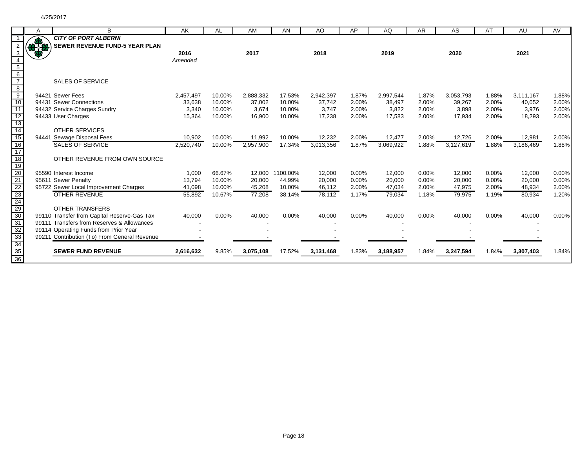|                                                                          | A   | B                                                             | AK        | AL               | AM        | AN               | AO               | AP             | AQ               | AR             | AS               | AT             | AU               | AV             |
|--------------------------------------------------------------------------|-----|---------------------------------------------------------------|-----------|------------------|-----------|------------------|------------------|----------------|------------------|----------------|------------------|----------------|------------------|----------------|
|                                                                          |     | <b>CITY OF PORT ALBERNI</b>                                   |           |                  |           |                  |                  |                |                  |                |                  |                |                  |                |
|                                                                          | ARA | <b>SEWER REVENUE FUND-5 YEAR PLAN</b>                         |           |                  |           |                  |                  |                |                  |                |                  |                |                  |                |
|                                                                          |     |                                                               | 2016      |                  | 2017      |                  | 2018             |                | 2019             |                | 2020             |                | 2021             |                |
|                                                                          |     |                                                               | Amended   |                  |           |                  |                  |                |                  |                |                  |                |                  |                |
| $5\overline{)}$                                                          |     |                                                               |           |                  |           |                  |                  |                |                  |                |                  |                |                  |                |
| $6\overline{6}$                                                          |     |                                                               |           |                  |           |                  |                  |                |                  |                |                  |                |                  |                |
|                                                                          |     | <b>SALES OF SERVICE</b>                                       |           |                  |           |                  |                  |                |                  |                |                  |                |                  |                |
| $\infty$                                                                 |     |                                                               |           |                  |           |                  |                  |                |                  |                |                  |                |                  |                |
| $\frac{1}{9}$                                                            |     | 94421 Sewer Fees                                              | 2,457,497 | 10.00%           | 2,888,332 | 17.53%           | 2,942,397        | 1.87%          | 2,997,544        | 1.87%          | 3,053,793        | 1.88%          | 3,111,167        | 1.88%          |
| 10                                                                       |     | 94431 Sewer Connections                                       | 33,638    | 10.00%           | 37,002    | 10.00%           | 37,742           | 2.00%          | 38,497           | 2.00%          | 39,267           | 2.00%          | 40,052           | 2.00%          |
| 11                                                                       |     | 94432 Service Charges Sundry                                  | 3,340     | 10.00%           | 3,674     | 10.00%           | 3,747            | 2.00%          | 3,822            | 2.00%          | 3,898            | 2.00%          | 3,976            | 2.00%          |
| $\frac{12}{13}$ $\frac{14}{15}$                                          |     | 94433 User Charges                                            | 15,364    | 10.00%           | 16,900    | 10.00%           | 17,238           | 2.00%          | 17,583           | 2.00%          | 17,934           | 2.00%          | 18,293           | 2.00%          |
|                                                                          |     |                                                               |           |                  |           |                  |                  |                |                  |                |                  |                |                  |                |
|                                                                          |     | <b>OTHER SERVICES</b>                                         |           |                  |           |                  |                  |                |                  |                |                  |                |                  |                |
|                                                                          |     | 94441 Sewage Disposal Fees                                    | 10,902    | 10.00%           | 11,992    | 10.00%           | 12,232           | 2.00%          | 12,477           | 2.00%          | 12,726           | 2.00%          | 12,981           | 2.00%          |
| 16                                                                       |     | <b>SALES OF SERVICE</b>                                       | 2,520,740 | 10.00%           | 2,957,900 | 17.34%           | 3,013,356        | 1.87%          | 3,069,922        | 1.88%          | 3,127,619        | 1.88%          | 3,186,469        | 1.88%          |
| 17                                                                       |     |                                                               |           |                  |           |                  |                  |                |                  |                |                  |                |                  |                |
| 18                                                                       |     | OTHER REVENUE FROM OWN SOURCE                                 |           |                  |           |                  |                  |                |                  |                |                  |                |                  |                |
| $\frac{1}{19}$                                                           |     |                                                               |           |                  |           |                  |                  |                |                  |                |                  |                |                  |                |
|                                                                          |     | 95590 Interest Income                                         | 1,000     | 66.67%           | 12,000    | 1100.00%         | 12,000           | 0.00%          | 12,000           | 0.00%          | 12,000           | 0.00%          | 12,000           | 0.00%          |
|                                                                          |     | 95611 Sewer Penalty                                           | 13,794    | 10.00%<br>10.00% | 20,000    | 44.99%<br>10.00% | 20,000<br>46,112 | 0.00%<br>2.00% | 20,000<br>47,034 | 0.00%<br>2.00% | 20,000<br>47,975 | 0.00%<br>2.00% | 20,000<br>48,934 | 0.00%<br>2.00% |
|                                                                          |     | 95722 Sewer Local Improvement Charges<br><b>OTHER REVENUE</b> | 41,098    |                  | 45,208    |                  |                  |                |                  |                |                  |                |                  | 1.20%          |
|                                                                          |     |                                                               | 55,892    | 10.67%           | 77,208    | 38.14%           | 78,112           | 1.17%          | 79,034           | 1.18%          | 79,975           | 1.19%          | 80,934           |                |
| $\frac{20}{21}$<br>$\frac{22}{23}$<br>$\frac{23}{29}$<br>$\frac{29}{30}$ |     | <b>OTHER TRANSFERS</b>                                        |           |                  |           |                  |                  |                |                  |                |                  |                |                  |                |
|                                                                          |     | 99110 Transfer from Capital Reserve-Gas Tax                   | 40,000    | 0.00%            | 40,000    | 0.00%            | 40,000           | 0.00%          | 40,000           | 0.00%          | 40,000           | 0.00%          | 40,000           | 0.00%          |
| 31                                                                       |     | 99111 Transfers from Reserves & Allowances                    |           |                  |           |                  |                  |                |                  |                |                  |                |                  |                |
| 32                                                                       |     | 99114 Operating Funds from Prior Year                         |           |                  |           |                  |                  |                |                  |                |                  |                |                  |                |
| 33                                                                       |     | 99211 Contribution (To) From General Revenue                  |           |                  |           |                  |                  |                |                  |                |                  |                |                  |                |
| 34                                                                       |     |                                                               |           |                  |           |                  |                  |                |                  |                |                  |                |                  |                |
| 35                                                                       |     | <b>SEWER FUND REVENUE</b>                                     | 2,616,632 | 9.85%            | 3,075,108 | 17.52%           | 3,131,468        | 1.83%          | 3,188,957        | 1.84%          | 3,247,594        | 1.84%          | 3,307,403        | 1.84%          |
| $\overline{36}$                                                          |     |                                                               |           |                  |           |                  |                  |                |                  |                |                  |                |                  |                |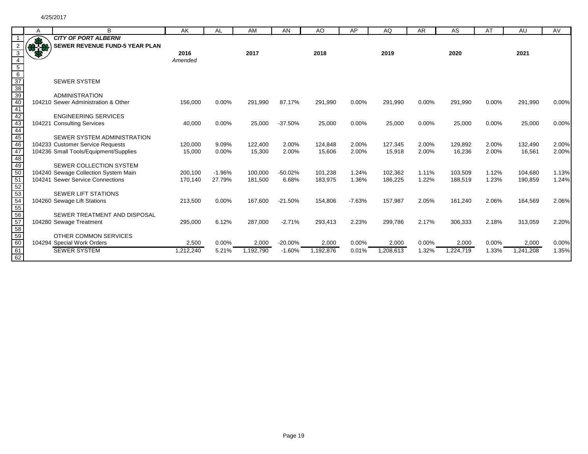|                                    | A           | B                                     | AK        | AL       | AM        | AN        | AO        | AP       | AQ        | <b>AR</b> | AS        | AT    | AU        | AV    |
|------------------------------------|-------------|---------------------------------------|-----------|----------|-----------|-----------|-----------|----------|-----------|-----------|-----------|-------|-----------|-------|
|                                    |             | <b>CITY OF PORT ALBERNI</b>           |           |          |           |           |           |          |           |           |           |       |           |       |
|                                    | <b>BLUE</b> | <b>SEWER REVENUE FUND-5 YEAR PLAN</b> |           |          |           |           |           |          |           |           |           |       |           |       |
| 3                                  |             |                                       | 2016      |          | 2017      |           | 2018      |          | 2019      |           | 2020      |       | 2021      |       |
|                                    |             |                                       | Amended   |          |           |           |           |          |           |           |           |       |           |       |
|                                    |             |                                       |           |          |           |           |           |          |           |           |           |       |           |       |
| $\frac{5}{6}$ $\frac{6}{37}$       |             |                                       |           |          |           |           |           |          |           |           |           |       |           |       |
|                                    |             | <b>SEWER SYSTEM</b>                   |           |          |           |           |           |          |           |           |           |       |           |       |
|                                    |             |                                       |           |          |           |           |           |          |           |           |           |       |           |       |
|                                    |             | <b>ADMINISTRATION</b>                 |           |          |           |           |           |          |           |           |           |       |           |       |
|                                    |             | 104210 Sewer Administration & Other   | 156,000   | 0.00%    | 291,990   | 87.17%    | 291,990   | 0.00%    | 291,990   | 0.00%     | 291,990   | 0.00% | 291,990   | 0.00% |
| $\frac{38}{39}$<br>$\frac{40}{42}$ |             |                                       |           |          |           |           |           |          |           |           |           |       |           |       |
|                                    |             | <b>ENGINEERING SERVICES</b>           |           |          |           |           |           |          |           |           |           |       |           |       |
|                                    |             | 104221 Consulting Services            | 40,000    | 0.00%    | 25,000    | $-37.50%$ | 25,000    | 0.00%    | 25,000    | 0.00%     | 25,000    | 0.00% | 25,000    | 0.00% |
| $\frac{1}{43}$<br>$\frac{44}{45}$  |             |                                       |           |          |           |           |           |          |           |           |           |       |           |       |
|                                    |             | SEWER SYSTEM ADMINISTRATION           |           |          |           |           |           |          |           |           |           |       |           |       |
| 46<br>47                           |             | 104233 Customer Service Requests      | 120,000   | 9.09%    | 122,400   | 2.00%     | 124,848   | 2.00%    | 127,345   | 2.00%     | 129,892   | 2.00% | 132,490   | 2.00% |
| 48                                 |             | 104236 Small Tools/Equipment/Supplies | 15,000    | 0.00%    | 15,300    | 2.00%     | 15,606    | 2.00%    | 15,918    | 2.00%     | 16,236    | 2.00% | 16,561    | 2.00% |
| 49                                 |             | SEWER COLLECTION SYSTEM               |           |          |           |           |           |          |           |           |           |       |           |       |
| 50                                 |             | 104240 Sewage Collection System Main  | 200,100   | $-1.96%$ | 100.000   | $-50.02%$ | 101,238   | 1.24%    | 102,362   | 1.11%     | 103,509   | 1.12% | 104,680   | 1.13% |
|                                    |             | 104241 Sewer Service Connections      | 170,140   | 27.79%   | 181,500   | 6.68%     | 183,975   | 1.36%    | 186,225   | 1.22%     | 188,519   | 1.23% | 190,859   | 1.24% |
| 51<br>52<br>53                     |             |                                       |           |          |           |           |           |          |           |           |           |       |           |       |
|                                    |             | <b>SEWER LIFT STATIONS</b>            |           |          |           |           |           |          |           |           |           |       |           |       |
|                                    |             | 104260 Sewage Lift Stations           | 213,500   | 0.00%    | 167,600   | $-21.50%$ | 154,806   | $-7.63%$ | 157,987   | 2.05%     | 161,240   | 2.06% | 164,569   | 2.06% |
| $\frac{54}{54}$                    |             |                                       |           |          |           |           |           |          |           |           |           |       |           |       |
| $\frac{1}{56}$                     |             | SEWER TREATMENT AND DISPOSAL          |           |          |           |           |           |          |           |           |           |       |           |       |
|                                    |             | 104280 Sewage Treatment               | 295,000   | 6.12%    | 287,000   | $-2.71%$  | 293,413   | 2.23%    | 299,786   | 2.17%     | 306,333   | 2.18% | 313,059   | 2.20% |
|                                    |             |                                       |           |          |           |           |           |          |           |           |           |       |           |       |
| 57<br>58<br>59<br>60               |             | OTHER COMMON SERVICES                 |           |          |           |           |           |          |           |           |           |       |           |       |
|                                    |             | 104294 Special Work Orders            | 2,500     | 0.00%    | 2,000     | $-20.00%$ | 2,000     | $0.00\%$ | 2,000     | 0.00%     | 2,000     | 0.00% | 2,000     | 0.00% |
| 61<br>62                           |             | <b>SEWER SYSTEM</b>                   | 1,212,240 | 5.21%    | 1,192,790 | $-1.60%$  | 1,192,876 | 0.01%    | 1,208,613 | 1.32%     | 1,224,719 | 1.33% | 1,241,208 | 1.35% |
|                                    |             |                                       |           |          |           |           |           |          |           |           |           |       |           |       |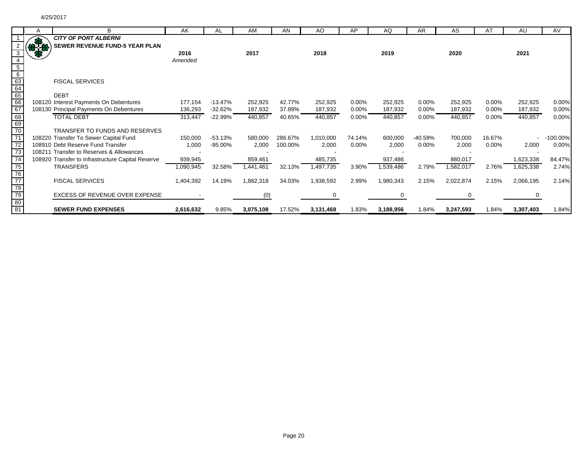|                                                                                          | A              | B                                                 | AK        | <b>AL</b> | AM        | AN      | AO        | AP       | AQ        | AR       | AS        | AT     | AU        | AV.         |
|------------------------------------------------------------------------------------------|----------------|---------------------------------------------------|-----------|-----------|-----------|---------|-----------|----------|-----------|----------|-----------|--------|-----------|-------------|
|                                                                                          |                | <b>CITY OF PORT ALBERNI</b>                       |           |           |           |         |           |          |           |          |           |        |           |             |
|                                                                                          | $\frac{37}{3}$ | <b>SEWER REVENUE FUND-5 YEAR PLAN</b>             |           |           |           |         |           |          |           |          |           |        |           |             |
|                                                                                          |                |                                                   | 2016      |           | 2017      |         | 2018      |          | 2019      |          | 2020      |        | 2021      |             |
|                                                                                          |                |                                                   | Amended   |           |           |         |           |          |           |          |           |        |           |             |
|                                                                                          |                |                                                   |           |           |           |         |           |          |           |          |           |        |           |             |
| $\frac{5}{6}$<br>$\frac{6}{63}$<br>$\frac{63}{64}$<br>$\frac{65}{66}$<br>$\frac{66}{67}$ |                |                                                   |           |           |           |         |           |          |           |          |           |        |           |             |
|                                                                                          |                | <b>FISCAL SERVICES</b>                            |           |           |           |         |           |          |           |          |           |        |           |             |
|                                                                                          |                |                                                   |           |           |           |         |           |          |           |          |           |        |           |             |
|                                                                                          |                | <b>DEBT</b>                                       |           |           |           |         |           |          |           |          |           |        |           |             |
|                                                                                          |                | 108120 Interest Payments On Debentures            | 177,154   | $-13.47%$ | 252,925   | 42.77%  | 252,925   | $0.00\%$ | 252,925   | 0.00%    | 252,925   | 0.00%  | 252,925   | 0.00%       |
|                                                                                          |                | 108130 Principal Payments On Debentures           | 136,293   | $-32.62%$ | 187,932   | 37.89%  | 187,932   | $0.00\%$ | 187,932   | $0.00\%$ | 187,932   | 0.00%  | 187,932   | 0.00%       |
| 68<br>69<br>70                                                                           |                | <b>TOTAL DEBT</b>                                 | 313,447   | $-22.99%$ | 440,857   | 40.65%  | 440,857   | 0.00%    | 440,857   | 0.00%    | 440,857   | 0.00%  | 440,857   | 0.00%       |
|                                                                                          |                |                                                   |           |           |           |         |           |          |           |          |           |        |           |             |
|                                                                                          |                | TRANSFER TO FUNDS AND RESERVES                    |           |           |           |         |           |          |           |          |           |        |           |             |
| 71                                                                                       |                | 108220 Transfer To Sewer Capital Fund             | 150,000   | $-53.13%$ | 580,000   | 286.67% | 1,010,000 | 74.14%   | 600,000   | -40.59%  | 700,000   | 16.67% |           | $-100.00\%$ |
|                                                                                          |                | 108910 Debt Reserve Fund Transfer                 | 1,000     | -95.00%   | 2,000     | 100.00% | 2,000     | 0.00%    | 2,000     | $0.00\%$ | 2,000     | 0.00%  | 2,000     | 0.00%       |
| $\frac{172}{73}$<br>$\frac{73}{74}$                                                      |                | 108211 Transfer to Reserves & Allowances          |           |           |           |         |           |          |           |          |           |        |           |             |
|                                                                                          |                | 108920 Transfer to Infrastructure Capital Reserve | 939,945   |           | 859,461   |         | 485,735   |          | 937,486   |          | 880,017   |        | 1,623,338 | 84.47%      |
|                                                                                          |                | <b>TRANSFERS</b>                                  | 1,090,945 | 32.58%    | 1,441,461 | 32.13%  | 1,497,735 | 3.90%    | 1,539,486 | 2.79%    | 1,582,017 | 2.76%  | 1,625,338 | 2.74%       |
|                                                                                          |                |                                                   |           |           |           |         |           |          |           |          |           |        |           |             |
|                                                                                          |                | <b>FISCAL SERVICES</b>                            | 1,404,392 | 14.19%    | 1,882,318 | 34.03%  | 1,938,592 | 2.99%    | 1,980,343 | 2.15%    | 2,022,874 | 2.15%  | 2,066,195 | 2.14%       |
|                                                                                          |                |                                                   |           |           |           |         |           |          |           |          |           |        |           |             |
| 75<br>76<br>77<br>78<br>79<br>80<br>81                                                   |                | EXCESS OF REVENUE OVER EXPENSE                    |           |           | (0)       |         |           |          |           |          |           |        |           |             |
|                                                                                          |                |                                                   |           |           |           |         |           |          |           |          |           |        |           |             |
|                                                                                          |                | <b>SEWER FUND EXPENSES</b>                        | 2,616,632 | 9.85%     | 3,075,108 | 17.52%  | 3,131,468 | 1.83%    | 3,188,956 | 1.84%    | 3,247,593 | 1.84%  | 3,307,403 | 1.84%       |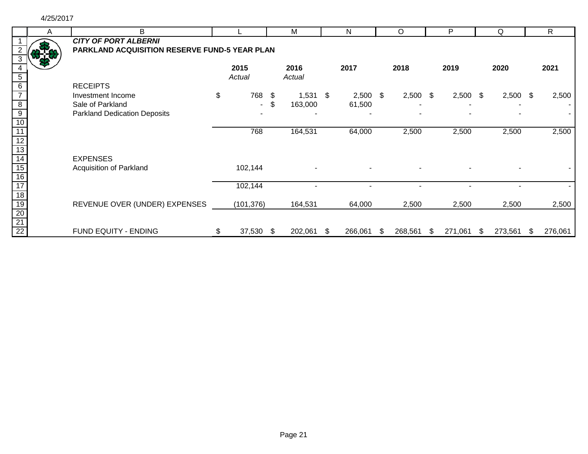4/25/2017

|                                    | A | B                                             |                 |     | М          |   | N          |   | $\circ$    | P             |    | Q          | R       |
|------------------------------------|---|-----------------------------------------------|-----------------|-----|------------|---|------------|---|------------|---------------|----|------------|---------|
|                                    |   | <b>CITY OF PORT ALBERNI</b>                   |                 |     |            |   |            |   |            |               |    |            |         |
|                                    |   | PARKLAND ACQUISITION RESERVE FUND-5 YEAR PLAN |                 |     |            |   |            |   |            |               |    |            |         |
|                                    |   |                                               |                 |     |            |   |            |   |            |               |    |            |         |
|                                    |   |                                               | 2015            |     | 2016       |   | 2017       |   | 2018       | 2019          |    | 2020       | 2021    |
| 5                                  |   |                                               | Actual          |     | Actual     |   |            |   |            |               |    |            |         |
| 6                                  |   | <b>RECEIPTS</b>                               |                 |     |            |   |            |   |            |               |    |            |         |
|                                    |   | Investment Income                             | \$<br>768       | -\$ | $1,531$ \$ |   | $2,500$ \$ |   | $2,500$ \$ | $2,500$ \$    |    | $2,500$ \$ | 2,500   |
| $\overline{\mathbf{8}}$            |   | Sale of Parkland                              | $\sim$          | \$  | 163,000    |   | 61,500     |   |            |               |    |            |         |
| $\overline{9}$                     |   | <b>Parkland Dedication Deposits</b>           |                 |     |            |   |            |   |            |               |    |            |         |
|                                    |   |                                               |                 |     |            |   |            |   |            |               |    |            |         |
|                                    |   |                                               | 768             |     | 164,531    |   | 64,000     |   | 2,500      | 2,500         |    | 2,500      | 2,500   |
|                                    |   |                                               |                 |     |            |   |            |   |            |               |    |            |         |
| 13                                 |   |                                               |                 |     |            |   |            |   |            |               |    |            |         |
| 14                                 |   | <b>EXPENSES</b>                               |                 |     |            |   |            |   |            |               |    |            |         |
| 15                                 |   | Acquisition of Parkland                       | 102,144         |     |            |   |            |   |            |               |    |            |         |
| $\overline{16}$                    |   |                                               |                 |     |            |   |            |   |            |               |    |            |         |
| 17                                 |   |                                               | 102,144         |     |            |   |            |   |            |               |    |            |         |
| $\overline{18}$                    |   |                                               |                 |     |            |   |            |   |            |               |    |            |         |
| $\overline{19}$                    |   | REVENUE OVER (UNDER) EXPENSES                 | (101, 376)      |     | 164,531    |   | 64,000     |   | 2,500      | 2,500         |    | 2,500      | 2,500   |
| $\frac{20}{21}$<br>$\frac{21}{22}$ |   |                                               |                 |     |            |   |            |   |            |               |    |            |         |
|                                    |   |                                               |                 |     |            |   |            |   |            |               |    |            |         |
|                                    |   | FUND EQUITY - ENDING                          | \$<br>37,530 \$ |     | 202,061    | S | 266,061    | S | 268,561    | \$<br>271,061 | S. | 273,561    | 276,061 |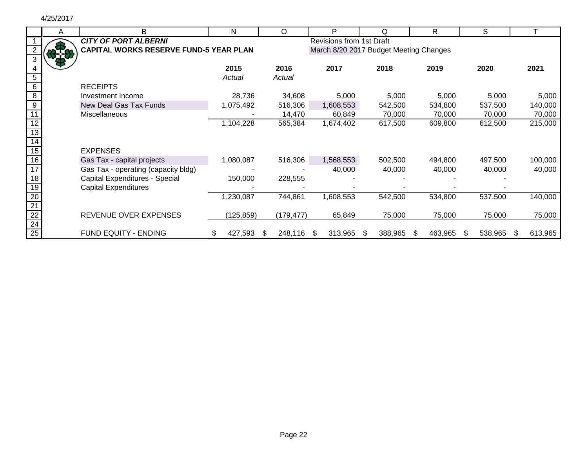#### 4/25/2017

|                  | A | B                                             | N          |   | O          |     | D                        |   | O                                      |     | R.      | S       |   |         |
|------------------|---|-----------------------------------------------|------------|---|------------|-----|--------------------------|---|----------------------------------------|-----|---------|---------|---|---------|
|                  |   | <b>CITY OF PORT ALBERNI</b>                   |            |   |            |     | Revisions from 1st Draft |   |                                        |     |         |         |   |         |
|                  |   | <b>CAPITAL WORKS RESERVE FUND-5 YEAR PLAN</b> |            |   |            |     |                          |   | March 8/20 2017 Budget Meeting Changes |     |         |         |   |         |
|                  |   |                                               |            |   |            |     |                          |   |                                        |     |         |         |   |         |
|                  |   |                                               | 2015       |   | 2016       |     | 2017                     |   | 2018                                   |     | 2019    | 2020    |   | 2021    |
|                  |   |                                               | Actual     |   | Actual     |     |                          |   |                                        |     |         |         |   |         |
|                  |   |                                               |            |   |            |     |                          |   |                                        |     |         |         |   |         |
| 6                |   | <b>RECEIPTS</b>                               |            |   |            |     |                          |   |                                        |     |         |         |   |         |
| 8                |   | Investment Income                             | 28,736     |   | 34,608     |     | 5,000                    |   | 5,000                                  |     | 5,000   | 5,000   |   | 5,000   |
| $\boldsymbol{9}$ |   | New Deal Gas Tax Funds                        | 1,075,492  |   | 516,306    |     | 1,608,553                |   | 542,500                                |     | 534,800 | 537,500 |   | 140,000 |
|                  |   | <b>Miscellaneous</b>                          |            |   | 14,470     |     | 60,849                   |   | 70,000                                 |     | 70,000  | 70,000  |   | 70,000  |
|                  |   |                                               | 1,104,228  |   | 565,384    |     | 1,674,402                |   | 617,500                                |     | 609,800 | 612,500 |   | 215,000 |
|                  |   |                                               |            |   |            |     |                          |   |                                        |     |         |         |   |         |
|                  |   |                                               |            |   |            |     |                          |   |                                        |     |         |         |   |         |
| 15               |   | <b>EXPENSES</b>                               |            |   |            |     |                          |   |                                        |     |         |         |   |         |
| 16               |   | Gas Tax - capital projects                    | 1,080,087  |   | 516,306    |     | 1,568,553                |   | 502,500                                |     | 494,800 | 497,500 |   | 100,000 |
| 17               |   | Gas Tax - operating (capacity bldg)           |            |   |            |     | 40,000                   |   | 40,000                                 |     | 40,000  | 40,000  |   | 40,000  |
| 18               |   | Capital Expenditures - Special                | 150,000    |   | 228,555    |     |                          |   |                                        |     |         |         |   |         |
| 19               |   | <b>Capital Expenditures</b>                   |            |   |            |     |                          |   |                                        |     |         |         |   |         |
| 20               |   |                                               | I,230,087  |   | 744,861    |     | 1,608,553                |   | 542,500                                |     | 534,800 | 537,500 |   | 140,000 |
| $\overline{21}$  |   |                                               |            |   |            |     |                          |   |                                        |     |         |         |   |         |
| $\overline{22}$  |   | REVENUE OVER EXPENSES                         | (125, 859) |   | (179, 477) |     | 65,849                   |   | 75,000                                 |     | 75,000  | 75,000  |   | 75,000  |
| $\overline{24}$  |   |                                               |            |   |            |     |                          |   |                                        |     |         |         |   |         |
| $\overline{25}$  |   | FUND EQUITY - ENDING                          | 427,593    | S | 248,116    | \$. | 313,965                  | S | 388,965                                | \$. | 463,965 | 538,965 | S | 613,965 |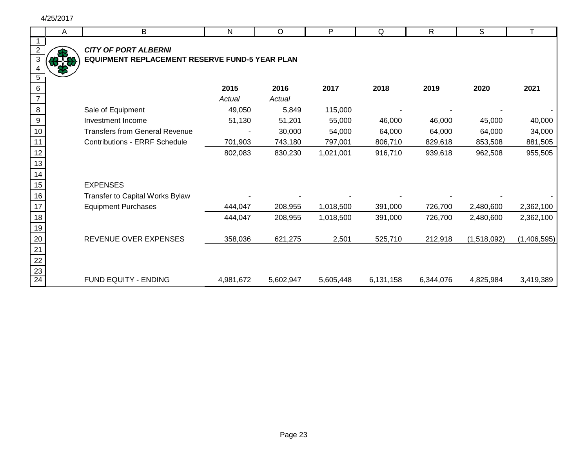|                                    | A | B                                              | N         | O         | P         | Q         | $\mathsf{R}$ | S           |             |
|------------------------------------|---|------------------------------------------------|-----------|-----------|-----------|-----------|--------------|-------------|-------------|
|                                    |   |                                                |           |           |           |           |              |             |             |
|                                    |   | <b>CITY OF PORT ALBERNI</b>                    |           |           |           |           |              |             |             |
| $\overline{3}$                     |   | EQUIPMENT REPLACEMENT RESERVE FUND-5 YEAR PLAN |           |           |           |           |              |             |             |
| $\sqrt{5}$                         |   |                                                |           |           |           |           |              |             |             |
| $6\phantom{1}$                     |   |                                                | 2015      | 2016      | 2017      | 2018      | 2019         | 2020        | 2021        |
|                                    |   |                                                | Actual    | Actual    |           |           |              |             |             |
| $\,8\,$                            |   | Sale of Equipment                              | 49,050    | 5,849     | 115,000   |           |              |             |             |
| $\boldsymbol{9}$                   |   | Investment Income                              | 51,130    | 51,201    | 55,000    | 46,000    | 46,000       | 45,000      | 40,000      |
| 10                                 |   | <b>Transfers from General Revenue</b>          |           | 30,000    | 54,000    | 64,000    | 64,000       | 64,000      | 34,000      |
| 11                                 |   | <b>Contributions - ERRF Schedule</b>           | 701,903   | 743,180   | 797,001   | 806,710   | 829,618      | 853,508     | 881,505     |
| 12                                 |   |                                                | 802,083   | 830,230   | 1,021,001 | 916,710   | 939,618      | 962,508     | 955,505     |
| 13                                 |   |                                                |           |           |           |           |              |             |             |
| 14                                 |   |                                                |           |           |           |           |              |             |             |
| 15                                 |   | <b>EXPENSES</b>                                |           |           |           |           |              |             |             |
| 16                                 |   | Transfer to Capital Works Bylaw                |           |           |           |           |              |             |             |
| 17                                 |   | <b>Equipment Purchases</b>                     | 444,047   | 208,955   | 1,018,500 | 391,000   | 726,700      | 2,480,600   | 2,362,100   |
| 18                                 |   |                                                | 444,047   | 208,955   | 1,018,500 | 391,000   | 726,700      | 2,480,600   | 2,362,100   |
| 19                                 |   |                                                |           |           |           |           |              |             |             |
| 20                                 |   | REVENUE OVER EXPENSES                          | 358,036   | 621,275   | 2,501     | 525,710   | 212,918      | (1,518,092) | (1,406,595) |
| $\overline{21}$                    |   |                                                |           |           |           |           |              |             |             |
| $\frac{22}{23}$<br>$\frac{23}{24}$ |   |                                                |           |           |           |           |              |             |             |
|                                    |   |                                                |           |           |           |           |              |             |             |
|                                    |   | FUND EQUITY - ENDING                           | 4,981,672 | 5,602,947 | 5,605,448 | 6,131,158 | 6,344,076    | 4,825,984   | 3,419,389   |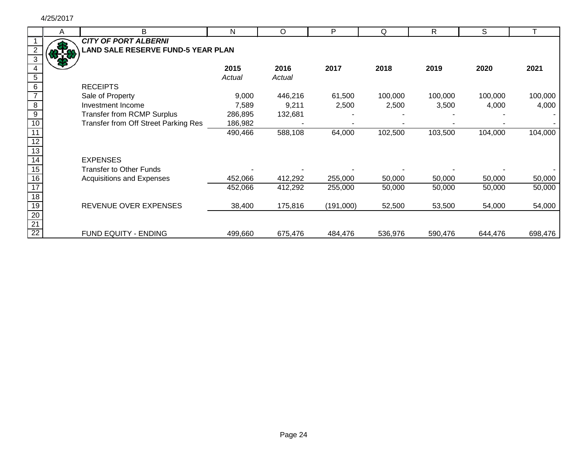┞

|                 | A   | B                                         | Ν       | O       | P         | Q       | $\mathsf{R}$ | S       |         |
|-----------------|-----|-------------------------------------------|---------|---------|-----------|---------|--------------|---------|---------|
|                 |     | <b>CITY OF PORT ALBERNI</b>               |         |         |           |         |              |         |         |
|                 |     | <b>LAND SALE RESERVE FUND-5 YEAR PLAN</b> |         |         |           |         |              |         |         |
|                 | אית |                                           |         |         |           |         |              |         |         |
|                 |     |                                           | 2015    | 2016    | 2017      | 2018    | 2019         | 2020    | 2021    |
|                 |     |                                           | Actual  | Actual  |           |         |              |         |         |
|                 |     | <b>RECEIPTS</b>                           |         |         |           |         |              |         |         |
|                 |     | Sale of Property                          | 9,000   | 446,216 | 61,500    | 100,000 | 100,000      | 100,000 | 100,000 |
| 8               |     | Investment Income                         | 7,589   | 9,211   | 2,500     | 2,500   | 3,500        | 4,000   | 4,000   |
| $\overline{9}$  |     | <b>Transfer from RCMP Surplus</b>         | 286,895 | 132,681 |           |         |              |         |         |
| 10              |     | Transfer from Off Street Parking Res      | 186,982 |         |           |         |              |         |         |
|                 |     |                                           | 490,466 | 588,108 | 64,000    | 102,500 | 103,500      | 104,000 | 104,000 |
|                 |     |                                           |         |         |           |         |              |         |         |
|                 |     |                                           |         |         |           |         |              |         |         |
|                 |     | <b>EXPENSES</b>                           |         |         |           |         |              |         |         |
| 15              |     | <b>Transfer to Other Funds</b>            |         |         |           |         |              |         |         |
| 16              |     | Acquisitions and Expenses                 | 452,066 | 412,292 | 255,000   | 50,000  | 50,000       | 50,000  | 50,000  |
|                 |     |                                           | 452,066 | 412,292 | 255,000   | 50,000  | 50,000       | 50,000  | 50,000  |
| 18              |     |                                           |         |         |           |         |              |         |         |
| 19              |     | REVENUE OVER EXPENSES                     | 38,400  | 175,816 | (191,000) | 52,500  | 53,500       | 54,000  | 54,000  |
| 20              |     |                                           |         |         |           |         |              |         |         |
| $\overline{21}$ |     |                                           |         |         |           |         |              |         |         |
| 22              |     | <b>FUND EQUITY - ENDING</b>               | 499,660 | 675,476 | 484,476   | 536,976 | 590,476      | 644,476 | 698,476 |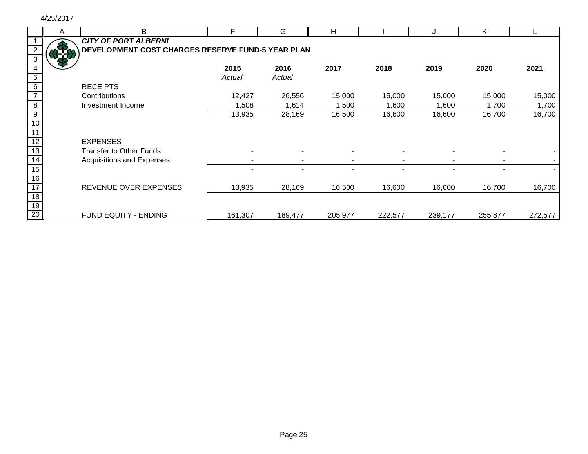|                 | A | B                                                 | F       | G       | H       |         |         | Κ       |         |
|-----------------|---|---------------------------------------------------|---------|---------|---------|---------|---------|---------|---------|
|                 |   | <b>CITY OF PORT ALBERNI</b>                       |         |         |         |         |         |         |         |
|                 |   | DEVELOPMENT COST CHARGES RESERVE FUND-5 YEAR PLAN |         |         |         |         |         |         |         |
|                 |   |                                                   |         |         |         |         |         |         |         |
|                 |   |                                                   | 2015    | 2016    | 2017    | 2018    | 2019    | 2020    | 2021    |
| 5               |   |                                                   | Actual  | Actual  |         |         |         |         |         |
| $\,6\,$         |   | <b>RECEIPTS</b>                                   |         |         |         |         |         |         |         |
|                 |   | Contributions                                     | 12,427  | 26,556  | 15,000  | 15,000  | 15,000  | 15,000  | 15,000  |
| $\overline{8}$  |   | Investment Income                                 | 1,508   | 1,614   | 1,500   | 1,600   | 1,600   | 1,700   | 1,700   |
| $\overline{9}$  |   |                                                   | 13,935  | 28,169  | 16,500  | 16,600  | 16,600  | 16,700  | 16,700  |
| 10              |   |                                                   |         |         |         |         |         |         |         |
| 11              |   |                                                   |         |         |         |         |         |         |         |
| 12              |   | <b>EXPENSES</b>                                   |         |         |         |         |         |         |         |
| $\overline{13}$ |   | <b>Transfer to Other Funds</b>                    |         |         |         |         |         |         |         |
| $\overline{14}$ |   | Acquisitions and Expenses                         |         |         |         |         |         |         |         |
| 15              |   |                                                   |         |         |         |         |         |         |         |
| 16              |   |                                                   |         |         |         |         |         |         |         |
| 17              |   | REVENUE OVER EXPENSES                             | 13,935  | 28,169  | 16,500  | 16,600  | 16,600  | 16,700  | 16,700  |
| $\overline{18}$ |   |                                                   |         |         |         |         |         |         |         |
| $\frac{19}{20}$ |   |                                                   |         |         |         |         |         |         |         |
|                 |   | FUND EQUITY - ENDING                              | 161,307 | 189,477 | 205,977 | 222,577 | 239,177 | 255,877 | 272,577 |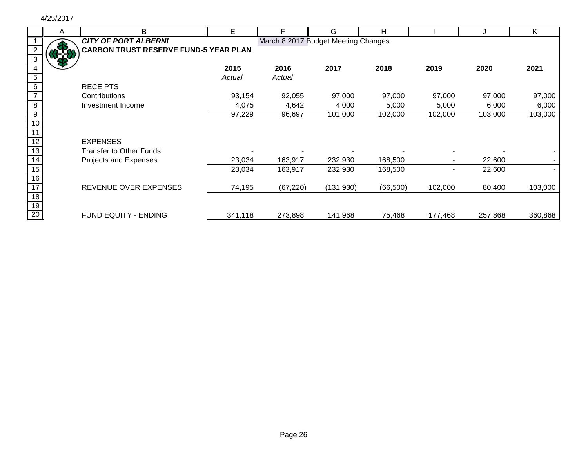|    | A   | B                                            | E       | F                                   | G          | H         |         |         |         |
|----|-----|----------------------------------------------|---------|-------------------------------------|------------|-----------|---------|---------|---------|
|    |     | <b>CITY OF PORT ALBERNI</b>                  |         | March 8 2017 Budget Meeting Changes |            |           |         |         |         |
|    | 818 | <b>CARBON TRUST RESERVE FUND-5 YEAR PLAN</b> |         |                                     |            |           |         |         |         |
|    |     |                                              |         |                                     |            |           |         |         |         |
|    |     |                                              | 2015    | 2016                                | 2017       | 2018      | 2019    | 2020    | 2021    |
|    |     |                                              | Actual  | Actual                              |            |           |         |         |         |
| 6  |     | <b>RECEIPTS</b>                              |         |                                     |            |           |         |         |         |
|    |     | Contributions                                | 93,154  | 92,055                              | 97,000     | 97,000    | 97,000  | 97,000  | 97,000  |
| 8  |     | Investment Income                            | 4,075   | 4,642                               | 4,000      | 5,000     | 5,000   | 6,000   | 6,000   |
| 9  |     |                                              | 97,229  | 96,697                              | 101,000    | 102,000   | 102,000 | 103,000 | 103,000 |
| 10 |     |                                              |         |                                     |            |           |         |         |         |
|    |     |                                              |         |                                     |            |           |         |         |         |
|    |     | <b>EXPENSES</b>                              |         |                                     |            |           |         |         |         |
| 13 |     | <b>Transfer to Other Funds</b>               |         |                                     |            |           |         |         |         |
| 14 |     | Projects and Expenses                        | 23,034  | 163,917                             | 232,930    | 168,500   |         | 22,600  |         |
| 15 |     |                                              | 23,034  | 163,917                             | 232,930    | 168,500   |         | 22,600  |         |
| 16 |     |                                              |         |                                     |            |           |         |         |         |
| 17 |     | REVENUE OVER EXPENSES                        | 74,195  | (67, 220)                           | (131, 930) | (66, 500) | 102,000 | 80,400  | 103,000 |
| 18 |     |                                              |         |                                     |            |           |         |         |         |
| 19 |     |                                              |         |                                     |            |           |         |         |         |
| 20 |     | <b>FUND EQUITY - ENDING</b>                  | 341,118 | 273,898                             | 141,968    | 75,468    | 177,468 | 257,868 | 360,868 |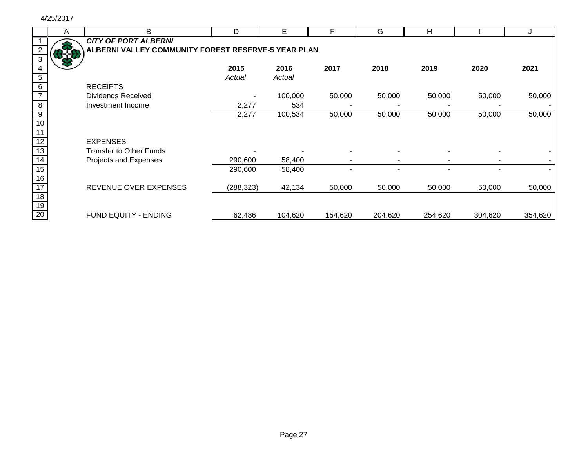|    | A   | B                                                   | D          | E       | F       | G       | н       |         |         |
|----|-----|-----------------------------------------------------|------------|---------|---------|---------|---------|---------|---------|
|    |     | <b>CITY OF PORT ALBERNI</b>                         |            |         |         |         |         |         |         |
|    | 878 | ALBERNI VALLEY COMMUNITY FOREST RESERVE-5 YEAR PLAN |            |         |         |         |         |         |         |
|    |     |                                                     |            |         |         |         |         |         |         |
|    |     |                                                     | 2015       | 2016    | 2017    | 2018    | 2019    | 2020    | 2021    |
|    |     |                                                     | Actual     | Actual  |         |         |         |         |         |
|    |     | <b>RECEIPTS</b>                                     |            |         |         |         |         |         |         |
|    |     | Dividends Received                                  |            | 100,000 | 50,000  | 50,000  | 50,000  | 50,000  | 50,000  |
| 8  |     | Investment Income                                   | 2,277      | 534     |         |         |         |         |         |
| 9  |     |                                                     | 2,277      | 100,534 | 50,000  | 50,000  | 50,000  | 50,000  | 50,000  |
| 10 |     |                                                     |            |         |         |         |         |         |         |
|    |     |                                                     |            |         |         |         |         |         |         |
| 12 |     | <b>EXPENSES</b>                                     |            |         |         |         |         |         |         |
| 13 |     | <b>Transfer to Other Funds</b>                      |            |         |         |         |         |         |         |
| 14 |     | Projects and Expenses                               | 290,600    | 58,400  |         |         |         |         |         |
| 15 |     |                                                     | 290,600    | 58,400  |         |         |         |         |         |
| 16 |     |                                                     |            |         |         |         |         |         |         |
| 17 |     | REVENUE OVER EXPENSES                               | (288, 323) | 42,134  | 50,000  | 50,000  | 50,000  | 50,000  | 50,000  |
| 18 |     |                                                     |            |         |         |         |         |         |         |
| 19 |     |                                                     |            |         |         |         |         |         |         |
| 20 |     | FUND EQUITY - ENDING                                | 62,486     | 104,620 | 154,620 | 204,620 | 254,620 | 304,620 | 354,620 |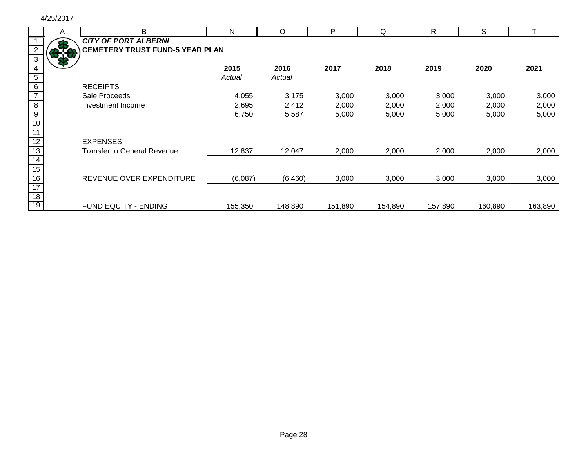|                 | A | B                                      | N       | $\Omega$ | P       | Q       | R       | S       |         |
|-----------------|---|----------------------------------------|---------|----------|---------|---------|---------|---------|---------|
|                 |   | <b>CITY OF PORT ALBERNI</b>            |         |          |         |         |         |         |         |
|                 |   | <b>CEMETERY TRUST FUND-5 YEAR PLAN</b> |         |          |         |         |         |         |         |
|                 |   |                                        |         |          |         |         |         |         |         |
|                 |   |                                        | 2015    | 2016     | 2017    | 2018    | 2019    | 2020    | 2021    |
| $\overline{5}$  |   |                                        | Actual  | Actual   |         |         |         |         |         |
| $\,6$           |   | <b>RECEIPTS</b>                        |         |          |         |         |         |         |         |
|                 |   | Sale Proceeds                          | 4,055   | 3,175    | 3,000   | 3,000   | 3,000   | 3,000   | 3,000   |
| $\overline{8}$  |   | Investment Income                      | 2,695   | 2,412    | 2,000   | 2,000   | 2,000   | 2,000   | 2,000   |
| $\overline{9}$  |   |                                        | 6,750   | 5,587    | 5,000   | 5,000   | 5,000   | 5,000   | 5,000   |
| $\overline{10}$ |   |                                        |         |          |         |         |         |         |         |
| 11              |   |                                        |         |          |         |         |         |         |         |
| 12              |   | <b>EXPENSES</b>                        |         |          |         |         |         |         |         |
| $\overline{13}$ |   | <b>Transfer to General Revenue</b>     | 12,837  | 12,047   | 2,000   | 2,000   | 2,000   | 2,000   | 2,000   |
| 14              |   |                                        |         |          |         |         |         |         |         |
| 15              |   |                                        |         |          |         |         |         |         |         |
| 16              |   | REVENUE OVER EXPENDITURE               | (6,087) | (6,460)  | 3,000   | 3,000   | 3,000   | 3,000   | 3,000   |
| 17              |   |                                        |         |          |         |         |         |         |         |
| $\overline{18}$ |   |                                        |         |          |         |         |         |         |         |
| 19              |   | <b>FUND EQUITY - ENDING</b>            | 155,350 | 148,890  | 151,890 | 154,890 | 157,890 | 160,890 | 163,890 |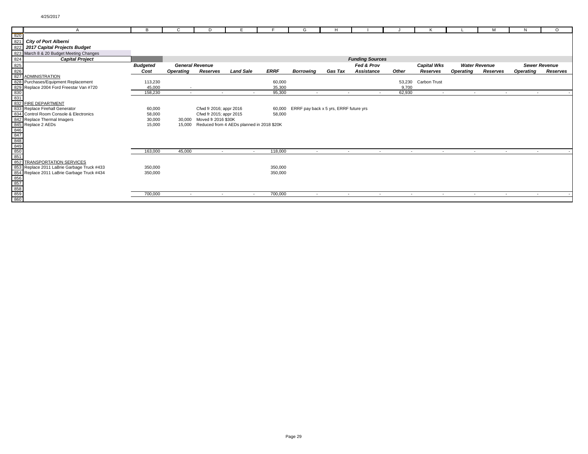| в<br>D<br>F<br>G<br>$\frac{820}{821}$<br><b>City of Port Alberni</b><br>822<br>2017 Capital Projects Budget<br>823 March 8 & 20 Budget Meeting Changes<br>824<br><b>Capital Project</b><br><b>Funding Sources</b>               | N<br>$\circ$<br>м<br><b>Sewer Revenue</b><br>Reserves<br><b>Operating</b><br>Reserves |
|---------------------------------------------------------------------------------------------------------------------------------------------------------------------------------------------------------------------------------|---------------------------------------------------------------------------------------|
|                                                                                                                                                                                                                                 |                                                                                       |
|                                                                                                                                                                                                                                 |                                                                                       |
|                                                                                                                                                                                                                                 |                                                                                       |
|                                                                                                                                                                                                                                 |                                                                                       |
|                                                                                                                                                                                                                                 |                                                                                       |
|                                                                                                                                                                                                                                 |                                                                                       |
| <b>General Revenue</b><br>Fed & Prov<br><b>Capital Wks</b><br><b>Water Revenue</b><br><b>Budgeted</b>                                                                                                                           |                                                                                       |
| Other<br><b>Land Sale</b><br><b>ERRF</b><br>Assistance<br>Cost<br>Reserves<br><b>Gas Tax</b><br><b>Operating</b><br><b>Borrowing</b><br>Reserves<br><b>Operating</b>                                                            |                                                                                       |
| $\begin{array}{r} 825 \\ 826 \\ 827 \end{array}$<br><b>ADMINISTRATION</b>                                                                                                                                                       |                                                                                       |
| 828 Purchases/Equipment Replacement<br>Carbon Trust<br>113,230<br>60,000<br>53,230                                                                                                                                              |                                                                                       |
| 35,300<br>9,700<br>45,000<br>$\overline{\phantom{a}}$                                                                                                                                                                           |                                                                                       |
| 95,300<br>62,930<br>158,230<br>$\overline{a}$<br>$\overline{a}$                                                                                                                                                                 | $\overline{a}$                                                                        |
|                                                                                                                                                                                                                                 |                                                                                       |
| 832 FIRE DEPARTMENT                                                                                                                                                                                                             |                                                                                       |
| 833 Replace Firehall Generator<br>60,000<br>Cfwd fr 2016; appr 2016<br>60,000<br>ERRF pay back x 5 yrs, ERRF future yrs                                                                                                         |                                                                                       |
| 834 Control Room Console & Electronics<br>58,000<br>58,000<br>Cfwd fr 2015; appr 2015                                                                                                                                           |                                                                                       |
| 842 Replace Thermal Imagers<br>30,000<br>Moved fr 2016 \$30K<br>30,000                                                                                                                                                          |                                                                                       |
| Reduced from 4 AEDs planned in 2018 \$20K<br>15,000<br>15.000                                                                                                                                                                   |                                                                                       |
|                                                                                                                                                                                                                                 |                                                                                       |
|                                                                                                                                                                                                                                 |                                                                                       |
|                                                                                                                                                                                                                                 |                                                                                       |
|                                                                                                                                                                                                                                 |                                                                                       |
| $\frac{642}{846}$ Replace Thermal<br>846<br>847<br>848<br>850<br>850<br>851<br>45.000<br>118,000<br>163,000<br>$\sim$<br>$\sim$<br>$\sim$<br>$\sim$<br>$\sim$<br>$\sim$<br>$\overline{\phantom{a}}$<br>$\overline{\phantom{a}}$ | $\sim$                                                                                |
| 852 TRANSPORTATION SERVICES                                                                                                                                                                                                     |                                                                                       |
|                                                                                                                                                                                                                                 |                                                                                       |
| 853 Replace 2011 LaBrie Garbage Truck #433<br>350,000<br>350,000                                                                                                                                                                |                                                                                       |
| 350,000<br>350,000                                                                                                                                                                                                              |                                                                                       |
|                                                                                                                                                                                                                                 |                                                                                       |
|                                                                                                                                                                                                                                 |                                                                                       |
| 700,000<br>700,000<br>$\overline{\phantom{a}}$<br>$\sim$<br>$\sim$<br>$\overline{\phantom{a}}$<br>$\sim$<br>$\sim$<br>$\sim$<br>$\sim$<br>$\sim$                                                                                | $\sim$<br>$\sim$                                                                      |
| 0554 Replace 2011 LaBrie Garbage Truck #434<br>856 Replace 2011 LaBrie Garbage Truck #434<br>856 888<br>859 860                                                                                                                 |                                                                                       |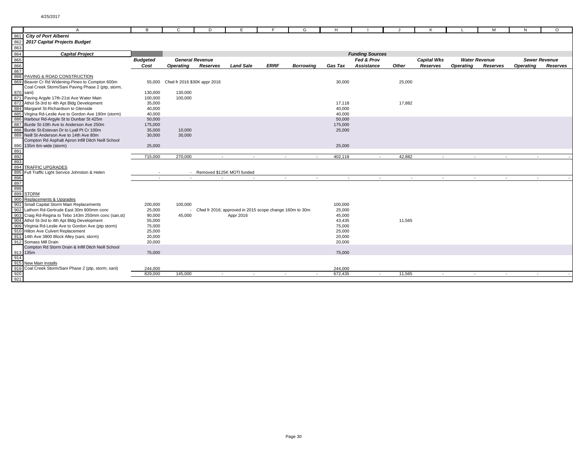|                          | A                                                                                                       | в               | C                            | D                      | F                                                       |             | G                        |                |                        |        |                    |           | м                    |           | $\Omega$             |
|--------------------------|---------------------------------------------------------------------------------------------------------|-----------------|------------------------------|------------------------|---------------------------------------------------------|-------------|--------------------------|----------------|------------------------|--------|--------------------|-----------|----------------------|-----------|----------------------|
|                          | 861 City of Port Alberni                                                                                |                 |                              |                        |                                                         |             |                          |                |                        |        |                    |           |                      |           |                      |
| 862                      | 2017 Capital Projects Budget                                                                            |                 |                              |                        |                                                         |             |                          |                |                        |        |                    |           |                      |           |                      |
|                          |                                                                                                         |                 |                              |                        |                                                         |             |                          |                |                        |        |                    |           |                      |           |                      |
|                          | 862<br>863<br>864 <b>Capital Project</b><br>865<br>866<br>867<br>868 PAVING & ROAD CONSTRUCTION         |                 |                              |                        |                                                         |             |                          |                | <b>Funding Sources</b> |        |                    |           |                      |           |                      |
|                          |                                                                                                         | <b>Budgeted</b> |                              | <b>General Revenue</b> |                                                         |             |                          |                | Fed & Prov             |        | <b>Capital Wks</b> |           | <b>Water Revenue</b> |           | <b>Sewer Revenue</b> |
|                          |                                                                                                         | Cost            | <b>Operating</b>             | Reserves               | <b>Land Sale</b>                                        | <b>ERRF</b> | Borrowing                | <b>Gas Tax</b> | Assistance             | Other  | Reserves           | Operating | Reserves             | Operating | <b>Reserves</b>      |
|                          |                                                                                                         |                 |                              |                        |                                                         |             |                          |                |                        |        |                    |           |                      |           |                      |
|                          |                                                                                                         |                 |                              |                        |                                                         |             |                          |                |                        |        |                    |           |                      |           |                      |
|                          | 869 Beaver Cr Rd Widening-Pineo to Compton 600m                                                         | 55,000          | Cfwd fr 2016 \$30K appr 2016 |                        |                                                         |             |                          | 30,000         |                        | 25,000 |                    |           |                      |           |                      |
|                          | Coal Creek Storm/Sani Paving Phase 2 (ptp, storm,                                                       |                 |                              |                        |                                                         |             |                          |                |                        |        |                    |           |                      |           |                      |
|                          |                                                                                                         | 130,000         | 130,000                      |                        |                                                         |             |                          |                |                        |        |                    |           |                      |           |                      |
|                          | 870 sani)<br>871 Paving Argyle 17th-21st Ave Water Main                                                 | 100,000         | 100,000                      |                        |                                                         |             |                          |                |                        |        |                    |           |                      |           |                      |
|                          | 872 Athol St-3rd to 4th Apt Bldg Development                                                            | 35,000          |                              |                        |                                                         |             |                          | 17,118         |                        | 17,882 |                    |           |                      |           |                      |
|                          | 884 Margaret St-Richardson to Glenside                                                                  | 40,000          |                              |                        |                                                         |             |                          | 40,000         |                        |        |                    |           |                      |           |                      |
|                          | 885 Virgina Rd-Leslie Ave to Gordon Ave 190m (storm)                                                    | 40,000          |                              |                        |                                                         |             |                          | 40,000         |                        |        |                    |           |                      |           |                      |
|                          | 886 Harbour Rd-Argyle St to Dunbar St 425m                                                              | 50,000          |                              |                        |                                                         |             |                          | 50,000         |                        |        |                    |           |                      |           |                      |
|                          | 887 Burde St-10th Ave to Anderson Ave 250m                                                              | 175,000         |                              |                        |                                                         |             |                          | 175,000        |                        |        |                    |           |                      |           |                      |
|                          | 888 Burde St-Estevan Dr to Lyall Pt Cr 100m                                                             | 35,000          | 10,000                       |                        |                                                         |             |                          | 25,000         |                        |        |                    |           |                      |           |                      |
|                          | 889 Neill St-Anderson Ave to 14th Ave 80m                                                               | 30,000          | 30,000                       |                        |                                                         |             |                          |                |                        |        |                    |           |                      |           |                      |
|                          | Compton Rd Asphalt Apron Infill Ditch Neill School                                                      |                 |                              |                        |                                                         |             |                          |                |                        |        |                    |           |                      |           |                      |
|                          | 890 135m 6m wide (storm)                                                                                | 25,000          |                              |                        |                                                         |             |                          | 25,000         |                        |        |                    |           |                      |           |                      |
|                          |                                                                                                         |                 |                              |                        |                                                         |             |                          |                |                        |        |                    |           |                      |           |                      |
| 891<br>892<br>893<br>894 |                                                                                                         | 715,000         | 270,000                      | $\sim$                 | $\sim$                                                  | $\sim$      | $\overline{\phantom{a}}$ | 402,118        | $\sim$                 | 42,882 | $\sim$             | $\sim$    | $\sim$               | $\sim$    |                      |
|                          |                                                                                                         |                 |                              |                        |                                                         |             |                          |                |                        |        |                    |           |                      |           |                      |
|                          | <b>TRAFFIC UPGRADES</b>                                                                                 |                 |                              |                        |                                                         |             |                          |                |                        |        |                    |           |                      |           |                      |
|                          | Full Traffic Light Service Johnston & Helen                                                             |                 |                              |                        | Removed \$125K MOTI funded                              |             |                          |                |                        |        |                    |           |                      |           |                      |
|                          | 895<br>896<br>896<br>897<br>898<br>899 STORM                                                            |                 |                              |                        | $\sim$                                                  |             | $\sim$                   | $\sim$         | $\sim$                 | $\sim$ | $\sim$             | $\sim$    | $\sim$               | $\sim$    |                      |
|                          |                                                                                                         |                 |                              |                        |                                                         |             |                          |                |                        |        |                    |           |                      |           |                      |
|                          |                                                                                                         |                 |                              |                        |                                                         |             |                          |                |                        |        |                    |           |                      |           |                      |
|                          |                                                                                                         |                 |                              |                        |                                                         |             |                          |                |                        |        |                    |           |                      |           |                      |
|                          | 900 Replacements & Upgrades                                                                             |                 |                              |                        |                                                         |             |                          |                |                        |        |                    |           |                      |           |                      |
|                          | 901 Small Capital Storm Main Replacements                                                               | 200,000         | 100,000                      |                        |                                                         |             |                          | 100,000        |                        |        |                    |           |                      |           |                      |
|                          |                                                                                                         | 25,000          |                              |                        | Cfwd fr 2016; approved in 2015 scope change 160m to 30m |             |                          | 25,000         |                        |        |                    |           |                      |           |                      |
|                          | 902 Lathom Rd-Gertrude East 30m 900111111 tonno<br>903 Craig Rd-Regina to Tebo 143m 250mm conc (san,st) | 90,000          | 45,000                       |                        | Appr 2016                                               |             |                          | 45,000         |                        |        |                    |           |                      |           |                      |
|                          | 904 Athol St-3rd to 4th Apt Bldg Development                                                            | 55,000          |                              |                        |                                                         |             |                          | 43,435         |                        | 11,565 |                    |           |                      |           |                      |
|                          | 909 Virginia Rd-Leslie Ave to Gordon Ave (ptp storm)                                                    | 75,000          |                              |                        |                                                         |             |                          | 75,000         |                        |        |                    |           |                      |           |                      |
|                          | 910 Hilton Ave Culvert Replacement                                                                      | 25,000          |                              |                        |                                                         |             |                          | 25,000         |                        |        |                    |           |                      |           |                      |
|                          | 911 14th Ave 3800 Block Alley (sani, storm)                                                             | 20,000          |                              |                        |                                                         |             |                          | 20,000         |                        |        |                    |           |                      |           |                      |
|                          | 912 Somass Mill Drain                                                                                   | 20,000          |                              |                        |                                                         |             |                          | 20,000         |                        |        |                    |           |                      |           |                      |
|                          | Compton Rd Storm Drain & Infill Ditch Neill School                                                      |                 |                              |                        |                                                         |             |                          |                |                        |        |                    |           |                      |           |                      |
|                          |                                                                                                         | 75,000          |                              |                        |                                                         |             |                          | 75,000         |                        |        |                    |           |                      |           |                      |
|                          | $\frac{913}{914}$ 135m                                                                                  |                 |                              |                        |                                                         |             |                          |                |                        |        |                    |           |                      |           |                      |
|                          | 915 New Main Installs                                                                                   |                 |                              |                        |                                                         |             |                          |                |                        |        |                    |           |                      |           |                      |
|                          | Coal Creek Storm/Sani Phase 2 (ptp, storm, sani)                                                        | 244,000         |                              |                        |                                                         |             |                          | 244,000        |                        |        |                    |           |                      |           |                      |
|                          |                                                                                                         | 829,000         | 145,000                      | $\sim$                 | $\sim$                                                  | $\sim$      | $\sim$                   | 672,435        | $\sim$                 | 11,565 | $\sim$             | $\sim$    | $\sim$               | $\sim$    |                      |
| $\frac{919}{920}$        |                                                                                                         |                 |                              |                        |                                                         |             |                          |                |                        |        |                    |           |                      |           |                      |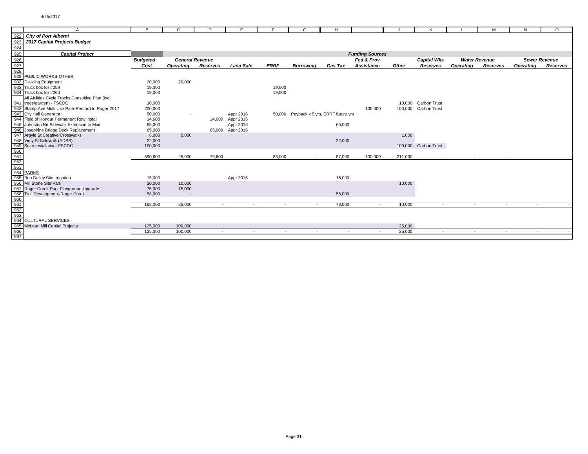| A                                                                                                                                                                                                                                                                                                                                                                                                                                                   | B               | C                        | D               | E                |             | G                | H                                       |                        |         | κ                    |                  | м                        | N                | $\Omega$             |
|-----------------------------------------------------------------------------------------------------------------------------------------------------------------------------------------------------------------------------------------------------------------------------------------------------------------------------------------------------------------------------------------------------------------------------------------------------|-----------------|--------------------------|-----------------|------------------|-------------|------------------|-----------------------------------------|------------------------|---------|----------------------|------------------|--------------------------|------------------|----------------------|
|                                                                                                                                                                                                                                                                                                                                                                                                                                                     |                 |                          |                 |                  |             |                  |                                         |                        |         |                      |                  |                          |                  |                      |
| 2017 Capital Projects Budget                                                                                                                                                                                                                                                                                                                                                                                                                        |                 |                          |                 |                  |             |                  |                                         |                        |         |                      |                  |                          |                  |                      |
|                                                                                                                                                                                                                                                                                                                                                                                                                                                     |                 |                          |                 |                  |             |                  |                                         |                        |         |                      |                  |                          |                  |                      |
| $\begin{array}{r l}\n \hline\n & 922 & \text{City of Port Alberni} \\  \hline\n 923 & 2017 \text{ Capital Project}\\ \hline\n 924 & 925 & \text{Capital Project}\\ \hline\n 926 & \text{927} \\  \hline\n 928 & \text{928} \\  \hline\n 929 & \text{PUBLIC WORKS-OTHEF} \\  \hline\n 932 & \text{De-icing Equipment}\\ \hline\n 933 & \text{Truck box for #250}\\ \hline\n 934 & \text{Flucks.} \\  \hline\n \end{array}$<br><b>Capital Project</b> |                 |                          |                 |                  |             |                  |                                         | <b>Funding Sources</b> |         |                      |                  |                          |                  |                      |
|                                                                                                                                                                                                                                                                                                                                                                                                                                                     | <b>Budgeted</b> | <b>General Revenue</b>   |                 |                  |             |                  |                                         | Fed & Prov             |         | <b>Capital Wks</b>   |                  | <b>Water Revenue</b>     |                  | <b>Sewer Revenue</b> |
|                                                                                                                                                                                                                                                                                                                                                                                                                                                     | Cost            | <b>Operating</b>         | <b>Reserves</b> | <b>Land Sale</b> | <b>ERRF</b> | <b>Borrowing</b> | <b>Gas Tax</b>                          | Assistance             | Other   | Reserves             | <b>Operating</b> | Reserves                 | <b>Operating</b> | <b>Reserves</b>      |
|                                                                                                                                                                                                                                                                                                                                                                                                                                                     |                 |                          |                 |                  |             |                  |                                         |                        |         |                      |                  |                          |                  |                      |
| PUBLIC WORKS-OTHER                                                                                                                                                                                                                                                                                                                                                                                                                                  |                 |                          |                 |                  |             |                  |                                         |                        |         |                      |                  |                          |                  |                      |
|                                                                                                                                                                                                                                                                                                                                                                                                                                                     | 20,000          | 20,000                   |                 |                  |             |                  |                                         |                        |         |                      |                  |                          |                  |                      |
|                                                                                                                                                                                                                                                                                                                                                                                                                                                     | 19,000          |                          |                 |                  | 19,000      |                  |                                         |                        |         |                      |                  |                          |                  |                      |
|                                                                                                                                                                                                                                                                                                                                                                                                                                                     | 19,000          |                          |                 |                  | 19,000      |                  |                                         |                        |         |                      |                  |                          |                  |                      |
| All Abilities Cycle Tracks Consulting Plan (incl                                                                                                                                                                                                                                                                                                                                                                                                    |                 |                          |                 |                  |             |                  |                                         |                        |         |                      |                  |                          |                  |                      |
|                                                                                                                                                                                                                                                                                                                                                                                                                                                     | 10,000          |                          |                 |                  |             |                  |                                         |                        |         | 10,000 Carbon Trust  |                  |                          |                  |                      |
| Stamp Ave Multi Use Path-Redford to Roger 2017                                                                                                                                                                                                                                                                                                                                                                                                      | 200,000         |                          |                 |                  |             |                  |                                         | 100,000                |         | 100,000 Carbon Trust |                  |                          |                  |                      |
|                                                                                                                                                                                                                                                                                                                                                                                                                                                     | 50,000          | $\overline{\phantom{a}}$ |                 | Appr 2016        |             |                  | 50,000 Payback x 5 yrs, ERRF future yrs |                        |         |                      |                  |                          |                  |                      |
| Field of Honour Permanent Row Install                                                                                                                                                                                                                                                                                                                                                                                                               | 14,600          |                          |                 | 14,600 Appr 2016 |             |                  |                                         |                        |         |                      |                  |                          |                  |                      |
| Johnston Rd Sidewalk Extension to Muir                                                                                                                                                                                                                                                                                                                                                                                                              | 65,000          |                          |                 | Appr 2016        |             |                  | 65,000                                  |                        |         |                      |                  |                          |                  |                      |
| Josephine Bridge Deck Replacement                                                                                                                                                                                                                                                                                                                                                                                                                   | 65,000          |                          |                 | 65,000 Appr 2016 |             |                  |                                         |                        |         |                      |                  |                          |                  |                      |
|                                                                                                                                                                                                                                                                                                                                                                                                                                                     | 6,000           | 5,000                    |                 |                  |             |                  |                                         |                        | 1,000   |                      |                  |                          |                  |                      |
|                                                                                                                                                                                                                                                                                                                                                                                                                                                     | 22,000          |                          |                 |                  |             |                  | 22,000                                  |                        |         |                      |                  |                          |                  |                      |
|                                                                                                                                                                                                                                                                                                                                                                                                                                                     | 100,000         |                          |                 |                  |             |                  |                                         |                        |         | 100,000 Carbon Trust |                  |                          |                  |                      |
|                                                                                                                                                                                                                                                                                                                                                                                                                                                     |                 |                          |                 |                  |             |                  |                                         |                        |         |                      |                  |                          |                  |                      |
|                                                                                                                                                                                                                                                                                                                                                                                                                                                     | 590,600         | 25,000                   | 79,600          | $\sim$           | 88,000      | $\sim$           | 87,000                                  | 100,000                | 211,000 | $\sim$               | $\sim$           | $\overline{\phantom{a}}$ | $\sim$           |                      |
|                                                                                                                                                                                                                                                                                                                                                                                                                                                     |                 |                          |                 |                  |             |                  |                                         |                        |         |                      |                  |                          |                  |                      |
|                                                                                                                                                                                                                                                                                                                                                                                                                                                     |                 |                          |                 |                  |             |                  |                                         |                        |         |                      |                  |                          |                  |                      |
|                                                                                                                                                                                                                                                                                                                                                                                                                                                     |                 |                          |                 |                  |             |                  |                                         |                        |         |                      |                  |                          |                  |                      |
|                                                                                                                                                                                                                                                                                                                                                                                                                                                     | 15,000          |                          |                 | Appr 2016        |             |                  | 15,000                                  |                        |         |                      |                  |                          |                  |                      |
|                                                                                                                                                                                                                                                                                                                                                                                                                                                     | 20,000          | 10,000                   |                 |                  |             |                  |                                         |                        | 10,000  |                      |                  |                          |                  |                      |
| Roger Creek Park Playground Upgrade                                                                                                                                                                                                                                                                                                                                                                                                                 | 75,000          | 75,000                   |                 |                  |             |                  |                                         |                        |         |                      |                  |                          |                  |                      |
| Trail Development-Roger Creek                                                                                                                                                                                                                                                                                                                                                                                                                       | 58,000          |                          |                 |                  |             |                  | 58,000                                  |                        |         |                      |                  |                          |                  |                      |
|                                                                                                                                                                                                                                                                                                                                                                                                                                                     |                 |                          |                 |                  |             |                  |                                         |                        |         |                      |                  |                          |                  |                      |
|                                                                                                                                                                                                                                                                                                                                                                                                                                                     | 168,000         | 85,000                   |                 |                  |             |                  | 73,000                                  | $\sim$                 | 10,000  | $\sim$               |                  | $\overline{a}$           |                  |                      |
|                                                                                                                                                                                                                                                                                                                                                                                                                                                     |                 |                          |                 |                  |             |                  |                                         |                        |         |                      |                  |                          |                  |                      |
|                                                                                                                                                                                                                                                                                                                                                                                                                                                     |                 |                          |                 |                  |             |                  |                                         |                        |         |                      |                  |                          |                  |                      |
| <b>Compare Strates Control Control Control Control Control Control Control Control Control Control Control Control Control Control Control Control Control Control Control Control Control Control Control Control Control Contr</b>                                                                                                                                                                                                                |                 |                          |                 |                  |             |                  |                                         |                        |         |                      |                  |                          |                  |                      |
|                                                                                                                                                                                                                                                                                                                                                                                                                                                     | 125,000         | 100,000                  |                 |                  |             |                  |                                         |                        | 25,000  |                      |                  |                          |                  |                      |
|                                                                                                                                                                                                                                                                                                                                                                                                                                                     | 125,000         | 100,000                  | $\sim$          | $\sim$           | $\sim$      | $\sim$           | $\sim$                                  | $\sim$                 | 25,000  | $\sim$               | $\sim$           | $\sim$                   | $\sim$           |                      |
|                                                                                                                                                                                                                                                                                                                                                                                                                                                     |                 |                          |                 |                  |             |                  |                                         |                        |         |                      |                  |                          |                  |                      |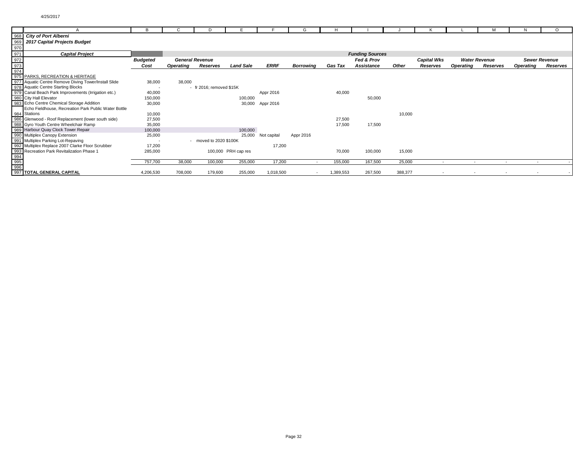|                   |                                                      | в               |                  | D                           |                     |             | G                |                |                        |         |                          |                  |                          |                          | $\circ$              |
|-------------------|------------------------------------------------------|-----------------|------------------|-----------------------------|---------------------|-------------|------------------|----------------|------------------------|---------|--------------------------|------------------|--------------------------|--------------------------|----------------------|
|                   | 968 City of Port Alberni                             |                 |                  |                             |                     |             |                  |                |                        |         |                          |                  |                          |                          |                      |
| 969               | 2017 Capital Projects Budget                         |                 |                  |                             |                     |             |                  |                |                        |         |                          |                  |                          |                          |                      |
| 970               |                                                      |                 |                  |                             |                     |             |                  |                |                        |         |                          |                  |                          |                          |                      |
| 971               | <b>Capital Project</b>                               |                 |                  |                             |                     |             |                  |                | <b>Funding Sources</b> |         |                          |                  |                          |                          |                      |
|                   |                                                      | <b>Budgeted</b> |                  | <b>General Revenue</b>      |                     |             |                  |                | Fed & Prov             |         | <b>Capital Wks</b>       |                  | <b>Water Revenue</b>     |                          | <b>Sewer Revenue</b> |
|                   |                                                      | Cost            | <b>Operating</b> | Reserves                    | <b>Land Sale</b>    | <b>ERRF</b> | <b>Borrowing</b> | <b>Gas Tax</b> | Assistance             | Other   | Reserves                 | <b>Operating</b> | Reserves                 | <b>Operating</b>         | Reserves             |
| $\frac{972}{973}$ |                                                      |                 |                  |                             |                     |             |                  |                |                        |         |                          |                  |                          |                          |                      |
|                   | 975 PARKS, RECREATION & HERITAGE                     |                 |                  |                             |                     |             |                  |                |                        |         |                          |                  |                          |                          |                      |
|                   | 977 Aquatic Centre Remove Diving Tower/Install Slide | 38,000          | 38,000           |                             |                     |             |                  |                |                        |         |                          |                  |                          |                          |                      |
|                   | 978 Aquatic Centre Starting Blocks                   | ٠.              |                  | - fr $2016$ : removed \$15K |                     |             |                  |                |                        |         |                          |                  |                          |                          |                      |
| 979               | Canal Beach Park Improvements (Irrigation etc.)      | 40,000          |                  |                             |                     | Appr 2016   |                  | 40,000         |                        |         |                          |                  |                          |                          |                      |
|                   | 980 City Hall Elevator                               | 150,000         |                  |                             | 100,000             |             |                  |                | 50,000                 |         |                          |                  |                          |                          |                      |
|                   | 983 Echo Centre Chemical Storage Addition            | 30,000          |                  |                             | 30,000              | Appr 2016   |                  |                |                        |         |                          |                  |                          |                          |                      |
|                   | Echo Fieldhouse, Recreation Park Public Water Bottle |                 |                  |                             |                     |             |                  |                |                        |         |                          |                  |                          |                          |                      |
|                   | 984 Stations                                         | 10,000          |                  |                             |                     |             |                  |                |                        | 10,000  |                          |                  |                          |                          |                      |
| 986               | Glenwood - Roof Replacement (lower south side)       | 27,500          |                  |                             |                     |             |                  | 27,500         |                        |         |                          |                  |                          |                          |                      |
|                   | 988 Gyro Youth Centre Wheelchair Ramp                | 35,000          |                  |                             |                     |             |                  | 17,500         | 17,500                 |         |                          |                  |                          |                          |                      |
|                   | 989 Harbour Quay Clock Tower Repair                  | 100,000         |                  |                             | 100,000             |             |                  |                |                        |         |                          |                  |                          |                          |                      |
|                   | 990 Multiplex Canopy Extension                       | 25,000          |                  |                             | 25,000              | Not capital | Appr 2016        |                |                        |         |                          |                  |                          |                          |                      |
|                   | 991 Multiplex Parking Lot-Repaving                   |                 |                  | moved to 2020 \$100K        |                     |             |                  |                |                        |         |                          |                  |                          |                          |                      |
|                   | 992 Multiplex Replace 2007 Clarke Floor Scrubber     | 17,200          |                  |                             |                     | 17,200      |                  |                |                        |         |                          |                  |                          |                          |                      |
|                   | 993 Recreation Park Revitalization Phase 1           | 285,000         |                  |                             | 100,000 PRH cap res |             |                  | 70,000         | 100,000                | 15,000  |                          |                  |                          |                          |                      |
|                   |                                                      |                 |                  |                             |                     |             |                  |                |                        |         |                          |                  |                          |                          |                      |
| 994<br>995<br>996 |                                                      | 757,700         | 38,000           | 100,000                     | 255,000             | 17,200      | $\sim$           | 155,000        | 167,500                | 25,000  |                          |                  |                          |                          |                      |
|                   |                                                      |                 |                  |                             |                     |             |                  |                |                        |         |                          |                  |                          |                          |                      |
|                   | 997 TOTAL GENERAL CAPITAL                            | 4,206,530       | 708,000          | 179,600                     | 255,000             | 1,018,500   | $\sim$           | 1,389,553      | 267,500                | 388,377 | $\overline{\phantom{a}}$ |                  | $\overline{\phantom{a}}$ | $\overline{\phantom{a}}$ |                      |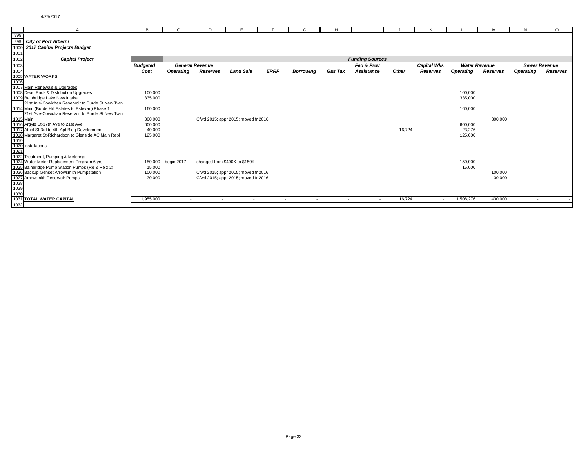|                      | A                                                    | в               | C                | D.                     |                                     |                          | G                        | н              |                        |        |                          |                      | м        | N                    | $\Omega$ |
|----------------------|------------------------------------------------------|-----------------|------------------|------------------------|-------------------------------------|--------------------------|--------------------------|----------------|------------------------|--------|--------------------------|----------------------|----------|----------------------|----------|
| 998                  |                                                      |                 |                  |                        |                                     |                          |                          |                |                        |        |                          |                      |          |                      |          |
| 999                  | <b>City of Port Alberni</b>                          |                 |                  |                        |                                     |                          |                          |                |                        |        |                          |                      |          |                      |          |
| 100                  | 2017 Capital Projects Budget                         |                 |                  |                        |                                     |                          |                          |                |                        |        |                          |                      |          |                      |          |
| 1001                 |                                                      |                 |                  |                        |                                     |                          |                          |                |                        |        |                          |                      |          |                      |          |
| 1002                 | <b>Capital Project</b>                               |                 |                  |                        |                                     |                          |                          |                | <b>Funding Sources</b> |        |                          |                      |          |                      |          |
|                      |                                                      | <b>Budgeted</b> |                  | <b>General Revenue</b> |                                     |                          |                          |                | Fed & Prov             |        | <b>Capital Wks</b>       | <b>Water Revenue</b> |          | <b>Sewer Revenue</b> |          |
| 1003<br>1004         |                                                      | Cost            | <b>Operating</b> | Reserves               | <b>Land Sale</b>                    | <b>ERRF</b>              | <b>Borrowing</b>         | <b>Gas Tax</b> | Assistance             | Other  | Reserves                 | <b>Operating</b>     | Reserves | <b>Operating</b>     | Reserves |
|                      | 1005 WATER WORKS                                     |                 |                  |                        |                                     |                          |                          |                |                        |        |                          |                      |          |                      |          |
| 1006                 |                                                      |                 |                  |                        |                                     |                          |                          |                |                        |        |                          |                      |          |                      |          |
|                      | 1007 Main Renewals & Upgrades                        |                 |                  |                        |                                     |                          |                          |                |                        |        |                          |                      |          |                      |          |
|                      | 1008 Dead Ends & Distribution Upgrades               | 100,000         |                  |                        |                                     |                          |                          |                |                        |        |                          | 100,000              |          |                      |          |
|                      | 1009 Bainbridge Lake New Intake                      | 335,000         |                  |                        |                                     |                          |                          |                |                        |        |                          | 335,000              |          |                      |          |
|                      | 21st Ave-Cowichan Reservoir to Burde St New Twin     |                 |                  |                        |                                     |                          |                          |                |                        |        |                          |                      |          |                      |          |
|                      | 1014 Main (Burde Hill Estates to Estevan) Phase 1    | 160,000         |                  |                        |                                     |                          |                          |                |                        |        |                          | 160,000              |          |                      |          |
|                      | 21st Ave-Cowichan Reservoir to Burde St New Twin     |                 |                  |                        |                                     |                          |                          |                |                        |        |                          |                      |          |                      |          |
| 1015 Main            |                                                      | 300,000         |                  |                        | Cfwd 2015; appr 2015; moved fr 2016 |                          |                          |                |                        |        |                          |                      | 300,000  |                      |          |
|                      | 1016 Argyle St-17th Ave to 21st Ave                  | 600,000         |                  |                        |                                     |                          |                          |                |                        |        |                          | 600,000              |          |                      |          |
|                      | 1017 Athol St-3rd to 4th Apt Bldg Development        | 40,000          |                  |                        |                                     |                          |                          |                |                        | 16,724 |                          | 23,276               |          |                      |          |
|                      | 1018 Margaret St-Richardson to Glenside AC Main Repl | 125,000         |                  |                        |                                     |                          |                          |                |                        |        |                          | 125,000              |          |                      |          |
| 1019                 |                                                      |                 |                  |                        |                                     |                          |                          |                |                        |        |                          |                      |          |                      |          |
|                      | 1020 Installations                                   |                 |                  |                        |                                     |                          |                          |                |                        |        |                          |                      |          |                      |          |
| 1021                 |                                                      |                 |                  |                        |                                     |                          |                          |                |                        |        |                          |                      |          |                      |          |
|                      | 1022 Treatment, Pumping & Metering                   |                 |                  |                        |                                     |                          |                          |                |                        |        |                          |                      |          |                      |          |
|                      | 1024 Water Meter Replacement Program 6 yrs           | 150,000         | begin 2017       |                        | changed from \$400K to \$150K       |                          |                          |                |                        |        |                          | 150,000              |          |                      |          |
|                      | 1025 Bainbridge Pump Station Pumps (Re & Re x 2)     | 15,000          |                  |                        |                                     |                          |                          |                |                        |        |                          | 15,000               |          |                      |          |
|                      | 1026 Backup Genset Arrowsmith Pumpstation            | 100,000         |                  |                        | Cfwd 2015; appr 2015; moved fr 2016 |                          |                          |                |                        |        |                          |                      | 100,000  |                      |          |
|                      | 1027 Arrowsmith Reservoir Pumps                      | 30,000          |                  |                        | Cfwd 2015; appr 2015; moved fr 2016 |                          |                          |                |                        |        |                          |                      | 30,000   |                      |          |
|                      |                                                      |                 |                  |                        |                                     |                          |                          |                |                        |        |                          |                      |          |                      |          |
| 1028<br>1029<br>1030 |                                                      |                 |                  |                        |                                     |                          |                          |                |                        |        |                          |                      |          |                      |          |
|                      |                                                      |                 |                  |                        |                                     |                          |                          |                |                        |        |                          |                      |          |                      |          |
|                      | 1031 TOTAL WATER CAPITAL                             | 1,955,000       | $\sim$           | $\sim$                 | $\sim$                              | $\overline{\phantom{a}}$ | $\overline{\phantom{a}}$ | $\sim$         | $\sim$                 | 16,724 | $\overline{\phantom{a}}$ | 1,508,276            | 430,000  | $\overline{a}$       |          |
| 1032                 |                                                      |                 |                  |                        |                                     |                          |                          |                |                        |        |                          |                      |          |                      |          |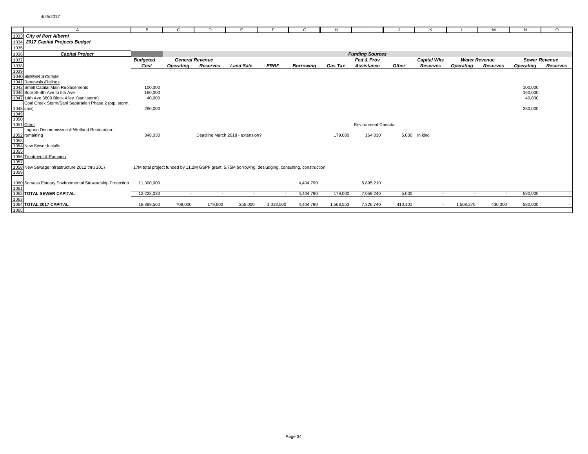|                                          | А                                                        | в               | C         | D                      |                                                                                                     |                          | G                | н              |                           |         |                    |                  | м                    | N                    | $\circ$         |
|------------------------------------------|----------------------------------------------------------|-----------------|-----------|------------------------|-----------------------------------------------------------------------------------------------------|--------------------------|------------------|----------------|---------------------------|---------|--------------------|------------------|----------------------|----------------------|-----------------|
| 1033                                     | <b>City of Port Alberni</b>                              |                 |           |                        |                                                                                                     |                          |                  |                |                           |         |                    |                  |                      |                      |                 |
| 1034                                     | 2017 Capital Projects Budget                             |                 |           |                        |                                                                                                     |                          |                  |                |                           |         |                    |                  |                      |                      |                 |
| 1035                                     |                                                          |                 |           |                        |                                                                                                     |                          |                  |                |                           |         |                    |                  |                      |                      |                 |
| 1036                                     | <b>Capital Project</b>                                   |                 |           |                        |                                                                                                     |                          |                  |                | <b>Funding Sources</b>    |         |                    |                  |                      |                      |                 |
| 1037                                     |                                                          | <b>Budgeted</b> |           | <b>General Revenue</b> |                                                                                                     |                          |                  |                | Fed & Prov                |         | <b>Capital Wks</b> |                  | <b>Water Revenue</b> | <b>Sewer Revenue</b> |                 |
|                                          |                                                          | Cost            | Operating | <b>Reserves</b>        | <b>Land Sale</b>                                                                                    | <b>ERRF</b>              | <b>Borrowing</b> | <b>Gas Tax</b> | Assistance                | Other   | <b>Reserves</b>    | <b>Operating</b> | Reserves             | <b>Operating</b>     | <b>Reserves</b> |
| 1038<br>1039                             |                                                          |                 |           |                        |                                                                                                     |                          |                  |                |                           |         |                    |                  |                      |                      |                 |
|                                          | 1040 SEWER SYSTEM                                        |                 |           |                        |                                                                                                     |                          |                  |                |                           |         |                    |                  |                      |                      |                 |
|                                          | 1041 Renewals / Relines                                  |                 |           |                        |                                                                                                     |                          |                  |                |                           |         |                    |                  |                      |                      |                 |
|                                          | 1042 Small Capital Main Replacements                     | 100,000         |           |                        |                                                                                                     |                          |                  |                |                           |         |                    |                  |                      | 100,000              |                 |
|                                          | 1046 Bute St-4th Ave to 5th Ave                          | 160,000         |           |                        |                                                                                                     |                          |                  |                |                           |         |                    |                  |                      | 160,000              |                 |
|                                          | 1047 14th Ave 3800 Block Alley (sani, storm)             | 40,000          |           |                        |                                                                                                     |                          |                  |                |                           |         |                    |                  |                      | 40,000               |                 |
|                                          | Coal Creek Storm/Sani Separation Phase 2 (ptp, storm,    |                 |           |                        |                                                                                                     |                          |                  |                |                           |         |                    |                  |                      |                      |                 |
|                                          |                                                          | 280,000         |           |                        |                                                                                                     |                          |                  |                |                           |         |                    |                  |                      | 280,000              |                 |
|                                          |                                                          |                 |           |                        |                                                                                                     |                          |                  |                |                           |         |                    |                  |                      |                      |                 |
|                                          |                                                          |                 |           |                        |                                                                                                     |                          |                  |                |                           |         |                    |                  |                      |                      |                 |
| 1048 sani)<br>1049<br>1050<br>1051 Other |                                                          |                 |           |                        |                                                                                                     |                          |                  |                | <b>Environment Canada</b> |         |                    |                  |                      |                      |                 |
|                                          | Lagoon Decommission & Wetland Restoration -              |                 |           |                        |                                                                                                     |                          |                  |                |                           |         |                    |                  |                      |                      |                 |
|                                          | 1052 remaining                                           | 348,030         |           |                        | Deadline March 2018 - extension?                                                                    |                          |                  | 179,000        | 164,030                   | 5.000   | In kind            |                  |                      |                      |                 |
| 1053                                     |                                                          |                 |           |                        |                                                                                                     |                          |                  |                |                           |         |                    |                  |                      |                      |                 |
|                                          | 1054 New Sewer Installs                                  |                 |           |                        |                                                                                                     |                          |                  |                |                           |         |                    |                  |                      |                      |                 |
| 1055                                     |                                                          |                 |           |                        |                                                                                                     |                          |                  |                |                           |         |                    |                  |                      |                      |                 |
|                                          | 1056 Treatment & Pumping                                 |                 |           |                        |                                                                                                     |                          |                  |                |                           |         |                    |                  |                      |                      |                 |
| 1057                                     |                                                          |                 |           |                        |                                                                                                     |                          |                  |                |                           |         |                    |                  |                      |                      |                 |
|                                          | 1058 New Sewage Infrastructure 2012 thru 2017            |                 |           |                        | 17M total project funded by 11.2M GSPF grant; 5.75M borrowing; desludging, consulting, construction |                          |                  |                |                           |         |                    |                  |                      |                      |                 |
| 1059                                     |                                                          |                 |           |                        |                                                                                                     |                          |                  |                |                           |         |                    |                  |                      |                      |                 |
|                                          |                                                          |                 |           |                        |                                                                                                     |                          |                  |                |                           |         |                    |                  |                      |                      |                 |
| 1061                                     | 1060 Somass Estuary Environmental Stewardship Protection | 11,300,000      |           |                        |                                                                                                     |                          | 4,404,790        |                | 6,895,210                 |         |                    |                  |                      |                      |                 |
|                                          | 1062 TOTAL SEWER CAPITAL                                 | 12,228,030      | $\sim$    | $\sim$                 | $\sim$                                                                                              |                          | 4,404,790        | 179,000        | 7,059,240                 | 5,000   | $\sim$             |                  | $\sim$               | 580,000              |                 |
| 1063                                     |                                                          |                 |           |                        |                                                                                                     | $\overline{\phantom{a}}$ |                  |                |                           |         |                    | $\sim$           |                      |                      |                 |
|                                          | 1064 TOTAL 2017 CAPITAL                                  | 18,389,560      | 708,000   | 179,600                | 255,000                                                                                             | 1,018,500                | 4,404,790        | 1,568,553      | 7,326,740                 | 410,101 | $\sim$             | 1,508,276        | 430,000              | 580,000              |                 |
| 1065                                     |                                                          |                 |           |                        |                                                                                                     |                          |                  |                |                           |         |                    |                  |                      |                      |                 |
|                                          |                                                          |                 |           |                        |                                                                                                     |                          |                  |                |                           |         |                    |                  |                      |                      |                 |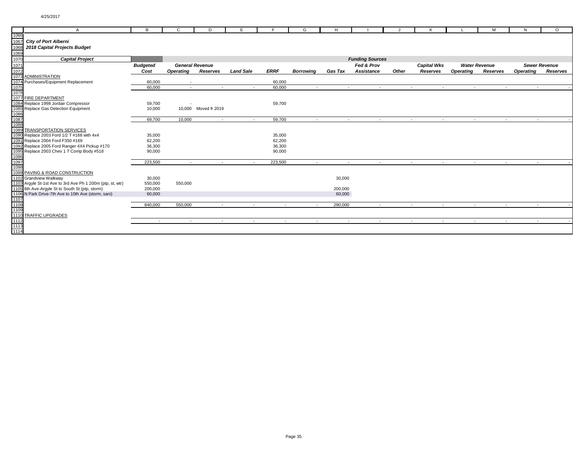|              | A                                                          | B               | C                | D                      | Е                |             | G                | H               |                        |       | ĸ                                  |                  | M                    | N                | $\circ$              |
|--------------|------------------------------------------------------------|-----------------|------------------|------------------------|------------------|-------------|------------------|-----------------|------------------------|-------|------------------------------------|------------------|----------------------|------------------|----------------------|
| 1066         |                                                            |                 |                  |                        |                  |             |                  |                 |                        |       |                                    |                  |                      |                  |                      |
| 1067         | <b>City of Port Alberni</b>                                |                 |                  |                        |                  |             |                  |                 |                        |       |                                    |                  |                      |                  |                      |
| 1068         | 2018 Capital Projects Budget                               |                 |                  |                        |                  |             |                  |                 |                        |       |                                    |                  |                      |                  |                      |
| 1069         |                                                            |                 |                  |                        |                  |             |                  |                 |                        |       |                                    |                  |                      |                  |                      |
| 1070         | <b>Capital Project</b>                                     |                 |                  |                        |                  |             |                  |                 | <b>Funding Sources</b> |       |                                    |                  |                      |                  |                      |
| 1071         |                                                            | <b>Budgeted</b> |                  | <b>General Revenue</b> |                  |             |                  |                 | Fed & Prov             |       | <b>Capital Wks</b>                 |                  | <b>Water Revenue</b> |                  | <b>Sewer Revenue</b> |
| 1072         |                                                            | Cost            | <b>Operating</b> | Reserves               | <b>Land Sale</b> | <b>ERRF</b> | <b>Borrowing</b> | <b>Gas Tax</b>  | <b>Assistance</b>      | Other | Reserves                           | <b>Operating</b> | Reserves             | <b>Operating</b> | Reserves             |
|              | 1073 ADMINISTRATION                                        |                 |                  |                        |                  |             |                  |                 |                        |       |                                    |                  |                      |                  |                      |
|              | 1074 Purchases/Equipment Replacement                       | 60,000          |                  |                        |                  | 60,000      |                  |                 |                        |       |                                    |                  |                      |                  |                      |
| 1075         |                                                            | 60,000          | $\sim$           | $\sim$                 | $\sim$           | 60,000      | $\sim$           | <b>Contract</b> | $\sim$                 |       | $\sim$<br>$\sim$                   | $\sim$           | $\sim$               | $\sim$           |                      |
| 1076         |                                                            |                 |                  |                        |                  |             |                  |                 |                        |       |                                    |                  |                      |                  |                      |
|              | 1077 FIRE DEPARTMENT                                       |                 |                  |                        |                  |             |                  |                 |                        |       |                                    |                  |                      |                  |                      |
|              | 1084 Replace 1998 Jordair Compressor                       | 59,700          |                  |                        |                  | 59,700      |                  |                 |                        |       |                                    |                  |                      |                  |                      |
|              | 1085 Replace Gas Detection Equipment                       | 10,000          |                  | 10,000 Moved fr 2019   |                  |             |                  |                 |                        |       |                                    |                  |                      |                  |                      |
| 1086         |                                                            |                 |                  |                        |                  |             |                  |                 |                        |       |                                    |                  |                      |                  |                      |
| 1087         |                                                            | 69,700          | 10,000           | $\sim$                 | $\sim$           | 59,700      | $\sim$           |                 |                        |       | $\sim$<br>$\overline{\phantom{a}}$ | $\sim$           | $\sim$               |                  |                      |
| 1088         |                                                            |                 |                  |                        |                  |             |                  |                 |                        |       |                                    |                  |                      |                  |                      |
|              | 1089 TRANSPORTATION SERVICES                               |                 |                  |                        |                  |             |                  |                 |                        |       |                                    |                  |                      |                  |                      |
|              | 1090 Replace 2003 Ford 1/2 T #168 with 4x4                 | 35,000          |                  |                        |                  | 35,000      |                  |                 |                        |       |                                    |                  |                      |                  |                      |
|              | 1091 Replace 2004 Ford F350 #169                           | 62,200          |                  |                        |                  | 62,200      |                  |                 |                        |       |                                    |                  |                      |                  |                      |
|              | 1092 Replace 2005 Ford Ranger 4X4 Pickup #170              | 36,300          |                  |                        |                  | 36,300      |                  |                 |                        |       |                                    |                  |                      |                  |                      |
|              | 1095 Replace 2003 Chev 1 T Comp Body #518                  | 90,000          |                  |                        |                  | 90,000      |                  |                 |                        |       |                                    |                  |                      |                  |                      |
| 1096         |                                                            |                 |                  |                        |                  |             |                  |                 |                        |       |                                    |                  |                      |                  |                      |
| 1097<br>1098 |                                                            | 223,500         | $\sim$           | $\sim$                 | $\sim$           | 223,500     | $\sim$           | $\sim$          | $\sim$                 |       | $\sim$<br>$\sim$                   | $\sim$           | $\sim$               | $\sim$           |                      |
|              | 1099 PAVING & ROAD CONSTRUCTION                            |                 |                  |                        |                  |             |                  |                 |                        |       |                                    |                  |                      |                  |                      |
|              | 1102 Grandview Walkway                                     | 30,000          |                  |                        |                  |             |                  | 30,000          |                        |       |                                    |                  |                      |                  |                      |
|              | 1103 Argyle St-1st Ave to 3rd Ave Ph 1 200m (ptp, st, wtr) | 550,000         | 550,000          |                        |                  |             |                  |                 |                        |       |                                    |                  |                      |                  |                      |
|              | 1105 6th Ave-Argyle St to South St (ptp, storm)            | 200,000         |                  |                        |                  |             |                  | 200,000         |                        |       |                                    |                  |                      |                  |                      |
|              | 1106 N Park Drive-7th Ave to 10th Ave (storm, sani)        | 60,000          |                  |                        |                  |             |                  | 60,000          |                        |       |                                    |                  |                      |                  |                      |
| 1107         |                                                            |                 |                  |                        |                  |             |                  |                 |                        |       |                                    |                  |                      |                  |                      |
| 1108         |                                                            | 840,000         | 550,000          | $\sim$                 | $\sim$           | $\sim$      | $\sim$           | 290,000         | $\sim$                 |       | $\sim$<br>$\sim$                   | $\sim$           | $\sim$               | $\sim$           |                      |
| 1109         |                                                            |                 |                  |                        |                  |             |                  |                 |                        |       |                                    |                  |                      |                  |                      |
|              | 1110 TRAFFIC UPGRADES                                      |                 |                  |                        |                  |             |                  |                 |                        |       |                                    |                  |                      |                  |                      |
| 1112         |                                                            | $\sim$          | $\sim$           | $\sim$                 | $\sim$           | $\sim$      | $\sim$           | $\sim$          |                        |       | $\sim$<br>$\sim$                   | $\sim$           | $\sim$               | $\sim$           |                      |
| 1113         |                                                            |                 |                  |                        |                  |             |                  |                 |                        |       |                                    |                  |                      |                  |                      |
| 1114         |                                                            |                 |                  |                        |                  |             |                  |                 |                        |       |                                    |                  |                      |                  |                      |
|              |                                                            |                 |                  |                        |                  |             |                  |                 |                        |       |                                    |                  |                      |                  |                      |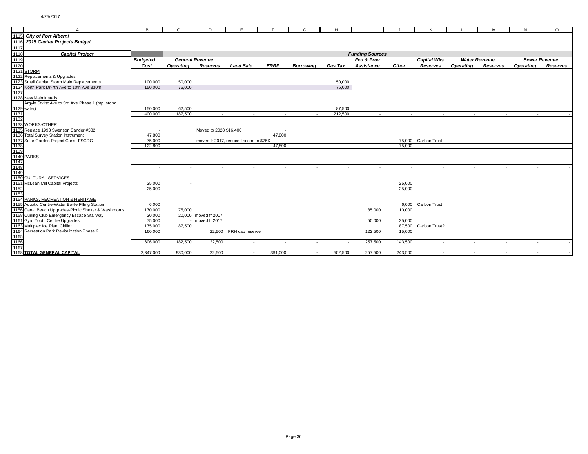|      | A                                                                                     | в                        | C                      | D                      | E                                     |             | G                | H              |                        |                          |                      |                  | М                    | N                        | $\Omega$             |  |
|------|---------------------------------------------------------------------------------------|--------------------------|------------------------|------------------------|---------------------------------------|-------------|------------------|----------------|------------------------|--------------------------|----------------------|------------------|----------------------|--------------------------|----------------------|--|
|      | 1115 City of Port Alberni                                                             |                          |                        |                        |                                       |             |                  |                |                        |                          |                      |                  |                      |                          |                      |  |
| 1116 | 2018 Capital Projects Budget                                                          |                          |                        |                        |                                       |             |                  |                |                        |                          |                      |                  |                      |                          |                      |  |
| 1117 |                                                                                       |                          |                        |                        |                                       |             |                  |                |                        |                          |                      |                  |                      |                          |                      |  |
| 1118 | <b>Capital Project</b>                                                                |                          |                        |                        |                                       |             |                  |                | <b>Funding Sources</b> |                          |                      |                  |                      |                          |                      |  |
| 1119 |                                                                                       | <b>Budgeted</b>          | <b>General Revenue</b> |                        |                                       |             |                  |                | Fed & Prov             |                          | <b>Capital Wks</b>   |                  | <b>Water Revenue</b> |                          | <b>Sewer Revenue</b> |  |
| 1120 |                                                                                       | Cost                     | <b>Operating</b>       | Reserves               | <b>Land Sale</b>                      | <b>ERRF</b> | <b>Borrowing</b> | <b>Gas Tax</b> | Assistance             | Other                    | Reserves             | <b>Operating</b> | Reserves             | <b>Operating</b>         | Reserves             |  |
|      | 1121 STORM                                                                            |                          |                        |                        |                                       |             |                  |                |                        |                          |                      |                  |                      |                          |                      |  |
|      | 1122 Replacements & Upgrades                                                          |                          |                        |                        |                                       |             |                  |                |                        |                          |                      |                  |                      |                          |                      |  |
|      | 1123 Small Capital Storm Main Replacements                                            | 100,000                  | 50,000                 |                        |                                       |             |                  | 50,000         |                        |                          |                      |                  |                      |                          |                      |  |
|      | 1124 North Park Dr-7th Ave to 10th Ave 330m                                           | 150,000                  | 75,000                 |                        |                                       |             |                  | 75,000         |                        |                          |                      |                  |                      |                          |                      |  |
| 1127 |                                                                                       |                          |                        |                        |                                       |             |                  |                |                        |                          |                      |                  |                      |                          |                      |  |
|      | 1128 New Main Installs                                                                |                          |                        |                        |                                       |             |                  |                |                        |                          |                      |                  |                      |                          |                      |  |
|      | Argyle St-1st Ave to 3rd Ave Phase 1 (ptp, storm,                                     |                          |                        |                        |                                       |             |                  |                |                        |                          |                      |                  |                      |                          |                      |  |
|      | 1129 water)                                                                           | 150,000                  | 62,500                 |                        |                                       |             |                  | 87,500         |                        |                          |                      |                  |                      |                          |                      |  |
| 1131 |                                                                                       | 400.000                  | 187,500                | $\sim$                 | $\sim$                                | $\sim$      | $\sim$           | 212,500        | $\sim$                 | $\sim$                   | $\sim$               | $\sim$           | $\sim$               | $\sim$                   |                      |  |
| 1132 |                                                                                       |                          |                        |                        |                                       |             |                  |                |                        |                          |                      |                  |                      |                          |                      |  |
|      | 1133 WORKS-OTHER                                                                      |                          |                        |                        |                                       |             |                  |                |                        |                          |                      |                  |                      |                          |                      |  |
|      | 1135 Replace 1993 Swenson Sander #382                                                 | $\overline{\phantom{a}}$ |                        | Moved to 2028 \$16,400 |                                       |             |                  |                |                        |                          |                      |                  |                      |                          |                      |  |
|      | 1136 Total Survey Station Instrument                                                  | 47,800                   |                        |                        |                                       | 47,800      |                  |                |                        |                          |                      |                  |                      |                          |                      |  |
|      | 1137 Solar Garden Project Const-FSCDC                                                 | 75,000                   |                        |                        | moved fr 2017, reduced scope to \$75K |             |                  |                |                        |                          | 75,000 Carbon Trust  |                  |                      |                          |                      |  |
| 1138 |                                                                                       | 122,800                  |                        |                        |                                       | 47,800      | $\sim$           | $\sim$         |                        | 75,000                   | $\sim$               |                  | $\sim$               | $\sim$                   |                      |  |
| 1139 |                                                                                       |                          |                        |                        |                                       |             |                  |                |                        |                          |                      |                  |                      |                          |                      |  |
|      | 1140 PARKS                                                                            |                          |                        |                        |                                       |             |                  |                |                        |                          |                      |                  |                      |                          |                      |  |
| 1147 |                                                                                       |                          |                        |                        |                                       |             |                  |                |                        |                          |                      |                  |                      |                          |                      |  |
| 1148 |                                                                                       | $\sim$                   | $\sim$                 | $\sim$                 | $\sim$                                | $\sim$      | $\sim$           | $\sim$         | $\sim$                 | $\overline{\phantom{a}}$ | $\sim$               | $\sim$           | $\sim$               | $\sim$                   |                      |  |
| 1149 |                                                                                       |                          |                        |                        |                                       |             |                  |                |                        |                          |                      |                  |                      |                          |                      |  |
|      | 1150 CULTURAL SERVICES                                                                |                          |                        |                        |                                       |             |                  |                |                        |                          |                      |                  |                      |                          |                      |  |
|      | 1151 McLean Mill Capital Projects                                                     | 25,000                   |                        |                        |                                       |             |                  |                |                        | 25,000                   |                      |                  |                      |                          |                      |  |
| 1152 |                                                                                       | 25,000                   | $\sim$                 | $\sim$                 | $\sim$                                | $\sim$      | $\sim$           | $\sim$         | $\sim$                 | 25,000                   | $\sim$               | $\sim$           |                      | $\sim$<br>$\sim$         |                      |  |
| 1153 |                                                                                       |                          |                        |                        |                                       |             |                  |                |                        |                          |                      |                  |                      |                          |                      |  |
|      | 1154 PARKS, RECREATION & HERITAGE<br>1155 Aquatic Centre-Water Bottle Filling Station | 6,000                    |                        |                        |                                       |             |                  |                |                        |                          | 6,000 Carbon Trust   |                  |                      |                          |                      |  |
|      | 1156 Canal Beach Upgrades-Picnic Shelter & Washrooms                                  |                          | 75,000                 |                        |                                       |             |                  |                |                        |                          |                      |                  |                      |                          |                      |  |
|      | 1158 Curling Club Emergency Escape Stairway                                           | 170,000<br>20,000        |                        | 20,000 moved fr 2017   |                                       |             |                  |                | 85,000                 | 10,000                   |                      |                  |                      |                          |                      |  |
|      | 1161 Gyro Youth Centre Upgrades                                                       | 75,000                   |                        | - moved fr 2017        |                                       |             |                  |                | 50,000                 | 25,000                   |                      |                  |                      |                          |                      |  |
|      | 1163 Multiplex Ice Plant Chiller                                                      | 175,000                  | 87,500                 |                        |                                       |             |                  |                |                        |                          | 87,500 Carbon Trust? |                  |                      |                          |                      |  |
|      | 1164 Recreation Park Revitalization Phase 2                                           | 160,000                  |                        |                        | 22,500 PRH cap reserve                |             |                  |                |                        | 15,000                   |                      |                  |                      |                          |                      |  |
| 1165 |                                                                                       |                          |                        |                        |                                       |             |                  |                | 122,500                |                          |                      |                  |                      |                          |                      |  |
| 1166 |                                                                                       | 606,000                  | 182,500                | 22,500                 | $\sim$                                | $\sim$      |                  |                | 257,500                | 143,500                  | $\overline{a}$       |                  | $\sim$               | $\overline{\phantom{a}}$ |                      |  |
| 1167 |                                                                                       |                          |                        |                        |                                       |             |                  |                |                        |                          |                      |                  |                      |                          |                      |  |
|      | <b>1168 TOTAL GENERAL CAPITAL</b>                                                     | 2,347,000                | 930,000                | 22,500                 | $\sim$                                | 391,000     | $\sim$           | 502,500        | 257,500                | 243,500                  |                      |                  |                      |                          |                      |  |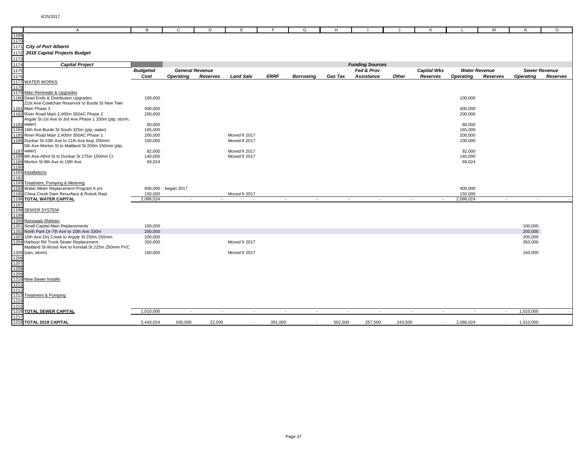|              | $\mathsf{A}$                                                                                 | в               | C                        | D                      | Е                |                          | G                | н              |                        |         | ĸ                        |                  | M                    | N                | $\circ$              |
|--------------|----------------------------------------------------------------------------------------------|-----------------|--------------------------|------------------------|------------------|--------------------------|------------------|----------------|------------------------|---------|--------------------------|------------------|----------------------|------------------|----------------------|
| 1169         |                                                                                              |                 |                          |                        |                  |                          |                  |                |                        |         |                          |                  |                      |                  |                      |
| 1170         |                                                                                              |                 |                          |                        |                  |                          |                  |                |                        |         |                          |                  |                      |                  |                      |
| 1171         | <b>City of Port Alberni</b>                                                                  |                 |                          |                        |                  |                          |                  |                |                        |         |                          |                  |                      |                  |                      |
| 1172         | 2018 Capital Projects Budget                                                                 |                 |                          |                        |                  |                          |                  |                |                        |         |                          |                  |                      |                  |                      |
| 1173         |                                                                                              |                 |                          |                        |                  |                          |                  |                |                        |         |                          |                  |                      |                  |                      |
| 1174         | <b>Capital Project</b>                                                                       |                 |                          |                        |                  |                          |                  |                | <b>Funding Sources</b> |         |                          |                  |                      |                  |                      |
| 1175         |                                                                                              | <b>Budgeted</b> |                          | <b>General Revenue</b> |                  |                          |                  |                | Fed & Prov             |         | <b>Capital Wks</b>       |                  | <b>Water Revenue</b> |                  | <b>Sewer Revenue</b> |
| 1176         |                                                                                              | Cost            | Operating                | Reserves               | <b>Land Sale</b> | <b>ERRF</b>              | <b>Borrowing</b> | <b>Gas Tax</b> | Assistance             | Other   | Reserves                 | <b>Operating</b> | Reserves             | <b>Operating</b> | Reserves             |
|              | <b>1177 WATER WORKS</b>                                                                      |                 |                          |                        |                  |                          |                  |                |                        |         |                          |                  |                      |                  |                      |
| 1178         |                                                                                              |                 |                          |                        |                  |                          |                  |                |                        |         |                          |                  |                      |                  |                      |
|              | 1179 Main Renewals & Upgrades<br>1180 Dead Ends & Distribution Upgrades                      |                 |                          |                        |                  |                          |                  |                |                        |         |                          | 100,000          |                      |                  |                      |
|              | 21st Ave-Cowichan Reservoir to Burde St New Twin                                             | 100,000         |                          |                        |                  |                          |                  |                |                        |         |                          |                  |                      |                  |                      |
|              | 1181 Main Phase 3                                                                            | 400,000         |                          |                        |                  |                          |                  |                |                        |         |                          | 400,000          |                      |                  |                      |
|              | 1182 River Road Main 2,400m 350AC Phase 2                                                    | 200,000         |                          |                        |                  |                          |                  |                |                        |         |                          | 200,000          |                      |                  |                      |
|              | Argyle St-1st Ave to 3rd Ave Phase 1 200m (ptp, storm,                                       |                 |                          |                        |                  |                          |                  |                |                        |         |                          |                  |                      |                  |                      |
|              | 1183 water)                                                                                  | 80,000          |                          |                        |                  |                          |                  |                |                        |         |                          | 80,000           |                      |                  |                      |
|              | 1184 16th Ave-Burde St South 325m (ptp, water)                                               | 165,000         |                          |                        |                  |                          |                  |                |                        |         |                          | 165,000          |                      |                  |                      |
|              | 1185 River Road Main 2,400m 350AC Phase 1                                                    | 200,000         |                          |                        | Moved fr 2017    |                          |                  |                |                        |         |                          | 200,000          |                      |                  |                      |
|              | 1186 Dunbar St-10th Ave to 11th Ave loop 200mm                                               | 100,000         |                          |                        | Moved fr 2017    |                          |                  |                |                        |         |                          | 100,000          |                      |                  |                      |
|              | 5th Ave-Morton St to Maitland St 200m 150mm (ptp,                                            |                 |                          |                        |                  |                          |                  |                |                        |         |                          |                  |                      |                  |                      |
|              | 1187 water)                                                                                  | 82,000          |                          |                        | Moved fr 2017    |                          |                  |                |                        |         |                          | 82,000           |                      |                  |                      |
|              | 1188 6th Ave-Athol St to Dunbar St 275m 150mm CI                                             | 140,000         |                          |                        | Moved fr 2017    |                          |                  |                |                        |         |                          | 140,000          |                      |                  |                      |
|              | 1189 Morton St-9th Ave to 10th Ave                                                           | 69,024          |                          |                        |                  |                          |                  |                |                        |         |                          | 69,024           |                      |                  |                      |
| 1190<br>1191 | Installations                                                                                |                 |                          |                        |                  |                          |                  |                |                        |         |                          |                  |                      |                  |                      |
| 1192         |                                                                                              |                 |                          |                        |                  |                          |                  |                |                        |         |                          |                  |                      |                  |                      |
|              | 1193 Treatment, Pumping & Metering                                                           |                 |                          |                        |                  |                          |                  |                |                        |         |                          |                  |                      |                  |                      |
|              | 1194 Water Meter Replacement Program 6 yrs                                                   |                 | 400,000 began 2017       |                        |                  |                          |                  |                |                        |         |                          | 400,000          |                      |                  |                      |
|              | 1195 China Creek Dam Resurface & Rotork Repl                                                 | 150,000         |                          |                        | Moved fr 2017    |                          |                  |                |                        |         |                          | 150,000          |                      |                  |                      |
|              | 1196 TOTAL WATER CAPITAL                                                                     | 2,086,024       |                          |                        |                  | $\overline{\phantom{a}}$ |                  |                |                        |         |                          | 2,086,024        |                      |                  |                      |
| 1197         |                                                                                              |                 |                          |                        |                  |                          |                  |                |                        |         |                          |                  |                      |                  |                      |
|              | 1198 SEWER SYSTEM                                                                            |                 |                          |                        |                  |                          |                  |                |                        |         |                          |                  |                      |                  |                      |
| 1199         |                                                                                              |                 |                          |                        |                  |                          |                  |                |                        |         |                          |                  |                      |                  |                      |
|              | 1200 Renewals / Relines                                                                      |                 |                          |                        |                  |                          |                  |                |                        |         |                          |                  |                      |                  |                      |
|              | 1201 Small Capital Main Replacements                                                         | 100,000         |                          |                        |                  |                          |                  |                |                        |         |                          |                  |                      | 100,000          |                      |
|              | 1202 North Park Dr-7th Ave to 10th Ave 330m                                                  | 200,000         |                          |                        |                  |                          |                  |                |                        |         |                          |                  |                      | 200,000          |                      |
|              | 1203 10th Ave-Dry Creek to Argyle St 250m 250mm                                              | 200,000         |                          |                        | Moved fr 2017    |                          |                  |                |                        |         |                          |                  |                      | 200,000          |                      |
|              | 1204 Harbour Rd Trunk Sewer Replacement<br>Maitland St-Wood Ave to Kendall St 225m 250mm PVC | 350,000         |                          |                        |                  |                          |                  |                |                        |         |                          |                  |                      | 350,000          |                      |
|              | 1205 (san, storm)                                                                            | 160,000         |                          |                        | Moved fr 2017    |                          |                  |                |                        |         |                          |                  |                      | 160,000          |                      |
| 1206         |                                                                                              |                 |                          |                        |                  |                          |                  |                |                        |         |                          |                  |                      |                  |                      |
| 1207         |                                                                                              |                 |                          |                        |                  |                          |                  |                |                        |         |                          |                  |                      |                  |                      |
| 1208         |                                                                                              |                 |                          |                        |                  |                          |                  |                |                        |         |                          |                  |                      |                  |                      |
| 1209         |                                                                                              |                 |                          |                        |                  |                          |                  |                |                        |         |                          |                  |                      |                  |                      |
| 1210         | <b>New Sewer Installs</b>                                                                    |                 |                          |                        |                  |                          |                  |                |                        |         |                          |                  |                      |                  |                      |
| 1211         |                                                                                              |                 |                          |                        |                  |                          |                  |                |                        |         |                          |                  |                      |                  |                      |
| 1212         |                                                                                              |                 |                          |                        |                  |                          |                  |                |                        |         |                          |                  |                      |                  |                      |
| 1213         | <b>Treatment &amp; Pumping</b>                                                               |                 |                          |                        |                  |                          |                  |                |                        |         |                          |                  |                      |                  |                      |
| 1214         |                                                                                              |                 |                          |                        |                  |                          |                  |                |                        |         |                          |                  |                      |                  |                      |
| 1215<br>1216 | <b>TOTAL SEWER CAPITAL</b>                                                                   | 1,010,000       | $\overline{\phantom{a}}$ | $\blacksquare$         | $\sim$           | $\sim$                   | $\sim$           | $\sim$         | $\sim$                 | $\sim$  | $\sim$                   | $\sim$           | $\sim$               | 1,010,000        |                      |
| 1217         |                                                                                              |                 |                          |                        |                  |                          |                  |                |                        |         |                          |                  |                      |                  |                      |
|              | 1218 TOTAL 2018 CAPITAL                                                                      | 5,443,024       | 930,000                  | 22,500                 | $\sim$           | 391,000                  | $\sim$           | 502,500        | 257,500                | 243,500 | $\overline{\phantom{a}}$ | 2,086,024        | $\sim$               | 1,010,000        |                      |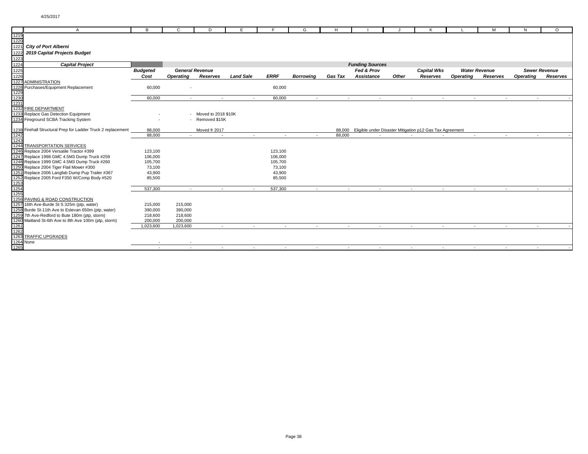|                  | A                                                                                               | в                | C              | D                      | F                |                  | G                | H.             |                                                                 |                          |                    |                      | м        | N                | $\Omega$             |
|------------------|-------------------------------------------------------------------------------------------------|------------------|----------------|------------------------|------------------|------------------|------------------|----------------|-----------------------------------------------------------------|--------------------------|--------------------|----------------------|----------|------------------|----------------------|
| 1219             |                                                                                                 |                  |                |                        |                  |                  |                  |                |                                                                 |                          |                    |                      |          |                  |                      |
| 1220             |                                                                                                 |                  |                |                        |                  |                  |                  |                |                                                                 |                          |                    |                      |          |                  |                      |
| 1221             | <b>City of Port Alberni</b>                                                                     |                  |                |                        |                  |                  |                  |                |                                                                 |                          |                    |                      |          |                  |                      |
| 1222             | 2019 Capital Projects Budget                                                                    |                  |                |                        |                  |                  |                  |                |                                                                 |                          |                    |                      |          |                  |                      |
| 1223             |                                                                                                 |                  |                |                        |                  |                  |                  |                |                                                                 |                          |                    |                      |          |                  |                      |
| 1224             | <b>Capital Project</b>                                                                          |                  |                |                        |                  |                  |                  |                | <b>Funding Sources</b>                                          |                          |                    |                      |          |                  |                      |
| 1225             |                                                                                                 | <b>Budgeted</b>  |                | <b>General Revenue</b> |                  |                  |                  |                | Fed & Prov                                                      |                          | <b>Capital Wks</b> | <b>Water Revenue</b> |          |                  | <b>Sewer Revenue</b> |
| 1226             |                                                                                                 | Cost             | Operating      | <b>Reserves</b>        | <b>Land Sale</b> | <b>ERRF</b>      | <b>Borrowina</b> | <b>Gas Tax</b> | <b>Assistance</b>                                               | Other                    | <b>Reserves</b>    | <b>Operating</b>     | Reserves | <b>Operating</b> | Reserves             |
| 1227             | <b>ADMINISTRATION</b>                                                                           |                  |                |                        |                  |                  |                  |                |                                                                 |                          |                    |                      |          |                  |                      |
|                  | 1228 Purchases/Equipment Replacement                                                            | 60,000           |                |                        |                  | 60,000           |                  |                |                                                                 |                          |                    |                      |          |                  |                      |
| 1229             |                                                                                                 |                  |                |                        |                  |                  |                  |                |                                                                 |                          |                    |                      |          |                  |                      |
| 1230             |                                                                                                 | 60.000           | $\sim$         |                        | $\sim$           | 60,000           | $\sim$           | $\sim$         | $\sim$                                                          | $\overline{\phantom{a}}$ | $\sim$             | $\sim$               | $\sim$   | $\sim$           |                      |
| 1231             |                                                                                                 |                  |                |                        |                  |                  |                  |                |                                                                 |                          |                    |                      |          |                  |                      |
|                  | 1232 FIRE DEPARTMENT                                                                            |                  |                |                        |                  |                  |                  |                |                                                                 |                          |                    |                      |          |                  |                      |
|                  | 1233 Replace Gas Detection Equipment                                                            |                  |                | - Moved to 2018 \$10K  |                  |                  |                  |                |                                                                 |                          |                    |                      |          |                  |                      |
|                  | 1234 Fireground SCBA Tracking System                                                            |                  |                | - Removed \$15K        |                  |                  |                  |                |                                                                 |                          |                    |                      |          |                  |                      |
|                  |                                                                                                 |                  |                |                        |                  |                  |                  |                |                                                                 |                          |                    |                      |          |                  |                      |
|                  | 1238 Firehall Structural Prep for Ladder Truck 2 replacement                                    | 88,000           |                | Moved fr 2017          |                  |                  |                  |                | 88,000 Eligible under Disaster Mitigation p12 Gas Tax Agreement |                          |                    |                      |          |                  |                      |
| 1242             |                                                                                                 | 88,000           |                |                        | $\sim$           | $\sim$           |                  | 88,000         |                                                                 |                          |                    |                      |          |                  |                      |
| 1243             |                                                                                                 |                  |                |                        |                  |                  |                  |                |                                                                 |                          |                    |                      |          |                  |                      |
|                  | 1244 TRANSPORTATION SERVICES                                                                    |                  |                |                        |                  |                  |                  |                |                                                                 |                          |                    |                      |          |                  |                      |
|                  | 1246 Replace 2004 Versatile Tractor #399                                                        | 123,100          |                |                        |                  | 123,100          |                  |                |                                                                 |                          |                    |                      |          |                  |                      |
|                  | 1247 Replace 1998 GMC 4.5M3 Dump Truck #259                                                     | 106,000          |                |                        |                  | 106,000          |                  |                |                                                                 |                          |                    |                      |          |                  |                      |
|                  | 1248 Replace 1999 GMC 4.5M3 Dump Truck #260                                                     | 105,700          |                |                        |                  | 105,700          |                  |                |                                                                 |                          |                    |                      |          |                  |                      |
|                  | 1250 Replace 2004 Tiger Flail Mower #300                                                        | 73,100           |                |                        |                  | 73,100           |                  |                |                                                                 |                          |                    |                      |          |                  |                      |
|                  | 1251 Replace 2006 Langfab Dump Pup Trailer #367<br>1252 Replace 2005 Ford F350 W/Comp Body #520 | 43,900<br>85,500 |                |                        |                  | 43,900<br>85,500 |                  |                |                                                                 |                          |                    |                      |          |                  |                      |
| 1253             |                                                                                                 |                  |                |                        |                  |                  |                  |                |                                                                 |                          |                    |                      |          |                  |                      |
| 1254             |                                                                                                 | 537,300          | $\overline{a}$ | $\sim$                 | $\sim$           | 537,300          | $\sim$           | $\sim$         | $\sim$                                                          | $\sim$                   | $\sim$             | $\sim$               | $\sim$   | $\sim$           |                      |
| 1255             |                                                                                                 |                  |                |                        |                  |                  |                  |                |                                                                 |                          |                    |                      |          |                  |                      |
|                  | 1256 PAVING & ROAD CONSTRUCTION                                                                 |                  |                |                        |                  |                  |                  |                |                                                                 |                          |                    |                      |          |                  |                      |
|                  | 1257 16th Ave-Burde St S 325m (ptp, water)                                                      | 215,000          | 215,000        |                        |                  |                  |                  |                |                                                                 |                          |                    |                      |          |                  |                      |
|                  | 1258 Burde St-11th Ave to Estevan 650m (ptp, water)                                             | 390,000          | 390,000        |                        |                  |                  |                  |                |                                                                 |                          |                    |                      |          |                  |                      |
|                  | 1259 7th Ave-Redford to Bute 180m (ptp, storm)                                                  | 218,600          | 218,600        |                        |                  |                  |                  |                |                                                                 |                          |                    |                      |          |                  |                      |
|                  | 1260 Maitland St-6th Ave to 8th Ave 100m (ptp, storm)                                           | 200,000          | 200,000        |                        |                  |                  |                  |                |                                                                 |                          |                    |                      |          |                  |                      |
| 1261             |                                                                                                 | 1,023,600        | 1,023,600      | $\sim$                 | $\sim$           | $\sim$           | $\sim$           | $\sim$         | $\sim$                                                          | $\sim$                   | $\sim$             | $\sim$               | $\sim$   | $\sim$           |                      |
| 1262             |                                                                                                 |                  |                |                        |                  |                  |                  |                |                                                                 |                          |                    |                      |          |                  |                      |
|                  | 1263 TRAFFIC UPGRADES                                                                           |                  |                |                        |                  |                  |                  |                |                                                                 |                          |                    |                      |          |                  |                      |
| <b>1264 None</b> |                                                                                                 |                  |                |                        |                  |                  |                  |                |                                                                 |                          |                    |                      |          |                  |                      |
| 1265             |                                                                                                 |                  | $\overline{a}$ | $\sim$                 | $\sim$           | $\sim$           | $\overline{a}$   | $\sim$         | $\sim$                                                          | $\sim$                   | $\sim$             | $\sim$               | $\sim$   |                  |                      |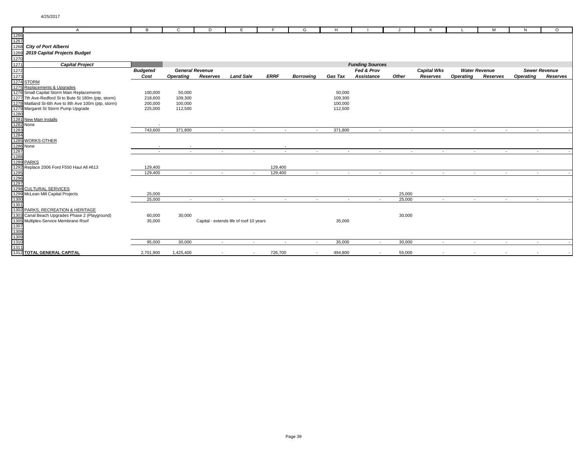| $\overline{A}$                                                                                                                                                                                                                                                                                                                                                                                                                                                                                           | в               | C                        | D                        | E                                       |                          | G                        | H              |                        |        | ĸ                  |                  | м                    | N                | $\circ$              |
|----------------------------------------------------------------------------------------------------------------------------------------------------------------------------------------------------------------------------------------------------------------------------------------------------------------------------------------------------------------------------------------------------------------------------------------------------------------------------------------------------------|-----------------|--------------------------|--------------------------|-----------------------------------------|--------------------------|--------------------------|----------------|------------------------|--------|--------------------|------------------|----------------------|------------------|----------------------|
| $\begin{array}{l} \hline \text{A} \\ \hline \hline 1266 \\ 1267 \\ 1288 \\ \hline \end{array} \text{City of Port Albertin} \\ \begin{array}{l} 1269 \\ 2019 \text{ Capital Projects Budget} \\ \hline 1270 \\ 1272 \\ \hline 1274 \\ \hline 1274 \\ \hline 1274 \\ \hline 1275 \text{ Replacements & Upgrades} \\ \hline 1276 \text{ Small Capital Storm Main Replacements} \\ \hline 1277 \text{th A/e-Redford St to Bth Ave 100m (pt), storm)} \\ \hline 1277 \text{IMaliland St-fit Ave to Bth Ave 1$ |                 |                          |                          |                                         |                          |                          |                |                        |        |                    |                  |                      |                  |                      |
|                                                                                                                                                                                                                                                                                                                                                                                                                                                                                                          |                 |                          |                          |                                         |                          |                          |                |                        |        |                    |                  |                      |                  |                      |
|                                                                                                                                                                                                                                                                                                                                                                                                                                                                                                          |                 |                          |                          |                                         |                          |                          |                |                        |        |                    |                  |                      |                  |                      |
|                                                                                                                                                                                                                                                                                                                                                                                                                                                                                                          |                 |                          |                          |                                         |                          |                          |                |                        |        |                    |                  |                      |                  |                      |
|                                                                                                                                                                                                                                                                                                                                                                                                                                                                                                          |                 |                          |                          |                                         |                          |                          |                |                        |        |                    |                  |                      |                  |                      |
|                                                                                                                                                                                                                                                                                                                                                                                                                                                                                                          |                 |                          |                          |                                         |                          |                          |                | <b>Funding Sources</b> |        |                    |                  |                      |                  |                      |
|                                                                                                                                                                                                                                                                                                                                                                                                                                                                                                          | <b>Budgeted</b> | <b>General Revenue</b>   |                          |                                         |                          |                          |                | Fed & Prov             |        | <b>Capital Wks</b> |                  | <b>Water Revenue</b> |                  | <b>Sewer Revenue</b> |
|                                                                                                                                                                                                                                                                                                                                                                                                                                                                                                          | Cost            | <b>Operating</b>         | Reserves                 | <b>Land Sale</b>                        | <b>ERRF</b>              | <b>Borrowing</b>         | <b>Gas Tax</b> | Assistance             | Other  | Reserves           | <b>Operating</b> | Reserves             | <b>Operating</b> | Reserves             |
|                                                                                                                                                                                                                                                                                                                                                                                                                                                                                                          |                 |                          |                          |                                         |                          |                          |                |                        |        |                    |                  |                      |                  |                      |
|                                                                                                                                                                                                                                                                                                                                                                                                                                                                                                          |                 |                          |                          |                                         |                          |                          |                |                        |        |                    |                  |                      |                  |                      |
|                                                                                                                                                                                                                                                                                                                                                                                                                                                                                                          | 100,000         | 50,000                   |                          |                                         |                          |                          | 50,000         |                        |        |                    |                  |                      |                  |                      |
|                                                                                                                                                                                                                                                                                                                                                                                                                                                                                                          | 218,600         | 109,300                  |                          |                                         |                          |                          | 109,300        |                        |        |                    |                  |                      |                  |                      |
|                                                                                                                                                                                                                                                                                                                                                                                                                                                                                                          | 200,000         | 100,000                  |                          |                                         |                          |                          | 100,000        |                        |        |                    |                  |                      |                  |                      |
|                                                                                                                                                                                                                                                                                                                                                                                                                                                                                                          | 225,000         | 112,500                  |                          |                                         |                          |                          | 112,500        |                        |        |                    |                  |                      |                  |                      |
|                                                                                                                                                                                                                                                                                                                                                                                                                                                                                                          |                 |                          |                          |                                         |                          |                          |                |                        |        |                    |                  |                      |                  |                      |
|                                                                                                                                                                                                                                                                                                                                                                                                                                                                                                          |                 |                          |                          |                                         |                          |                          |                |                        |        |                    |                  |                      |                  |                      |
|                                                                                                                                                                                                                                                                                                                                                                                                                                                                                                          |                 |                          |                          |                                         |                          |                          |                |                        |        |                    |                  |                      |                  |                      |
|                                                                                                                                                                                                                                                                                                                                                                                                                                                                                                          | 743,600         | 371,800                  | $\sim$                   | $\sim$                                  |                          | $\sim$<br>$\sim$         | 371,800        | $\sim$                 | $\sim$ | $\sim$             | $\sim$           | $\sim$               | $\sim$           |                      |
|                                                                                                                                                                                                                                                                                                                                                                                                                                                                                                          |                 |                          |                          |                                         |                          |                          |                |                        |        |                    |                  |                      |                  |                      |
|                                                                                                                                                                                                                                                                                                                                                                                                                                                                                                          |                 |                          |                          |                                         |                          |                          |                |                        |        |                    |                  |                      |                  |                      |
|                                                                                                                                                                                                                                                                                                                                                                                                                                                                                                          |                 |                          |                          |                                         |                          |                          |                |                        |        |                    |                  |                      |                  |                      |
|                                                                                                                                                                                                                                                                                                                                                                                                                                                                                                          | $\sim$          | $\overline{\phantom{a}}$ | $\sim$                   | $\sim$                                  |                          | $\sim$<br>$\sim$         | $\sim$         | $\sim$                 | $\sim$ | $\sim$             | $\sim$           | $\sim$               | $\sim$           |                      |
|                                                                                                                                                                                                                                                                                                                                                                                                                                                                                                          |                 |                          |                          |                                         |                          |                          |                |                        |        |                    |                  |                      |                  |                      |
|                                                                                                                                                                                                                                                                                                                                                                                                                                                                                                          | 129,400         |                          |                          |                                         | 129,400                  |                          |                |                        |        |                    |                  |                      |                  |                      |
|                                                                                                                                                                                                                                                                                                                                                                                                                                                                                                          | 129,400         | $\sim$                   | $\sim$                   | $\sim$                                  | 129,400                  | $\sim$                   | $\sim$         | $\sim$                 | $\sim$ | $\sim$             | $\sim$           | $\sim$               | $\sim$           |                      |
|                                                                                                                                                                                                                                                                                                                                                                                                                                                                                                          |                 |                          |                          |                                         |                          |                          |                |                        |        |                    |                  |                      |                  |                      |
|                                                                                                                                                                                                                                                                                                                                                                                                                                                                                                          |                 |                          |                          |                                         |                          |                          |                |                        |        |                    |                  |                      |                  |                      |
|                                                                                                                                                                                                                                                                                                                                                                                                                                                                                                          |                 |                          |                          |                                         |                          |                          |                |                        |        |                    |                  |                      |                  |                      |
|                                                                                                                                                                                                                                                                                                                                                                                                                                                                                                          | 25,000          |                          |                          |                                         |                          |                          |                |                        | 25,000 |                    |                  |                      |                  |                      |
|                                                                                                                                                                                                                                                                                                                                                                                                                                                                                                          | 25,000          |                          |                          | $\sim$                                  | $\overline{\phantom{a}}$ |                          |                |                        | 25,000 |                    |                  |                      |                  |                      |
|                                                                                                                                                                                                                                                                                                                                                                                                                                                                                                          |                 |                          |                          |                                         |                          |                          |                |                        |        |                    |                  |                      |                  |                      |
|                                                                                                                                                                                                                                                                                                                                                                                                                                                                                                          |                 |                          |                          |                                         |                          |                          |                |                        |        |                    |                  |                      |                  |                      |
|                                                                                                                                                                                                                                                                                                                                                                                                                                                                                                          | 60,000          | 30,000                   |                          |                                         |                          |                          |                |                        | 30,000 |                    |                  |                      |                  |                      |
|                                                                                                                                                                                                                                                                                                                                                                                                                                                                                                          | 35,000          |                          |                          | Capital - extends life of roof 10 years |                          |                          | 35,000         |                        |        |                    |                  |                      |                  |                      |
|                                                                                                                                                                                                                                                                                                                                                                                                                                                                                                          |                 |                          |                          |                                         |                          |                          |                |                        |        |                    |                  |                      |                  |                      |
|                                                                                                                                                                                                                                                                                                                                                                                                                                                                                                          |                 |                          |                          |                                         |                          |                          |                |                        |        |                    |                  |                      |                  |                      |
|                                                                                                                                                                                                                                                                                                                                                                                                                                                                                                          |                 |                          |                          |                                         |                          |                          |                |                        |        |                    |                  |                      |                  |                      |
| 1276] Small Capital Storm Main Replacements<br>1277 Th Ave-Redford St to Bute St 180m (ptp, storm)<br>1278] Matitand St-6th Ave to 8th Ave 100m (ptp, storm)<br>1279] Margaret St Storm Pump Upgrade<br>1280<br>1281 New Main Installs<br>                                                                                                                                                                                                                                                               | 95,000          | 30,000                   | $\sim$                   | $\sim$                                  |                          | $\sim$<br>$\sim$         | 35,000         | $\sim$                 | 30,000 | $\sim$             | $\sim$           | $\sim$               | $\sim$           |                      |
|                                                                                                                                                                                                                                                                                                                                                                                                                                                                                                          |                 |                          |                          |                                         |                          |                          |                |                        |        |                    |                  |                      |                  |                      |
|                                                                                                                                                                                                                                                                                                                                                                                                                                                                                                          | 2,701,900       | 1,425,400                | $\overline{\phantom{0}}$ | $\sim$                                  | 726,700                  | $\overline{\phantom{a}}$ | 494,800        | $\sim$                 | 55,000 |                    |                  |                      |                  |                      |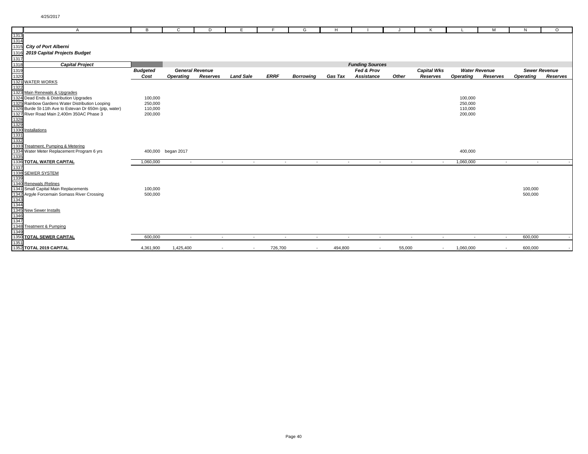|              | A                                                      | B               | $\mathsf{C}$             | D                      | Е                | F           | G                        | H              |                        |                          | K                        |                          | M                        | N                | $\circ$              |
|--------------|--------------------------------------------------------|-----------------|--------------------------|------------------------|------------------|-------------|--------------------------|----------------|------------------------|--------------------------|--------------------------|--------------------------|--------------------------|------------------|----------------------|
| 1313<br>1314 |                                                        |                 |                          |                        |                  |             |                          |                |                        |                          |                          |                          |                          |                  |                      |
|              |                                                        |                 |                          |                        |                  |             |                          |                |                        |                          |                          |                          |                          |                  |                      |
| 1315         | <b>City of Port Alberni</b>                            |                 |                          |                        |                  |             |                          |                |                        |                          |                          |                          |                          |                  |                      |
| 1316         | 2019 Capital Projects Budget                           |                 |                          |                        |                  |             |                          |                |                        |                          |                          |                          |                          |                  |                      |
| 1317         |                                                        |                 |                          |                        |                  |             |                          |                |                        |                          |                          |                          |                          |                  |                      |
| 1318         | <b>Capital Project</b>                                 |                 |                          |                        |                  |             |                          |                | <b>Funding Sources</b> |                          |                          |                          |                          |                  |                      |
| 1319         |                                                        | <b>Budgeted</b> |                          | <b>General Revenue</b> |                  |             |                          |                | Fed & Prov             |                          | <b>Capital Wks</b>       | <b>Water Revenue</b>     |                          |                  | <b>Sewer Revenue</b> |
| 1320         |                                                        | Cost            | <b>Operating</b>         | Reserves               | <b>Land Sale</b> | <b>ERRF</b> | <b>Borrowing</b>         | <b>Gas Tax</b> | Assistance             | Other                    | Reserves                 | <b>Operating</b>         | Reserves                 | <b>Operating</b> | Reserves             |
|              | 1321 WATER WORKS                                       |                 |                          |                        |                  |             |                          |                |                        |                          |                          |                          |                          |                  |                      |
| 1322         |                                                        |                 |                          |                        |                  |             |                          |                |                        |                          |                          |                          |                          |                  |                      |
| 1323         | Main Renewals & Upgrades                               |                 |                          |                        |                  |             |                          |                |                        |                          |                          |                          |                          |                  |                      |
|              | 1324 Dead Ends & Distribution Upgrades                 | 100,000         |                          |                        |                  |             |                          |                |                        |                          |                          | 100,000                  |                          |                  |                      |
|              | 1325 Rainbow Gardens Water Distribution Looping        | 250,000         |                          |                        |                  |             |                          |                |                        |                          |                          | 250,000                  |                          |                  |                      |
|              | 1326 Burde St-11th Ave to Estevan Dr 650m (ptp, water) | 110,000         |                          |                        |                  |             |                          |                |                        |                          |                          | 110,000                  |                          |                  |                      |
|              | 1327 River Road Main 2,400m 350AC Phase 3              | 200,000         |                          |                        |                  |             |                          |                |                        |                          |                          | 200,000                  |                          |                  |                      |
| 1328         |                                                        |                 |                          |                        |                  |             |                          |                |                        |                          |                          |                          |                          |                  |                      |
| 1329         |                                                        |                 |                          |                        |                  |             |                          |                |                        |                          |                          |                          |                          |                  |                      |
| 1331         | Installations                                          |                 |                          |                        |                  |             |                          |                |                        |                          |                          |                          |                          |                  |                      |
| 1332         |                                                        |                 |                          |                        |                  |             |                          |                |                        |                          |                          |                          |                          |                  |                      |
|              | 1333 Treatment, Pumping & Metering                     |                 |                          |                        |                  |             |                          |                |                        |                          |                          |                          |                          |                  |                      |
|              | 1334 Water Meter Replacement Program 6 yrs             |                 | 400,000 began 2017       |                        |                  |             |                          |                |                        |                          |                          | 400,000                  |                          |                  |                      |
| 1335         |                                                        |                 |                          |                        |                  |             |                          |                |                        |                          |                          |                          |                          |                  |                      |
|              | 1336 TOTAL WATER CAPITAL                               | 1,060,000       | $\overline{\phantom{a}}$ | $\sim$                 | $\sim$           | $\sim$      | $\sim$                   | $\sim$         | $\sim$                 | $\overline{\phantom{a}}$ | $\overline{\phantom{a}}$ | 1,060,000                | $\sim$                   | $\sim$           |                      |
| 1337         |                                                        |                 |                          |                        |                  |             |                          |                |                        |                          |                          |                          |                          |                  |                      |
|              | 1338 SEWER SYSTEM                                      |                 |                          |                        |                  |             |                          |                |                        |                          |                          |                          |                          |                  |                      |
| 1339         |                                                        |                 |                          |                        |                  |             |                          |                |                        |                          |                          |                          |                          |                  |                      |
|              | 1340 Renewals / Relines                                |                 |                          |                        |                  |             |                          |                |                        |                          |                          |                          |                          |                  |                      |
|              | 1341 Small Capital Main Replacements                   | 100,000         |                          |                        |                  |             |                          |                |                        |                          |                          |                          |                          | 100,000          |                      |
|              | 1342 Argyle Forcemain Somass River Crossing            | 500,000         |                          |                        |                  |             |                          |                |                        |                          |                          |                          |                          | 500,000          |                      |
| 1343         |                                                        |                 |                          |                        |                  |             |                          |                |                        |                          |                          |                          |                          |                  |                      |
|              | 1344<br>1345 New Sewer Installs                        |                 |                          |                        |                  |             |                          |                |                        |                          |                          |                          |                          |                  |                      |
|              |                                                        |                 |                          |                        |                  |             |                          |                |                        |                          |                          |                          |                          |                  |                      |
| 1346<br>1347 |                                                        |                 |                          |                        |                  |             |                          |                |                        |                          |                          |                          |                          |                  |                      |
|              |                                                        |                 |                          |                        |                  |             |                          |                |                        |                          |                          |                          |                          |                  |                      |
| 1348         | Treatment & Pumping                                    |                 |                          |                        |                  |             |                          |                |                        |                          |                          |                          |                          |                  |                      |
| 1349         | 1350 TOTAL SEWER CAPITAL                               | 600,000         |                          |                        |                  |             |                          |                |                        |                          |                          |                          |                          | 600,000          |                      |
| 1351         |                                                        |                 | $\overline{\phantom{a}}$ | $\sim$                 | $\sim$           | $\sim$      | $\sim$                   | $\sim$         | $\sim$                 | $\sim$                   | $\sim$                   | $\overline{\phantom{a}}$ | $\sim$                   |                  |                      |
|              | 1352 TOTAL 2019 CAPITAL                                | 4,361,900       | 1,425,400                | $\sim$                 | $\sim$           | 726,700     | $\overline{\phantom{a}}$ | 494,800        | $\sim$                 | 55,000                   | $\sim$                   | 1,060,000                | $\overline{\phantom{a}}$ | 600,000          |                      |
|              |                                                        |                 |                          |                        |                  |             |                          |                |                        |                          |                          |                          |                          |                  |                      |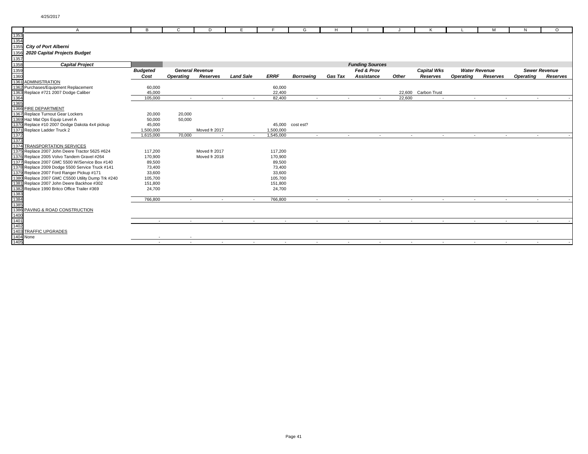| $\mathsf{A}$                                                                                                                                                                                                                                                             | в               | C                | D                      | Е                |                | G                        | H.             |                        |                          |                          |                  | м                        | N                        | $\Omega$             |
|--------------------------------------------------------------------------------------------------------------------------------------------------------------------------------------------------------------------------------------------------------------------------|-----------------|------------------|------------------------|------------------|----------------|--------------------------|----------------|------------------------|--------------------------|--------------------------|------------------|--------------------------|--------------------------|----------------------|
|                                                                                                                                                                                                                                                                          |                 |                  |                        |                  |                |                          |                |                        |                          |                          |                  |                          |                          |                      |
|                                                                                                                                                                                                                                                                          |                 |                  |                        |                  |                |                          |                |                        |                          |                          |                  |                          |                          |                      |
|                                                                                                                                                                                                                                                                          |                 |                  |                        |                  |                |                          |                |                        |                          |                          |                  |                          |                          |                      |
|                                                                                                                                                                                                                                                                          |                 |                  |                        |                  |                |                          |                |                        |                          |                          |                  |                          |                          |                      |
|                                                                                                                                                                                                                                                                          |                 |                  |                        |                  |                |                          |                |                        |                          |                          |                  |                          |                          |                      |
|                                                                                                                                                                                                                                                                          |                 |                  |                        |                  |                |                          |                | <b>Funding Sources</b> |                          |                          |                  |                          |                          |                      |
|                                                                                                                                                                                                                                                                          | <b>Budgeted</b> |                  | <b>General Revenue</b> |                  |                |                          |                | Fed & Prov             |                          | <b>Capital Wks</b>       |                  | <b>Water Revenue</b>     |                          | <b>Sewer Revenue</b> |
|                                                                                                                                                                                                                                                                          | Cost            | <b>Operating</b> | <b>Reserves</b>        | <b>Land Sale</b> | <b>ERRF</b>    | <b>Borrowing</b>         | <b>Gas Tax</b> | Assistance             | Other                    | Reserves                 | <b>Operating</b> | Reserves                 | <b>Operating</b>         | Reserves             |
|                                                                                                                                                                                                                                                                          |                 |                  |                        |                  |                |                          |                |                        |                          |                          |                  |                          |                          |                      |
|                                                                                                                                                                                                                                                                          | 60,000          |                  |                        |                  | 60,000         |                          |                |                        |                          |                          |                  |                          |                          |                      |
|                                                                                                                                                                                                                                                                          | 45,000          |                  |                        |                  | 22,400         |                          |                |                        |                          | 22,600 Carbon Trust      |                  |                          |                          |                      |
|                                                                                                                                                                                                                                                                          | 105,000         | $\sim$           | $\sim$                 | $\sim$           | 82,400         | $\sim$                   | $\sim$         | $\sim$                 | 22,600                   | $\sim$                   | $\sim$           | $\sim$                   | $\sim$                   |                      |
|                                                                                                                                                                                                                                                                          |                 |                  |                        |                  |                |                          |                |                        |                          |                          |                  |                          |                          |                      |
|                                                                                                                                                                                                                                                                          |                 |                  |                        |                  |                |                          |                |                        |                          |                          |                  |                          |                          |                      |
|                                                                                                                                                                                                                                                                          | 20,000          | 20,000           |                        |                  |                |                          |                |                        |                          |                          |                  |                          |                          |                      |
|                                                                                                                                                                                                                                                                          | 50,000          | 50,000           |                        |                  |                |                          |                |                        |                          |                          |                  |                          |                          |                      |
| Replace #10 2007 Dodge Dakota 4x4 pickup                                                                                                                                                                                                                                 | 45,000          |                  |                        |                  | 45,000         | cost est?                |                |                        |                          |                          |                  |                          |                          |                      |
|                                                                                                                                                                                                                                                                          | 1,500,000       |                  | Moved fr 2017          |                  | 1,500,000      |                          |                |                        |                          |                          |                  |                          |                          |                      |
|                                                                                                                                                                                                                                                                          | 1,615,000       | 70,000           |                        | $\sim$           | 1,545,000      | $\overline{\phantom{a}}$ | $\sim$         | $\sim$                 | $\overline{\phantom{a}}$ | $\overline{\phantom{a}}$ | $\sim$           | $\overline{\phantom{a}}$ | $\overline{\phantom{a}}$ |                      |
|                                                                                                                                                                                                                                                                          |                 |                  |                        |                  |                |                          |                |                        |                          |                          |                  |                          |                          |                      |
|                                                                                                                                                                                                                                                                          |                 |                  |                        |                  |                |                          |                |                        |                          |                          |                  |                          |                          |                      |
| Replace 2007 John Deere Tractor 5625 #624                                                                                                                                                                                                                                | 117,200         |                  | Moved fr 2017          |                  | 117,200        |                          |                |                        |                          |                          |                  |                          |                          |                      |
| Replace 2005 Volvo Tandem Gravel #264                                                                                                                                                                                                                                    | 170,900         |                  | Moved fr 2018          |                  | 170,900        |                          |                |                        |                          |                          |                  |                          |                          |                      |
| Replace 2007 GMC 5500 W/Service Box #140                                                                                                                                                                                                                                 | 89,500          |                  |                        |                  | 89,500         |                          |                |                        |                          |                          |                  |                          |                          |                      |
| Replace 2009 Dodge 5500 Service Truck #141                                                                                                                                                                                                                               | 73,400          |                  |                        |                  | 73,400         |                          |                |                        |                          |                          |                  |                          |                          |                      |
|                                                                                                                                                                                                                                                                          | 33,600          |                  |                        |                  | 33,600         |                          |                |                        |                          |                          |                  |                          |                          |                      |
| Replace 2007 GMC C5500 Utility Dump Trk #240                                                                                                                                                                                                                             | 105,700         |                  |                        |                  | 105,700        |                          |                |                        |                          |                          |                  |                          |                          |                      |
| Replace 2007 John Deere Backhoe #302                                                                                                                                                                                                                                     | 151,800         |                  |                        |                  | 151,800        |                          |                |                        |                          |                          |                  |                          |                          |                      |
|                                                                                                                                                                                                                                                                          | 24,700          |                  |                        |                  | 24,700         |                          |                |                        |                          |                          |                  |                          |                          |                      |
|                                                                                                                                                                                                                                                                          |                 |                  |                        |                  |                |                          |                |                        |                          |                          |                  |                          |                          |                      |
|                                                                                                                                                                                                                                                                          | 766,800         | $\overline{a}$   | $\sim$                 | $\sim$           | 766,800        | $\overline{a}$           | $\sim$         | $\sim$                 | $\sim$                   | $\sim$                   | $\sim$           | $\sim$                   |                          |                      |
|                                                                                                                                                                                                                                                                          |                 |                  |                        |                  |                |                          |                |                        |                          |                          |                  |                          |                          |                      |
|                                                                                                                                                                                                                                                                          |                 |                  |                        |                  |                |                          |                |                        |                          |                          |                  |                          |                          |                      |
|                                                                                                                                                                                                                                                                          |                 |                  |                        |                  |                |                          |                |                        |                          |                          |                  |                          |                          |                      |
|                                                                                                                                                                                                                                                                          | $\sim$          | $\overline{a}$   | $\sim$                 | $\sim$           | $\overline{a}$ | $\overline{a}$           | $\sim$         | $\sim$                 | $\sim$                   | $\sim$                   | $\sim$           | $\overline{a}$           | $\overline{a}$           |                      |
|                                                                                                                                                                                                                                                                          |                 |                  |                        |                  |                |                          |                |                        |                          |                          |                  |                          |                          |                      |
| A<br>1353<br>1353<br>1355<br>1356<br>1356<br>2020 Capital Projects Budget<br>1357<br>1358<br>2020 Capital Projects Budget<br>1358<br>2020 Capital Projects Budget<br>1368<br>1368<br>1368<br>Puchases/Equipment Replacement<br>1368<br>1368<br>1368<br>1368<br>1368<br>1 |                 |                  |                        |                  |                |                          |                |                        |                          |                          |                  |                          |                          |                      |
|                                                                                                                                                                                                                                                                          |                 |                  |                        |                  |                |                          |                |                        |                          |                          |                  |                          |                          |                      |
|                                                                                                                                                                                                                                                                          | $\sim$          | $\sim$           | $\sim$                 | $\sim$           | $\sim$         | $\sim$                   | $\sim$         | $\sim$                 | $\sim$                   | $\sim$                   | $\sim$           | $\overline{\phantom{a}}$ | $\sim$                   |                      |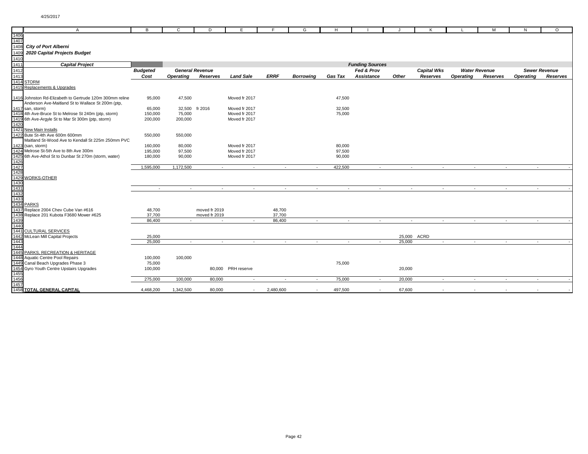|              | $\mathsf{A}$                                             | в               | C                        | D                      | Е                  | E           | G                        | H              |                        | IJ                       | K                  |                  | м                    | N                | $\circ$              |
|--------------|----------------------------------------------------------|-----------------|--------------------------|------------------------|--------------------|-------------|--------------------------|----------------|------------------------|--------------------------|--------------------|------------------|----------------------|------------------|----------------------|
| 1406         |                                                          |                 |                          |                        |                    |             |                          |                |                        |                          |                    |                  |                      |                  |                      |
| 1407         |                                                          |                 |                          |                        |                    |             |                          |                |                        |                          |                    |                  |                      |                  |                      |
| 1408         | <b>City of Port Alberni</b>                              |                 |                          |                        |                    |             |                          |                |                        |                          |                    |                  |                      |                  |                      |
| 1409         | 2020 Capital Projects Budget                             |                 |                          |                        |                    |             |                          |                |                        |                          |                    |                  |                      |                  |                      |
| 1410         |                                                          |                 |                          |                        |                    |             |                          |                |                        |                          |                    |                  |                      |                  |                      |
| 1411         | <b>Capital Project</b>                                   |                 |                          |                        |                    |             |                          |                | <b>Funding Sources</b> |                          |                    |                  |                      |                  |                      |
| 1412         |                                                          | <b>Budgeted</b> |                          | <b>General Revenue</b> |                    |             |                          |                | Fed & Prov             |                          | <b>Capital Wks</b> |                  | <b>Water Revenue</b> |                  | <b>Sewer Revenue</b> |
| 1413         |                                                          | Cost            | Operating                | Reserves               | <b>Land Sale</b>   | <b>ERRF</b> | <b>Borrowina</b>         | <b>Gas Tax</b> | Assistance             | Other                    | Reserves           | <b>Operating</b> | Reserves             | <b>Operating</b> | Reserves             |
|              | <b>1414 STORM</b>                                        |                 |                          |                        |                    |             |                          |                |                        |                          |                    |                  |                      |                  |                      |
|              | 1415 Replacements & Upgrades                             |                 |                          |                        |                    |             |                          |                |                        |                          |                    |                  |                      |                  |                      |
|              |                                                          |                 |                          |                        |                    |             |                          |                |                        |                          |                    |                  |                      |                  |                      |
|              | 1416 Johnston Rd-Elizabeth to Gertrude 120m 300mm reline | 95,000          | 47,500                   |                        | Moved fr 2017      |             |                          | 47,500         |                        |                          |                    |                  |                      |                  |                      |
|              | Anderson Ave-Maitland St to Wallace St 200m (ptp,        |                 |                          |                        |                    |             |                          |                |                        |                          |                    |                  |                      |                  |                      |
|              | 1417 san, storm)                                         | 65,000          |                          | 32,500 fr 2016         | Moved fr 2017      |             |                          | 32,500         |                        |                          |                    |                  |                      |                  |                      |
|              | 1418 4th Ave-Bruce St to Melrose St 240m (ptp, storm)    | 150,000         | 75,000                   |                        | Moved fr 2017      |             |                          | 75,000         |                        |                          |                    |                  |                      |                  |                      |
|              | 1419 6th Ave-Argyle St to Mar St 300m (ptp, storm)       | 200,000         | 200,000                  |                        | Moved fr 2017      |             |                          |                |                        |                          |                    |                  |                      |                  |                      |
| 1420         |                                                          |                 |                          |                        |                    |             |                          |                |                        |                          |                    |                  |                      |                  |                      |
|              | 1421 New Main Installs                                   |                 |                          |                        |                    |             |                          |                |                        |                          |                    |                  |                      |                  |                      |
|              | 1422 Bute St-4th Ave 600m 600mm                          | 550,000         | 550,000                  |                        |                    |             |                          |                |                        |                          |                    |                  |                      |                  |                      |
|              | Maitland St-Wood Ave to Kendall St 225m 250mm PVC        |                 |                          |                        |                    |             |                          |                |                        |                          |                    |                  |                      |                  |                      |
|              | 1423 (san, storm)                                        | 160,000         | 80,000                   |                        | Moved fr 2017      |             |                          | 80,000         |                        |                          |                    |                  |                      |                  |                      |
|              | 1424 Melrose St-5th Ave to 8th Ave 300m                  | 195,000         | 97,500                   |                        | Moved fr 2017      |             |                          | 97,500         |                        |                          |                    |                  |                      |                  |                      |
|              | 1425 6th Ave-Athol St to Dunbar St 270m (storm, water)   | 180,000         | 90,000                   |                        | Moved fr 2017      |             |                          | 90,000         |                        |                          |                    |                  |                      |                  |                      |
| 1426         |                                                          |                 |                          |                        |                    |             |                          |                |                        |                          |                    |                  |                      |                  |                      |
| 1427         |                                                          | 1,595,000       | 1,172,500                | $\sim$                 | $\sim$             | $\sim$      | $\sim$                   | 422,500        | $\sim$                 | $\sim$                   | $\sim$             | $\sim$           | $\sim$               | $\sim$           |                      |
| 1428         |                                                          |                 |                          |                        |                    |             |                          |                |                        |                          |                    |                  |                      |                  |                      |
|              | 1429 WORKS-OTHER                                         |                 |                          |                        |                    |             |                          |                |                        |                          |                    |                  |                      |                  |                      |
| 1430         |                                                          |                 |                          |                        |                    |             |                          |                |                        |                          |                    |                  |                      |                  |                      |
| 1431         |                                                          | $\sim$          | $\overline{\phantom{a}}$ | $\sim$                 | $\sim$             | $\sim$      | $\sim$                   | $\sim$         | $\sim$                 | $\sim$                   | $\sim$             | $\sim$           | $\sim$               | $\sim$           |                      |
| 1432<br>1433 |                                                          |                 |                          |                        |                    |             |                          |                |                        |                          |                    |                  |                      |                  |                      |
|              |                                                          |                 |                          |                        |                    |             |                          |                |                        |                          |                    |                  |                      |                  |                      |
|              | 1434 PARKS                                               |                 |                          |                        |                    |             |                          |                |                        |                          |                    |                  |                      |                  |                      |
| 1437         | Replace 2004 Chev Cube Van #616                          | 48,700          |                          | moved fr 2019          |                    | 48,700      |                          |                |                        |                          |                    |                  |                      |                  |                      |
|              | 1438 Replace 201 Kubota F3680 Mower #625                 | 37,700          |                          | moved fr 2019          |                    | 37,700      |                          |                |                        |                          |                    |                  |                      |                  |                      |
| 1439         |                                                          | 86,400          |                          | $\sim$                 | $\sim$             | 86,400      | $\sim$                   | $\sim$         | $\sim$                 | $\overline{\phantom{a}}$ | $\sim$             | $\sim$           | $\sim$               | $\sim$           |                      |
| 1440         |                                                          |                 |                          |                        |                    |             |                          |                |                        |                          |                    |                  |                      |                  |                      |
|              | 1441 CULTURAL SERVICES                                   |                 |                          |                        |                    |             |                          |                |                        |                          |                    |                  |                      |                  |                      |
|              | 1442 McLean Mill Capital Projects                        | 25,000          |                          |                        |                    |             |                          |                |                        | 25,000                   | ACRD               |                  |                      |                  |                      |
| 1443         |                                                          | 25,000          | $\sim$                   | $\sim$                 | $\sim$             | $\sim$      | $\overline{\phantom{a}}$ | $\sim$         | $\sim$                 | 25,000                   | $\sim$             | $\sim$           | $\sim$               | $\sim$           |                      |
| 1444         |                                                          |                 |                          |                        |                    |             |                          |                |                        |                          |                    |                  |                      |                  |                      |
|              | 1445 PARKS, RECREATION & HERITAGE                        |                 |                          |                        |                    |             |                          |                |                        |                          |                    |                  |                      |                  |                      |
|              | 1448 Aquatic Centre Pool Repairs                         | 100,000         | 100,000                  |                        |                    |             |                          |                |                        |                          |                    |                  |                      |                  |                      |
|              | 1449 Canal Beach Upgrades Phase 3                        | 75,000          |                          |                        |                    |             |                          | 75,000         |                        |                          |                    |                  |                      |                  |                      |
|              | 1454 Gyro Youth Centre Upstairs Upgrades                 | 100,000         |                          |                        | 80,000 PRH reserve |             |                          |                |                        | 20,000                   |                    |                  |                      |                  |                      |
| 1455         |                                                          |                 |                          |                        |                    |             |                          |                |                        |                          |                    |                  |                      |                  |                      |
| 1456         |                                                          | 275,000         | 100,000                  | 80,000                 | $\sim$             | $\sim$      | $\overline{\phantom{a}}$ | 75,000         | $\sim$                 | 20,000                   | $\sim$             | $\sim$           | $\sim$               | $\sim$           |                      |
| 1457         |                                                          |                 |                          |                        |                    |             |                          |                |                        |                          |                    |                  |                      |                  |                      |
|              | <b>1458 TOTAL GENERAL CAPITAL</b>                        | 4,468,200       | 1,342,500                | 80,000                 | $\sim$             | 2,480,600   |                          | 497,500        | $\sim$                 | 67,600                   |                    |                  |                      |                  |                      |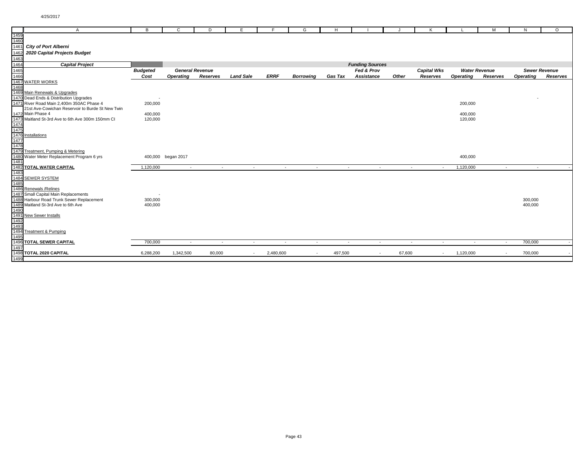|                      | $\mathsf{A}$                                      | B               | C                  | D                      | Е                |                          | G                        | н              |                        |                          | Κ                  |                          | м                        | N                | $\circ$              |
|----------------------|---------------------------------------------------|-----------------|--------------------|------------------------|------------------|--------------------------|--------------------------|----------------|------------------------|--------------------------|--------------------|--------------------------|--------------------------|------------------|----------------------|
| 1459                 |                                                   |                 |                    |                        |                  |                          |                          |                |                        |                          |                    |                          |                          |                  |                      |
| $\frac{1460}{1461}$  |                                                   |                 |                    |                        |                  |                          |                          |                |                        |                          |                    |                          |                          |                  |                      |
|                      | <b>City of Port Alberni</b>                       |                 |                    |                        |                  |                          |                          |                |                        |                          |                    |                          |                          |                  |                      |
|                      | 2020 Capital Projects Budget                      |                 |                    |                        |                  |                          |                          |                |                        |                          |                    |                          |                          |                  |                      |
|                      |                                                   |                 |                    |                        |                  |                          |                          |                |                        |                          |                    |                          |                          |                  |                      |
| 1463<br>1464<br>1465 | <b>Capital Project</b>                            |                 |                    |                        |                  |                          |                          |                | <b>Funding Sources</b> |                          |                    |                          |                          |                  |                      |
|                      |                                                   | <b>Budgeted</b> |                    | <b>General Revenue</b> |                  |                          |                          |                | Fed & Prov             |                          | <b>Capital Wks</b> |                          | <b>Water Revenue</b>     |                  | <b>Sewer Revenue</b> |
| 1466                 |                                                   | Cost            | <b>Operating</b>   | Reserves               | <b>Land Sale</b> | <b>ERRF</b>              | <b>Borrowing</b>         | <b>Gas Tax</b> | Assistance             | Other                    | Reserves           | <b>Operating</b>         | Reserves                 | <b>Operating</b> | Reserves             |
|                      | 1467 WATER WORKS                                  |                 |                    |                        |                  |                          |                          |                |                        |                          |                    |                          |                          |                  |                      |
| 1468                 |                                                   |                 |                    |                        |                  |                          |                          |                |                        |                          |                    |                          |                          |                  |                      |
|                      | 1469 Main Renewals & Upgrades                     |                 |                    |                        |                  |                          |                          |                |                        |                          |                    |                          |                          |                  |                      |
|                      | 1470 Dead Ends & Distribution Upgrades            |                 |                    |                        |                  |                          |                          |                |                        |                          |                    |                          |                          |                  |                      |
|                      | 1471 River Road Main 2,400m 350AC Phase 4         | 200,000         |                    |                        |                  |                          |                          |                |                        |                          |                    | 200,000                  |                          |                  |                      |
|                      | 21st Ave-Cowichan Reservoir to Burde St New Twin  |                 |                    |                        |                  |                          |                          |                |                        |                          |                    |                          |                          |                  |                      |
|                      | 1472 Main Phase 4                                 | 400,000         |                    |                        |                  |                          |                          |                |                        |                          |                    | 400,000                  |                          |                  |                      |
|                      | 1473 Maitland St-3rd Ave to 6th Ave 300m 150mm CI | 120,000         |                    |                        |                  |                          |                          |                |                        |                          |                    | 120,000                  |                          |                  |                      |
|                      |                                                   |                 |                    |                        |                  |                          |                          |                |                        |                          |                    |                          |                          |                  |                      |
|                      |                                                   |                 |                    |                        |                  |                          |                          |                |                        |                          |                    |                          |                          |                  |                      |
|                      | 1474<br>1475<br>1476 <b>Installations</b>         |                 |                    |                        |                  |                          |                          |                |                        |                          |                    |                          |                          |                  |                      |
| 1477<br>1478         |                                                   |                 |                    |                        |                  |                          |                          |                |                        |                          |                    |                          |                          |                  |                      |
|                      |                                                   |                 |                    |                        |                  |                          |                          |                |                        |                          |                    |                          |                          |                  |                      |
|                      | 1479 Treatment, Pumping & Metering                |                 |                    |                        |                  |                          |                          |                |                        |                          |                    |                          |                          |                  |                      |
|                      | 1480 Water Meter Replacement Program 6 yrs        |                 | 400,000 began 2017 |                        |                  |                          |                          |                |                        |                          |                    | 400,000                  |                          |                  |                      |
| 1481                 |                                                   |                 |                    |                        |                  |                          |                          |                |                        |                          |                    |                          |                          |                  |                      |
|                      | <b>1482 TOTAL WATER CAPITAL</b>                   | 1,120,000       | $\sim$             | $\sim$                 | $\sim$           | $\sim$                   | $\sim$                   | $\sim$         | $\sim$                 | $\sim$                   | $\sim$             | 1,120,000                | $\sim$                   | $\sim$           |                      |
| 1483                 |                                                   |                 |                    |                        |                  |                          |                          |                |                        |                          |                    |                          |                          |                  |                      |
|                      | 1484 SEWER SYSTEM                                 |                 |                    |                        |                  |                          |                          |                |                        |                          |                    |                          |                          |                  |                      |
| 1485                 |                                                   |                 |                    |                        |                  |                          |                          |                |                        |                          |                    |                          |                          |                  |                      |
|                      | 1486 Renewals / Relines                           |                 |                    |                        |                  |                          |                          |                |                        |                          |                    |                          |                          |                  |                      |
|                      | 1487 Small Capital Main Replacements              |                 |                    |                        |                  |                          |                          |                |                        |                          |                    |                          |                          |                  |                      |
|                      | 1488 Harbour Road Trunk Sewer Replacement         | 300,000         |                    |                        |                  |                          |                          |                |                        |                          |                    |                          |                          | 300,000          |                      |
| 1490                 | 1489 Maitland St-3rd Ave to 6th Ave               | 400,000         |                    |                        |                  |                          |                          |                |                        |                          |                    |                          |                          | 400,000          |                      |
|                      | 1491 New Sewer Installs                           |                 |                    |                        |                  |                          |                          |                |                        |                          |                    |                          |                          |                  |                      |
| 1492                 |                                                   |                 |                    |                        |                  |                          |                          |                |                        |                          |                    |                          |                          |                  |                      |
| 1493                 |                                                   |                 |                    |                        |                  |                          |                          |                |                        |                          |                    |                          |                          |                  |                      |
|                      | 1494 Treatment & Pumping                          |                 |                    |                        |                  |                          |                          |                |                        |                          |                    |                          |                          |                  |                      |
| 1495                 |                                                   |                 |                    |                        |                  |                          |                          |                |                        |                          |                    |                          |                          |                  |                      |
|                      | 1496 TOTAL SEWER CAPITAL                          | 700,000         | $\sim$             | $\sim$                 | $\sim$           | $\overline{\phantom{a}}$ | $\overline{\phantom{a}}$ | $\sim$         | $\sim$                 | $\overline{\phantom{a}}$ | $\sim$             | $\overline{\phantom{a}}$ | $\sim$                   | 700,000          |                      |
| 1497                 |                                                   |                 |                    |                        |                  |                          |                          |                |                        |                          |                    |                          |                          |                  |                      |
|                      | 1498 TOTAL 2020 CAPITAL                           | 6,288,200       | 1,342,500          | 80,000                 | $\sim$           | 2,480,600                |                          | 497,500        | $\sim$                 | 67,600                   | $\sim$             | 1,120,000                | $\overline{\phantom{a}}$ | 700,000          |                      |
| 1499                 |                                                   |                 |                    |                        |                  |                          |                          |                |                        |                          |                    |                          |                          |                  |                      |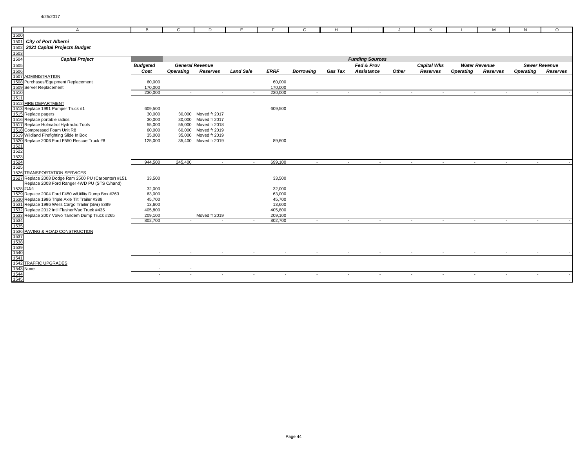|           | $\overline{A}$                                                                                         | В                | $\mathbf{C}$           | D                    | Е                | E                | G                | H              |                        |        | Κ                  |                      | M        | N                | $\circ$              |
|-----------|--------------------------------------------------------------------------------------------------------|------------------|------------------------|----------------------|------------------|------------------|------------------|----------------|------------------------|--------|--------------------|----------------------|----------|------------------|----------------------|
| 1500      |                                                                                                        |                  |                        |                      |                  |                  |                  |                |                        |        |                    |                      |          |                  |                      |
| 1501      | <b>City of Port Alberni</b>                                                                            |                  |                        |                      |                  |                  |                  |                |                        |        |                    |                      |          |                  |                      |
| 1502      | 2021 Capital Projects Budget                                                                           |                  |                        |                      |                  |                  |                  |                |                        |        |                    |                      |          |                  |                      |
| 1503      |                                                                                                        |                  |                        |                      |                  |                  |                  |                |                        |        |                    |                      |          |                  |                      |
| 1504      | <b>Capital Project</b>                                                                                 |                  |                        |                      |                  |                  |                  |                | <b>Funding Sources</b> |        |                    |                      |          |                  |                      |
| 1505      |                                                                                                        | <b>Budgeted</b>  | <b>General Revenue</b> |                      |                  |                  |                  |                | Fed & Prov             |        | <b>Capital Wks</b> | <b>Water Revenue</b> |          |                  | <b>Sewer Revenue</b> |
| 1506      |                                                                                                        | Cost             | Operating              | Reserves             | <b>Land Sale</b> | <b>ERRF</b>      | <b>Borrowing</b> | <b>Gas Tax</b> | Assistance             | Other  | Reserves           | Operating            | Reserves | <b>Operating</b> | Reserves             |
| 1507      | <b>ADMINISTRATION</b>                                                                                  |                  |                        |                      |                  |                  |                  |                |                        |        |                    |                      |          |                  |                      |
|           | 1508 Purchases/Equipment Replacement                                                                   | 60,000           |                        |                      |                  | 60,000           |                  |                |                        |        |                    |                      |          |                  |                      |
|           | 1509 Server Replacement                                                                                | 170,000          |                        |                      |                  | 170,000          |                  |                |                        |        |                    |                      |          |                  |                      |
| 1510      |                                                                                                        | 230,000          | $\sim$                 | $\sim$               | $\sim$           | 230.000          | $\sim$           | $\sim$         | $\sim$                 | $\sim$ | $\sim$             | $\sim$               | $\sim$   | $\sim$           |                      |
| 1511      |                                                                                                        |                  |                        |                      |                  |                  |                  |                |                        |        |                    |                      |          |                  |                      |
|           | 1512 FIRE DEPARTMENT                                                                                   |                  |                        |                      |                  |                  |                  |                |                        |        |                    |                      |          |                  |                      |
|           | 1513 Replace 1991 Pumper Truck #1                                                                      | 609,500          |                        |                      |                  | 609,500          |                  |                |                        |        |                    |                      |          |                  |                      |
|           | 1515 Replace pagers                                                                                    | 30,000           | 30.000                 | Moved fr 2017        |                  |                  |                  |                |                        |        |                    |                      |          |                  |                      |
|           | 1516 Replace portable radios                                                                           | 30,000           | 30,000                 | Moved fr 2017        |                  |                  |                  |                |                        |        |                    |                      |          |                  |                      |
|           | 1517 Replace Holmatrol Hydraulic Tools                                                                 | 55,000           | 55,000                 | Moved fr 2018        |                  |                  |                  |                |                        |        |                    |                      |          |                  |                      |
|           | 1518 Compressed Foam Unit R8                                                                           | 60,000           | 60,000                 | Moved fr 2019        |                  |                  |                  |                |                        |        |                    |                      |          |                  |                      |
|           | 1519 Wildland Firefighting Slide In Box                                                                | 35,000           | 35.000                 | Moved fr 2019        |                  |                  |                  |                |                        |        |                    |                      |          |                  |                      |
|           | 1520 Replace 2006 Ford F550 Rescue Truck #8                                                            | 125,000          |                        | 35,400 Moved fr 2019 |                  | 89,600           |                  |                |                        |        |                    |                      |          |                  |                      |
| 1521      |                                                                                                        |                  |                        |                      |                  |                  |                  |                |                        |        |                    |                      |          |                  |                      |
| 1522      |                                                                                                        |                  |                        |                      |                  |                  |                  |                |                        |        |                    |                      |          |                  |                      |
| 1523      |                                                                                                        |                  |                        |                      |                  |                  |                  |                |                        |        |                    |                      |          |                  |                      |
| 1524      |                                                                                                        | 944.500          | 245,400                | $\sim$               | $\sim$           | 699,100          | $\sim$           | $\sim$         | $\sim$                 | $\sim$ | $\sim$             | $\sim$               | $\sim$   | $\sim$           |                      |
| 1525      |                                                                                                        |                  |                        |                      |                  |                  |                  |                |                        |        |                    |                      |          |                  |                      |
| 1526      | <b>TRANSPORTATION SERVICES</b>                                                                         |                  |                        |                      |                  |                  |                  |                |                        |        |                    |                      |          |                  |                      |
|           | 1527 Replace 2008 Dodge Ram 2500 PU (Carpenter) #151                                                   | 33,500           |                        |                      |                  | 33,500           |                  |                |                        |        |                    |                      |          |                  |                      |
|           | Replace 2008 Ford Ranger 4WD PU (STS C/hand)                                                           |                  |                        |                      |                  |                  |                  |                |                        |        |                    |                      |          |                  |                      |
| 1528 #154 |                                                                                                        | 32,000           |                        |                      |                  | 32,000           |                  |                |                        |        |                    |                      |          |                  |                      |
|           | 1529 Repalce 2004 Ford F450 w/Utility Dump Box #263<br>1530 Replace 1996 Triple Axle Tilt Trailer #388 | 63,000           |                        |                      |                  | 63,000           |                  |                |                        |        |                    |                      |          |                  |                      |
|           | 1531 Replace 1996 Wells Cargo Trailer (Swr) #389                                                       | 45,700<br>13,600 |                        |                      |                  | 45,700<br>13,600 |                  |                |                        |        |                    |                      |          |                  |                      |
|           | 1532 Replace 2012 Int'l Flusher/Vac Truck #435                                                         | 405,800          |                        |                      |                  | 405,800          |                  |                |                        |        |                    |                      |          |                  |                      |
|           | 1533 Replace 2007 Volvo Tandem Dump Truck #265                                                         | 209,100          |                        | Moved fr 2019        |                  | 209,100          |                  |                |                        |        |                    |                      |          |                  |                      |
| 1534      |                                                                                                        | 802,700          |                        | $\sim$               | $\sim$           | 802,700          | $\sim$           | $\sim$         | $\sim$                 | $\sim$ | $\sim$             | $\blacksquare$       | $\sim$   | $\sim$           |                      |
| 1535      |                                                                                                        |                  |                        |                      |                  |                  |                  |                |                        |        |                    |                      |          |                  |                      |
| 1536      | PAVING & ROAD CONSTRUCTION                                                                             |                  |                        |                      |                  |                  |                  |                |                        |        |                    |                      |          |                  |                      |
| 1537      |                                                                                                        |                  |                        |                      |                  |                  |                  |                |                        |        |                    |                      |          |                  |                      |
| 1538      |                                                                                                        |                  |                        |                      |                  |                  |                  |                |                        |        |                    |                      |          |                  |                      |
| 1539      |                                                                                                        |                  |                        |                      |                  |                  |                  |                |                        |        |                    |                      |          |                  |                      |
| 1540      |                                                                                                        | $\sim$           | $\sim$                 | $\sim$               | $\sim$           | $\sim$           | $\sim$ $-$       | $\sim$         | $\sim$                 | $\sim$ | $\sim$             | $\sim$               | $\sim$   | $\sim$           |                      |
| 1541      |                                                                                                        |                  |                        |                      |                  |                  |                  |                |                        |        |                    |                      |          |                  |                      |
|           | 1542 TRAFFIC UPGRADES                                                                                  |                  |                        |                      |                  |                  |                  |                |                        |        |                    |                      |          |                  |                      |
| 1543 None |                                                                                                        |                  |                        |                      |                  |                  |                  |                |                        |        |                    |                      |          |                  |                      |
| 1544      |                                                                                                        | $\sim$           | $\sim$                 | $\sim$               | $\sim$           | $\sim$           | $\sim$           | $\sim$         | $\sim$                 | $\sim$ | $\sim$             | $\sim$               | $\sim$   | $\sim$           |                      |
| 1545      |                                                                                                        |                  |                        |                      |                  |                  |                  |                |                        |        |                    |                      |          |                  |                      |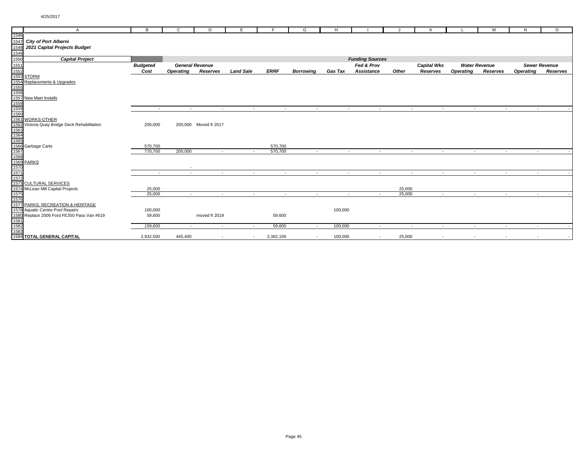|      | $\overline{A}$                                                                                                                            | В               | C                      | D                     | E                |                          | G                        | H              |                        |        |                          |                    |                  | M                        | N                | $\circ$              |
|------|-------------------------------------------------------------------------------------------------------------------------------------------|-----------------|------------------------|-----------------------|------------------|--------------------------|--------------------------|----------------|------------------------|--------|--------------------------|--------------------|------------------|--------------------------|------------------|----------------------|
| 1546 |                                                                                                                                           |                 |                        |                       |                  |                          |                          |                |                        |        |                          |                    |                  |                          |                  |                      |
| 1547 | <b>City of Port Alberni</b>                                                                                                               |                 |                        |                       |                  |                          |                          |                |                        |        |                          |                    |                  |                          |                  |                      |
| 1548 | 2021 Capital Projects Budget                                                                                                              |                 |                        |                       |                  |                          |                          |                |                        |        |                          |                    |                  |                          |                  |                      |
| 1549 |                                                                                                                                           |                 |                        |                       |                  |                          |                          |                |                        |        |                          |                    |                  |                          |                  |                      |
| 1550 | <b>Capital Project</b>                                                                                                                    |                 |                        |                       |                  |                          |                          |                | <b>Funding Sources</b> |        |                          |                    |                  |                          |                  |                      |
| 1551 |                                                                                                                                           | <b>Budgeted</b> | <b>General Revenue</b> |                       |                  |                          |                          |                | Fed & Prov             |        |                          | <b>Capital Wks</b> |                  | <b>Water Revenue</b>     |                  | <b>Sewer Revenue</b> |
|      |                                                                                                                                           | Cost            | <b>Operating</b>       | Reserves              | <b>Land Sale</b> | <b>ERRF</b>              | <b>Borrowing</b>         | <b>Gas Tax</b> | Assistance             |        | Other                    | Reserves           | <b>Operating</b> | Reserves                 | <b>Operating</b> | Reserves             |
|      | 1552<br>1553 STORM                                                                                                                        |                 |                        |                       |                  |                          |                          |                |                        |        |                          |                    |                  |                          |                  |                      |
|      | 1554 Replacements & Upgrades                                                                                                              |                 |                        |                       |                  |                          |                          |                |                        |        |                          |                    |                  |                          |                  |                      |
|      |                                                                                                                                           |                 |                        |                       |                  |                          |                          |                |                        |        |                          |                    |                  |                          |                  |                      |
|      |                                                                                                                                           |                 |                        |                       |                  |                          |                          |                |                        |        |                          |                    |                  |                          |                  |                      |
|      |                                                                                                                                           |                 |                        |                       |                  |                          |                          |                |                        |        |                          |                    |                  |                          |                  |                      |
|      |                                                                                                                                           |                 |                        |                       |                  |                          |                          |                |                        |        |                          |                    |                  |                          |                  |                      |
|      |                                                                                                                                           | $\sim$          | $\sim$                 | $\sim$                | $\sim$           | $\overline{\phantom{a}}$ | $\overline{\phantom{a}}$ | $\sim$         |                        | $\sim$ | $\overline{\phantom{a}}$ | $\sim$             | $\sim$           | $\sim$                   | $\overline{a}$   |                      |
|      |                                                                                                                                           |                 |                        |                       |                  |                          |                          |                |                        |        |                          |                    |                  |                          |                  |                      |
|      |                                                                                                                                           |                 |                        |                       |                  |                          |                          |                |                        |        |                          |                    |                  |                          |                  |                      |
|      |                                                                                                                                           | 200,000         |                        | 200,000 Moved fr 2017 |                  |                          |                          |                |                        |        |                          |                    |                  |                          |                  |                      |
|      |                                                                                                                                           |                 |                        |                       |                  |                          |                          |                |                        |        |                          |                    |                  |                          |                  |                      |
|      |                                                                                                                                           |                 |                        |                       |                  |                          |                          |                |                        |        |                          |                    |                  |                          |                  |                      |
|      |                                                                                                                                           |                 |                        |                       |                  |                          |                          |                |                        |        |                          |                    |                  |                          |                  |                      |
|      |                                                                                                                                           | 570,700         |                        |                       |                  | 570,700                  |                          |                |                        |        |                          |                    |                  |                          |                  |                      |
|      |                                                                                                                                           | 770.700         | 200,000                |                       | $\sim$           | 570,700                  | $\sim$                   | $\sim$         |                        | $\sim$ | $\sim$                   | $\sim$             |                  | $\sim$<br>$\sim$         | $\sim$           |                      |
|      |                                                                                                                                           |                 |                        |                       |                  |                          |                          |                |                        |        |                          |                    |                  |                          |                  |                      |
|      |                                                                                                                                           |                 |                        |                       |                  |                          |                          |                |                        |        |                          |                    |                  |                          |                  |                      |
|      | 1561<br>1562 Victoria Quay Bridge Deck Rehabilitation<br>1563<br>1564<br>1566<br>1566 Garbage Carts<br>1566<br>1568<br>1569 PARKS<br>1570 | $\sim$          | $\sim$                 | $\sim$                | $\sim$           | $\sim$                   | $\sim$                   | $\sim$         |                        | $\sim$ | $\sim$                   | $\sim$             | $\sim$           | $\sim$                   | $\sim$           |                      |
| 1572 |                                                                                                                                           |                 |                        |                       |                  |                          |                          |                |                        |        |                          |                    |                  |                          |                  |                      |
|      | 1573 CULTURAL SERVICES                                                                                                                    |                 |                        |                       |                  |                          |                          |                |                        |        |                          |                    |                  |                          |                  |                      |
|      | 1574 McLean Mill Capital Projects                                                                                                         | 25,000          |                        |                       |                  |                          |                          |                |                        |        | 25,000                   |                    |                  |                          |                  |                      |
| 1575 |                                                                                                                                           | 25,000          | $\sim$                 | $\sim$                | $\sim$           | $\sim$                   | $\sim$                   | $\sim$         |                        | $\sim$ | 25,000                   | $\sim$             | $\sim$           | $\sim$                   | $\sim$           |                      |
| 1576 |                                                                                                                                           |                 |                        |                       |                  |                          |                          |                |                        |        |                          |                    |                  |                          |                  |                      |
|      | 1577 PARKS, RECREATION & HERITAGE                                                                                                         |                 |                        |                       |                  |                          |                          |                |                        |        |                          |                    |                  |                          |                  |                      |
|      | 1578 Aquatic Centre Pool Repairs                                                                                                          | 100,000         |                        |                       |                  |                          |                          | 100,000        |                        |        |                          |                    |                  |                          |                  |                      |
|      |                                                                                                                                           | 59,600          |                        | moved fr 2019         |                  | 59,600                   |                          |                |                        |        |                          |                    |                  |                          |                  |                      |
|      |                                                                                                                                           |                 |                        |                       |                  |                          |                          |                |                        |        |                          |                    |                  |                          |                  |                      |
|      | 1580 Replace 2006 Ford FE350 Pass Van #619<br>1581<br>1582<br>1582                                                                        | 159,600         | $\sim$                 | $\sim$                | $\sim$           | 59,600                   | $\sim$                   | 100,000        |                        | $\sim$ | $\sim$                   | $\sim$             | $\sim$           | $\sim$                   | $\sim$           |                      |
|      |                                                                                                                                           |                 |                        |                       |                  |                          |                          |                |                        |        |                          |                    |                  |                          |                  |                      |
|      | <b>1584 TOTAL GENERAL CAPITAL</b>                                                                                                         | 2,932,500       | 445,400                | $\sim$                | $\sim$           | 2,362,100                | $\overline{\phantom{a}}$ | 100,000        |                        | $\sim$ | 25,000                   | $\sim$             |                  | $\overline{\phantom{a}}$ |                  |                      |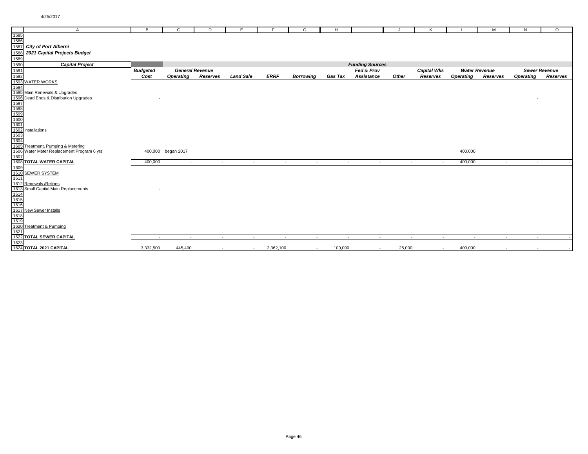|              | A                                                          | B               | C                  | D                      | E.               | E           | G                | H              |                        |        | K                  |                  | M                        | N                | $\circ$              |
|--------------|------------------------------------------------------------|-----------------|--------------------|------------------------|------------------|-------------|------------------|----------------|------------------------|--------|--------------------|------------------|--------------------------|------------------|----------------------|
| 1585         |                                                            |                 |                    |                        |                  |             |                  |                |                        |        |                    |                  |                          |                  |                      |
| 1586<br>1587 |                                                            |                 |                    |                        |                  |             |                  |                |                        |        |                    |                  |                          |                  |                      |
|              | <b>City of Port Alberni</b>                                |                 |                    |                        |                  |             |                  |                |                        |        |                    |                  |                          |                  |                      |
| 1588         | 2021 Capital Projects Budget                               |                 |                    |                        |                  |             |                  |                |                        |        |                    |                  |                          |                  |                      |
| 1589         |                                                            |                 |                    |                        |                  |             |                  |                |                        |        |                    |                  |                          |                  |                      |
| 1590         | <b>Capital Project</b>                                     |                 |                    |                        |                  |             |                  |                | <b>Funding Sources</b> |        |                    |                  |                          |                  |                      |
| 1591         |                                                            | <b>Budgeted</b> |                    | <b>General Revenue</b> |                  |             |                  |                | Fed & Prov             |        | <b>Capital Wks</b> |                  | <b>Water Revenue</b>     |                  | <b>Sewer Revenue</b> |
| 1592         |                                                            | Cost            | <b>Operating</b>   | Reserves               | <b>Land Sale</b> | <b>ERRF</b> | <b>Borrowing</b> | <b>Gas Tax</b> | Assistance             | Other  | Reserves           | <b>Operating</b> | Reserves                 | <b>Operating</b> | Reserves             |
|              | 1593 WATER WORKS                                           |                 |                    |                        |                  |             |                  |                |                        |        |                    |                  |                          |                  |                      |
| 1594         |                                                            |                 |                    |                        |                  |             |                  |                |                        |        |                    |                  |                          |                  |                      |
|              | 1595 Main Renewals & Upgrades                              |                 |                    |                        |                  |             |                  |                |                        |        |                    |                  |                          |                  |                      |
|              | 1596 Dead Ends & Distribution Upgrades                     |                 |                    |                        |                  |             |                  |                |                        |        |                    |                  |                          |                  |                      |
|              |                                                            |                 |                    |                        |                  |             |                  |                |                        |        |                    |                  |                          |                  |                      |
|              |                                                            |                 |                    |                        |                  |             |                  |                |                        |        |                    |                  |                          |                  |                      |
|              |                                                            |                 |                    |                        |                  |             |                  |                |                        |        |                    |                  |                          |                  |                      |
|              |                                                            |                 |                    |                        |                  |             |                  |                |                        |        |                    |                  |                          |                  |                      |
|              |                                                            |                 |                    |                        |                  |             |                  |                |                        |        |                    |                  |                          |                  |                      |
|              | 1597<br>1598<br>1598<br>1600<br>1601<br>1602 Installations |                 |                    |                        |                  |             |                  |                |                        |        |                    |                  |                          |                  |                      |
| 1603         |                                                            |                 |                    |                        |                  |             |                  |                |                        |        |                    |                  |                          |                  |                      |
| 1604         |                                                            |                 |                    |                        |                  |             |                  |                |                        |        |                    |                  |                          |                  |                      |
|              | 1605 Treatment, Pumping & Metering                         |                 |                    |                        |                  |             |                  |                |                        |        |                    |                  |                          |                  |                      |
|              | 1606 Water Meter Replacement Program 6 yrs                 |                 | 400,000 began 2017 |                        |                  |             |                  |                |                        |        |                    | 400,000          |                          |                  |                      |
| 1607         |                                                            |                 |                    |                        |                  |             |                  |                |                        |        |                    |                  |                          |                  |                      |
|              | <b>1608 TOTAL WATER CAPITAL</b>                            | 400,000         | $\sim$             | $\sim$                 | $\sim$           | $\sim$      | $\sim$           | $\sim$         | $\sim$                 | $\sim$ | $\sim$             | 400,000          | $\sim$                   | $\sim$           |                      |
| 1609         |                                                            |                 |                    |                        |                  |             |                  |                |                        |        |                    |                  |                          |                  |                      |
| 1611         | 1610 SEWER SYSTEM                                          |                 |                    |                        |                  |             |                  |                |                        |        |                    |                  |                          |                  |                      |
|              | 1612 Renewals / Relines                                    |                 |                    |                        |                  |             |                  |                |                        |        |                    |                  |                          |                  |                      |
|              | 1613 Small Capital Main Replacements                       |                 |                    |                        |                  |             |                  |                |                        |        |                    |                  |                          |                  |                      |
|              |                                                            |                 |                    |                        |                  |             |                  |                |                        |        |                    |                  |                          |                  |                      |
| 1614<br>1615 |                                                            |                 |                    |                        |                  |             |                  |                |                        |        |                    |                  |                          |                  |                      |
| 1616         |                                                            |                 |                    |                        |                  |             |                  |                |                        |        |                    |                  |                          |                  |                      |
|              | 1617 New Sewer Installs                                    |                 |                    |                        |                  |             |                  |                |                        |        |                    |                  |                          |                  |                      |
| 1618         |                                                            |                 |                    |                        |                  |             |                  |                |                        |        |                    |                  |                          |                  |                      |
| 1619         |                                                            |                 |                    |                        |                  |             |                  |                |                        |        |                    |                  |                          |                  |                      |
|              | 1620 Treatment & Pumping                                   |                 |                    |                        |                  |             |                  |                |                        |        |                    |                  |                          |                  |                      |
| 1621         |                                                            |                 |                    |                        |                  |             |                  |                |                        |        |                    |                  |                          |                  |                      |
|              | <b>1622 TOTAL SEWER CAPITAL</b>                            | $\sim$          | $\sim$             | $\sim$                 | $\sim$           | $\sim$      | $\sim$           | $\sim$         | $\sim$                 | $\sim$ | $\sim$             | $\sim$           | $\sim$                   | $\sim$           |                      |
| 1623         |                                                            |                 |                    |                        |                  |             |                  |                |                        |        |                    |                  |                          |                  |                      |
|              | 1624 TOTAL 2021 CAPITAL                                    | 3,332,500       | 445,400            | $\sim$                 | $\sim$           | 2,362,100   | $\sim$           | 100,000        | $\sim$                 | 25,000 | $\sim$             | 400,000          | $\overline{\phantom{a}}$ |                  | $\sim$               |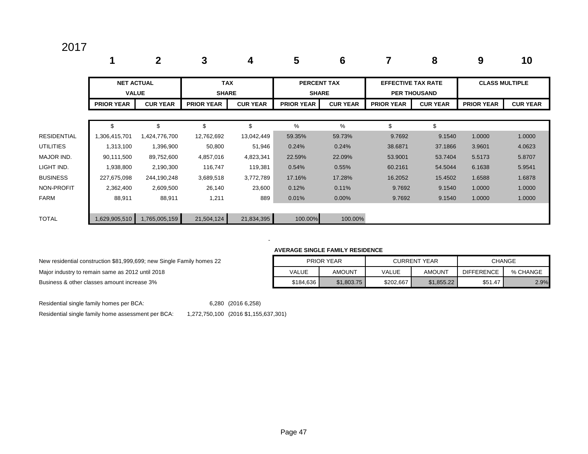|                    |                                   | 2               | 3                          | 4               | 5                                  | 6               |                           | 8                   | 9                     | 10              |
|--------------------|-----------------------------------|-----------------|----------------------------|-----------------|------------------------------------|-----------------|---------------------------|---------------------|-----------------------|-----------------|
|                    | <b>NET ACTUAL</b><br><b>VALUE</b> |                 | <b>TAX</b><br><b>SHARE</b> |                 | <b>PERCENT TAX</b><br><b>SHARE</b> |                 | <b>EFFECTIVE TAX RATE</b> | <b>PER THOUSAND</b> | <b>CLASS MULTIPLE</b> |                 |
|                    | <b>PRIOR YEAR</b>                 | <b>CUR YEAR</b> | <b>PRIOR YEAR</b>          | <b>CUR YEAR</b> | <b>PRIOR YEAR</b>                  | <b>CUR YEAR</b> | <b>PRIOR YEAR</b>         | <b>CUR YEAR</b>     | <b>PRIOR YEAR</b>     | <b>CUR YEAR</b> |
|                    | \$                                |                 | \$                         | \$              | %                                  | %               | \$                        | \$                  |                       |                 |
| <b>RESIDENTIAL</b> | 1,306,415,701                     | 1,424,776,700   | 12,762,692                 | 13,042,449      | 59.35%                             | 59.73%          | 9.7692                    | 9.1540              | 1.0000                | 1.0000          |
| <b>UTILITIES</b>   | 1,313,100                         | 1,396,900       | 50,800                     | 51,946          | 0.24%                              | 0.24%           | 38.6871                   | 37.1866             | 3.9601                | 4.0623          |
| MAJOR IND.         | 90,111,500                        | 89,752,600      | 4,857,016                  | 4,823,341       | 22.59%                             | 22.09%          | 53.9001                   | 53.7404             | 5.5173                | 5.8707          |
| LIGHT IND.         | 1,938,800                         | 2,190,300       | 116,747                    | 119,381         | 0.54%                              | 0.55%           | 60.2161                   | 54.5044             | 6.1638                | 5.9541          |
| <b>BUSINESS</b>    | 227,675,098                       | 244,190,248     | 3,689,518                  | 3,772,789       | 17.16%                             | 17.28%          | 16.2052                   | 15.4502             | 1.6588                | 1.6878          |
| NON-PROFIT         | 2,362,400                         | 2,609,500       | 26,140                     | 23,600          | 0.12%                              | 0.11%           | 9.7692                    | 9.1540              | 1.0000                | 1.0000          |
| <b>FARM</b>        | 88,911                            | 88,911          | 1,211                      | 889             | 0.01%                              | 0.00%           | 9.7692                    | 9.1540              | 1.0000                | 1.0000          |
| <b>TOTAL</b>       | 1,629,905,510                     | 1,765,005,159   | 21,504,124                 | 21,834,395      | 100.00%                            | 100.00%         |                           |                     |                       |                 |

#### **AVERAGE SINGLE FAMILY RESIDENCE**

| New residential construction \$81,999,699; new Single Family homes 22 | <b>PRIOR YEAR</b> |               |           | <b>CURRENT YEAR</b> | <b>CHANGE</b>     |          |  |
|-----------------------------------------------------------------------|-------------------|---------------|-----------|---------------------|-------------------|----------|--|
| Major industry to remain same as 2012 until 2018                      | <b>VALUE</b>      | <b>AMOUNT</b> | VALUE     | AMOUNT              | <b>DIFFERENCE</b> | % CHANGE |  |
| Business & other classes amount increase 3%                           | \$184,636         | \$1,803.75    | \$202.667 | \$1,855.22          | \$51.47           | 2.9%     |  |

| New residential construction \$81,999,699; new Single Family homes 22 |       | <b>PRIOR YEAR</b> |              | <b>CURRENT YEAR</b> | <b>CHANGE</b>     |          |
|-----------------------------------------------------------------------|-------|-------------------|--------------|---------------------|-------------------|----------|
| Major industry to remain same as 2012 until 2018                      | VALUE | AMOUNT            | <b>VALUE</b> | AMOUNT              | <b>DIFFERENCE</b> | % CHANGE |

Residential single family homes per BCA: 6,280 (2016 6,258)

- 1990 - 1990 - 1990 - 1991 - 1992<br>- 1992 - 1992 - 1992 - 1992 - 1992 - 1992 - 1992 - 1992 - 1992 - 1992 - 1992 - 1992 - 1992 - 1992 - 1992 - 19

Residential single family home assessment per BCA: 1,272,750,100 (2016 \$1,155,637,301)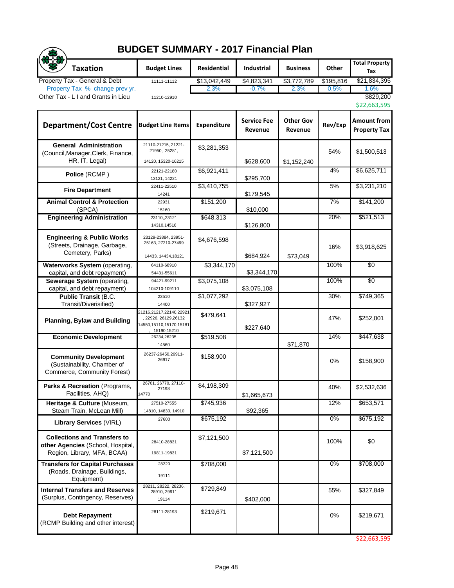| <b>BUDGET SUMMARY - 2017 Financial Plan</b>                                                             |                                                                                            |                    |                               |                             |           |                                           |  |  |  |
|---------------------------------------------------------------------------------------------------------|--------------------------------------------------------------------------------------------|--------------------|-------------------------------|-----------------------------|-----------|-------------------------------------------|--|--|--|
| <b>Taxation</b>                                                                                         | <b>Budget Lines</b>                                                                        | <b>Residential</b> | <b>Industrial</b>             | <b>Business</b>             | Other     | <b>Total Property</b><br>Tax              |  |  |  |
| Property Tax - General & Debt                                                                           | 11111-11112                                                                                | \$13,042,449       | \$4,823,341                   | \$3,772,789                 | \$195,816 | \$21,834,395                              |  |  |  |
| Property Tax % change prev yr.<br>Other Tax - L I and Grants in Lieu                                    | 11210-12910                                                                                | 2.3%               | $-0.7%$                       | 2.3%                        | 0.5%      | 1.6%<br>\$829,200<br>\$22,663,595         |  |  |  |
| <b>Department/Cost Centre</b>                                                                           | <b>Budget Line Items</b>                                                                   | Expenditure        | <b>Service Fee</b><br>Revenue | <b>Other Gov</b><br>Revenue | Rev/Exp   | <b>Amount from</b><br><b>Property Tax</b> |  |  |  |
| <b>General Administration</b><br>(Council, Manager, Clerk, Finance,<br>HR, IT, Legal)                   | 21110-21215, 21221-<br>21950, 25281,<br>14120, 15320-16215                                 | \$3,281,353        | \$628,600                     | \$1,152,240                 | 54%       | \$1,500,513                               |  |  |  |
| Police (RCMP)                                                                                           | 22121-22180<br>13121, 14221                                                                | \$6,921,411        | \$295,700                     |                             | 4%        | \$6,625,711                               |  |  |  |
| <b>Fire Department</b>                                                                                  | 22411-22510<br>14241                                                                       | \$3,410,755        | \$179,545                     |                             | 5%        | \$3,231,210                               |  |  |  |
| <b>Animal Control &amp; Protection</b><br>(SPCA)                                                        | 22931<br>15160                                                                             | \$151,200          | \$10,000                      |                             | 7%        | \$141,200                                 |  |  |  |
| <b>Engineering Administration</b>                                                                       | 23110,,23121<br>14310,14516                                                                | \$648,313          | \$126,800                     |                             | 20%       | \$521,513                                 |  |  |  |
| <b>Engineering &amp; Public Works</b><br>(Streets, Drainage, Garbage,<br>Cemetery, Parks)               | 23129-23884, 23951-<br>25163, 27210-27499<br>14433, 14434, 18121                           | \$4,676,598        | \$684,924                     | \$73,049                    | 16%       | \$3,918,625                               |  |  |  |
| Waterworks System (operating,<br>capital, and debt repayment)                                           | 64110-68910<br>54431-55611                                                                 | \$3,344,170        | \$3,344,170                   |                             | 100%      | $\overline{50}$                           |  |  |  |
| Sewerage System (operating,<br>capital, and debt repayment)                                             | 94421-99211<br>104210-109110                                                               | \$3,075,108        | \$3,075,108                   |                             | 100%      | $\overline{50}$                           |  |  |  |
| Public Transit (B.C.<br>Transit/Diverisified)                                                           | 23510<br>14400                                                                             | \$1,077,292        | \$327,927                     |                             | 30%       | \$749,365                                 |  |  |  |
| <b>Planning, Bylaw and Building</b>                                                                     | 21216,21217,22140,22921<br>, 22926, 26129, 26132<br>14550,15110,15170,15181<br>15190,15210 | \$479,641          | \$227,640                     |                             | 47%       | \$252,001                                 |  |  |  |
| <b>Economic Development</b>                                                                             | 26234,26235<br>14560                                                                       | \$519,508          |                               | \$71,870                    | 14%       | \$447,638                                 |  |  |  |
| <b>Community Development</b><br>(Sustainability, Chamber of<br>Commerce, Community Forest)              | 26237-26450,26911-<br>26917                                                                | \$158,900          |                               |                             | 0%        | \$158,900                                 |  |  |  |
| Parks & Recreation (Programs,<br>Facilities, AHQ)                                                       | 26701, 26770, 27110-<br>27198<br>14770                                                     | \$4,198,309        | \$1,665,673                   |                             | 40%       | \$2,532,636                               |  |  |  |
| Heritage & Culture (Museum,<br>Steam Train, McLean Mill)                                                | 27510-27555<br>14810, 14830, 14910                                                         | \$745,936          | \$92,365                      |                             | 12%       | \$653,571                                 |  |  |  |
| <b>Library Services (VIRL)</b>                                                                          | 27600                                                                                      | \$675,192          |                               |                             | $0\%$     | \$675,192                                 |  |  |  |
| <b>Collections and Transfers to</b><br>other Agencies (School, Hospital,<br>Region, Library, MFA, BCAA) | 28410-28831<br>19811-19831                                                                 | \$7,121,500        | \$7,121,500                   |                             | 100%      | \$0                                       |  |  |  |
| <b>Transfers for Capital Purchases</b><br>(Roads, Drainage, Buildings,<br>Equipment)                    | 28220<br>19111                                                                             | \$708,000          |                               |                             | $0\%$     | \$708,000                                 |  |  |  |
| <b>Internal Transfers and Reserves</b><br>(Surplus, Contingency, Reserves)                              | 28211, 28222, 28236,<br>28910, 29911<br>19114                                              | \$729,849          | \$402,000                     |                             | 55%       | \$327,849                                 |  |  |  |
| <b>Debt Repayment</b><br>(RCMP Building and other interest)                                             | 28111-28193                                                                                | \$219,671          |                               |                             | 0%        | \$219,671                                 |  |  |  |

\$22,663,595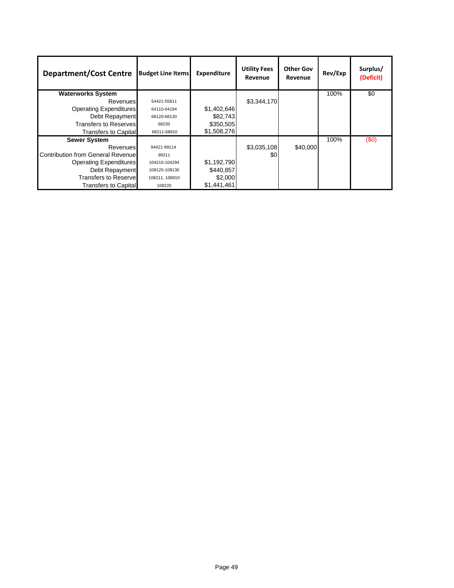| <b>Department/Cost Centre</b>             | <b>Budget Line Items</b> | Expenditure | <b>Utility Fees</b><br>Revenue | <b>Other Gov</b><br>Revenue | Rev/Exp | Surplus/<br>(Deficit) |
|-------------------------------------------|--------------------------|-------------|--------------------------------|-----------------------------|---------|-----------------------|
| <b>Waterworks System</b>                  |                          |             |                                |                             | 100%    | $\overline{50}$       |
| Revenues                                  | 54421-55611              |             | \$3,344,170                    |                             |         |                       |
| <b>Operating Expenditures</b>             | 64110-64194              | \$1,402,646 |                                |                             |         |                       |
| Debt Repayment                            | 68120-68130              | \$82,743    |                                |                             |         |                       |
| <b>Transfers to Reserves</b>              | 68230                    | \$350,505   |                                |                             |         |                       |
| Transfers to Capital                      | 68211-68910              | \$1,508,276 |                                |                             |         |                       |
| <b>Sewer System</b>                       |                          |             |                                |                             | 100%    | (50)                  |
| Revenues                                  | 94421-99114              |             | \$3,035,108                    | \$40,000                    |         |                       |
| <b>Contribution from General Revenuel</b> | 99211                    |             | \$0                            |                             |         |                       |
| <b>Operating Expenditures</b>             | 104210-104294            | \$1,192,790 |                                |                             |         |                       |
| Debt Repayment                            | 108120-108130            | \$440,857   |                                |                             |         |                       |
| <b>Transfers to Reservel</b>              | 108211, 108910           | \$2,000     |                                |                             |         |                       |
| <b>Transfers to Capital</b>               | 108220                   | \$1,441,461 |                                |                             |         |                       |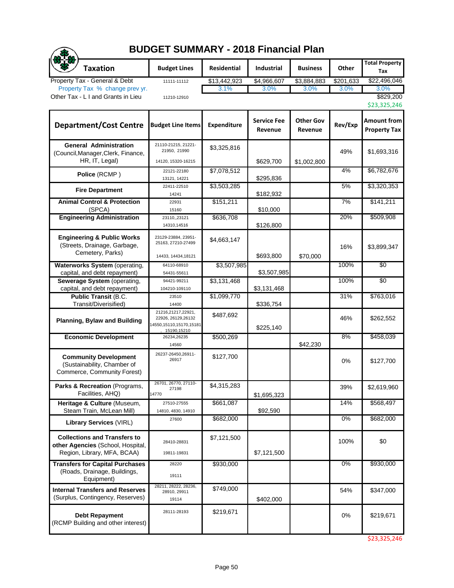| <b>Taxation</b>                                                                                         | <b>Budget Lines</b>                                                                 | Residential          | Industrial                    | <b>Business</b>             | Other             | <b>Total Property</b>                     |
|---------------------------------------------------------------------------------------------------------|-------------------------------------------------------------------------------------|----------------------|-------------------------------|-----------------------------|-------------------|-------------------------------------------|
|                                                                                                         |                                                                                     |                      |                               |                             |                   | Tax                                       |
| Property Tax - General & Debt<br>Property Tax % change prev yr.                                         | 11111-11112                                                                         | \$13,442,923<br>3.1% | \$4,966,607<br>3.0%           | \$3,884,883<br>3.0%         | \$201,633<br>3.0% | \$22,496,046<br>3.0%                      |
| Other Tax - L I and Grants in Lieu                                                                      | 11210-12910                                                                         |                      |                               |                             |                   | \$829,200                                 |
|                                                                                                         |                                                                                     |                      |                               |                             |                   | \$23,325,246                              |
| <b>Department/Cost Centre</b>                                                                           | <b>Budget Line Items</b>                                                            | Expenditure          | <b>Service Fee</b><br>Revenue | <b>Other Gov</b><br>Revenue | Rev/Exp           | <b>Amount from</b><br><b>Property Tax</b> |
| <b>General Administration</b><br>(Council, Manager, Clerk, Finance,                                     | 21110-21215, 21221-<br>21950, 21990                                                 | \$3,325,816          |                               |                             | 49%               | \$1,693,316                               |
| HR, IT, Legal)                                                                                          | 14120, 15320-16215                                                                  |                      | \$629,700                     | \$1,002,800                 |                   |                                           |
| Police (RCMP)                                                                                           | 22121-22180                                                                         | \$7,078,512          |                               |                             | 4%                | \$6,782,676                               |
|                                                                                                         | 13121, 14221<br>22411-22510                                                         | \$3,503,285          | \$295,836                     |                             | 5%                | \$3,320,353                               |
| <b>Fire Department</b>                                                                                  | 14241                                                                               |                      | \$182,932                     |                             |                   |                                           |
| <b>Animal Control &amp; Protection</b>                                                                  | 22931                                                                               | \$151,211            |                               |                             | 7%                | \$141,211                                 |
| (SPCA)                                                                                                  | 15160                                                                               |                      | \$10,000                      |                             |                   |                                           |
| <b>Engineering Administration</b>                                                                       | 23110, 23121                                                                        | \$636,708            |                               |                             | 20%               | \$509,908                                 |
|                                                                                                         | 14310,14516                                                                         |                      | \$126,800                     |                             |                   |                                           |
| <b>Engineering &amp; Public Works</b><br>(Streets, Drainage, Garbage,<br>Cemetery, Parks)               | 23129-23884, 23951-<br>25163, 27210-27499<br>14433, 14434, 18121                    | \$4,663,147          | \$693,800                     | \$70,000                    | 16%               | \$3,899,347                               |
| Waterworks System (operating,                                                                           | 64110-68910                                                                         | \$3,507,985          |                               |                             | 100%              | \$0                                       |
| capital, and debt repayment)                                                                            | 54431-55611                                                                         |                      | \$3,507,985                   |                             |                   |                                           |
| Sewerage System (operating,                                                                             | 94421-99211                                                                         | \$3,131,468          |                               |                             | 100%              | $\overline{50}$                           |
| capital, and debt repayment)                                                                            | 104210-109110                                                                       |                      | \$3,131,468                   |                             |                   |                                           |
| <b>Public Transit (B.C.</b>                                                                             | 23510                                                                               | \$1,099,770          |                               |                             | 31%               | \$763,016                                 |
| Transit/Diverisified)                                                                                   | 14400                                                                               |                      | \$336,754                     |                             |                   |                                           |
| <b>Planning, Bylaw and Building</b>                                                                     | 21216,21217,22921,<br>22926, 26129, 26132<br>14550,15110,15170,15181<br>15190,15210 | \$487,692            | \$225,140                     |                             | 46%               | \$262,552                                 |
| <b>Economic Development</b>                                                                             | 26234,26235<br>14560                                                                | \$500,269            |                               | \$42,230                    | 8%                | \$458,039                                 |
| <b>Community Development</b><br>(Sustainability, Chamber of<br>Commerce, Community Forest)              | 26237-26450,26911-<br>26917                                                         | \$127,700            |                               |                             | 0%                | \$127,700                                 |
| Parks & Recreation (Programs<br>Facilities, AHQ)                                                        | 26701, 26770, 27110-<br>27198<br>14770                                              | \$4,315,283          | \$1,695,323                   |                             | 39%               | \$2,619,960                               |
| Heritage & Culture (Museum,<br>Steam Train, McLean Mill)                                                | 27510-27555<br>14810, 4830, 14910                                                   | \$661,087            | \$92,590                      |                             | 14%               | \$568,497                                 |
| <b>Library Services (VIRL)</b>                                                                          | 27600                                                                               | \$682,000            |                               |                             | $0\%$             | \$682,000                                 |
| <b>Collections and Transfers to</b><br>other Agencies (School, Hospital,<br>Region, Library, MFA, BCAA) | 28410-28831<br>19811-19831                                                          | \$7,121,500          | \$7,121,500                   |                             | 100%              | \$0                                       |
| <b>Transfers for Capital Purchases</b><br>(Roads, Drainage, Buildings,<br>Equipment)                    | 28220<br>19111                                                                      | \$930,000            |                               |                             | $0\%$             | \$930,000                                 |
| <b>Internal Transfers and Reserves</b><br>(Surplus, Contingency, Reserves)                              | 28211, 28222, 28236,<br>28910, 29911<br>19114                                       | \$749,000            | \$402,000                     |                             | 54%               | \$347,000                                 |
| <b>Debt Repayment</b><br>(RCMP Building and other interest)                                             | 28111-28193                                                                         | \$219,671            |                               |                             | 0%                | \$219,671                                 |

**BUDGET SUMMARY - 2018 Financial Plan**

 $\sqrt{2}$ 

\$23,325,246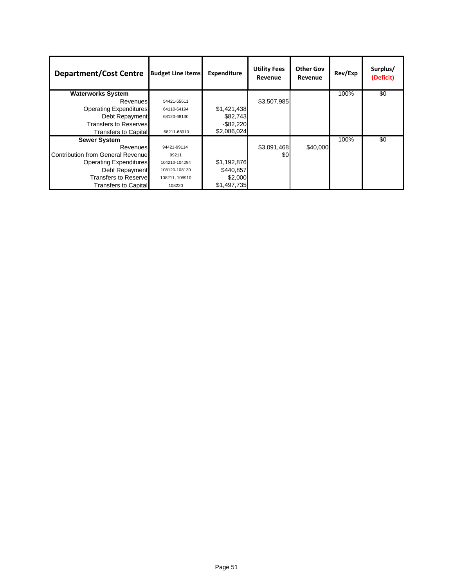| <b>Department/Cost Centre</b>            | <b>Budget Line Items</b> | Expenditure  | <b>Utility Fees</b><br>Revenue | <b>Other Gov</b><br>Revenue | Rev/Exp | Surplus/<br>(Deficit) |
|------------------------------------------|--------------------------|--------------|--------------------------------|-----------------------------|---------|-----------------------|
| <b>Waterworks System</b>                 |                          |              |                                |                             | 100%    | \$0                   |
| Revenues                                 | 54421-55611              |              | \$3,507,985                    |                             |         |                       |
| <b>Operating Expenditures</b>            | 64110-64194              | \$1,421,438  |                                |                             |         |                       |
| Debt Repayment                           | 68120-68130              | \$82,743     |                                |                             |         |                       |
| <b>Transfers to Reserves</b>             |                          | $-$ \$82,220 |                                |                             |         |                       |
| <b>Transfers to Capital</b>              | 68211-68910              | \$2,086,024  |                                |                             |         |                       |
| <b>Sewer System</b>                      |                          |              |                                |                             | 100%    | \$0                   |
| Revenues                                 | 94421-99114              |              | \$3,091,468                    | \$40,000                    |         |                       |
| <b>Contribution from General Revenue</b> | 99211                    |              | \$0                            |                             |         |                       |
| <b>Operating Expenditures</b>            | 104210-104294            | \$1,192,876  |                                |                             |         |                       |
| Debt Repayment                           | 108120-108130            | \$440,857    |                                |                             |         |                       |
| <b>Transfers to Reservel</b>             | 108211, 108910           | \$2,000      |                                |                             |         |                       |
| <b>Transfers to Capital</b>              | 108220                   | \$1,497,735  |                                |                             |         |                       |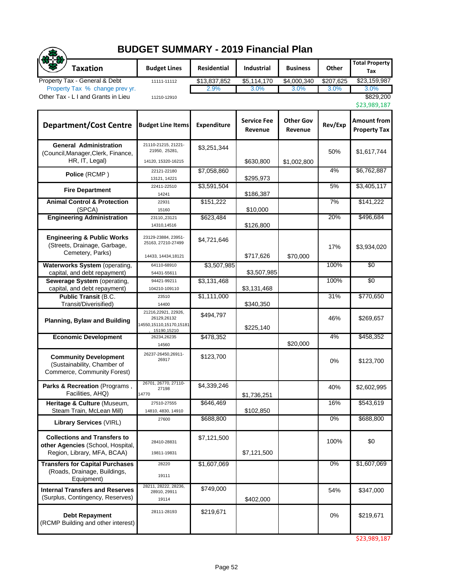|                                                                                                         | <b>BUDGET SUMMARY - 2019 Financial Plan</b>                                  |                    |                               |                             |           |                                           |  |  |  |  |
|---------------------------------------------------------------------------------------------------------|------------------------------------------------------------------------------|--------------------|-------------------------------|-----------------------------|-----------|-------------------------------------------|--|--|--|--|
| <b>Taxation</b>                                                                                         | <b>Budget Lines</b>                                                          | Residential        | Industrial                    | <b>Business</b>             | Other     | <b>Total Property</b><br>Tax              |  |  |  |  |
| Property Tax - General & Debt                                                                           | 11111-11112                                                                  | \$13,837,852       | \$5,114,170                   | \$4,000,340                 | \$207,625 | \$23,159,987                              |  |  |  |  |
| Property Tax % change prev yr.<br>Other Tax - L I and Grants in Lieu                                    | 11210-12910                                                                  | 2.9%               | 3.0%                          | 3.0%                        | 3.0%      | 3.0%<br>\$829,200<br>\$23,989,187         |  |  |  |  |
| <b>Department/Cost Centre</b>                                                                           | <b>Budget Line Items</b>                                                     | <b>Expenditure</b> | <b>Service Fee</b><br>Revenue | <b>Other Gov</b><br>Revenue | Rev/Exp   | <b>Amount from</b><br><b>Property Tax</b> |  |  |  |  |
| <b>General Administration</b><br>(Council, Manager, Clerk, Finance,<br>HR, IT, Legal)                   | 21110-21215, 21221-<br>21950, 25281,<br>14120, 15320-16215                   | \$3,251,344        | \$630,800                     | \$1,002,800                 | 50%       | \$1,617,744                               |  |  |  |  |
| Police (RCMP)                                                                                           | 22121-22180<br>13121, 14221                                                  | \$7,058,860        | \$295,973                     |                             | 4%        | \$6,762,887                               |  |  |  |  |
| <b>Fire Department</b>                                                                                  | 22411-22510                                                                  | \$3,591,504        |                               |                             | 5%        | \$3,405,117                               |  |  |  |  |
| <b>Animal Control &amp; Protection</b><br>(SPCA)                                                        | 14241<br>22931<br>15160                                                      | \$151,222          | \$186,387<br>\$10,000         |                             | 7%        | \$141,222                                 |  |  |  |  |
| <b>Engineering Administration</b>                                                                       | 23110,,23121<br>14310,14516                                                  | \$623,484          | \$126,800                     |                             | 20%       | \$496,684                                 |  |  |  |  |
| <b>Engineering &amp; Public Works</b><br>(Streets, Drainage, Garbage,<br>Cemetery, Parks)               | 23129-23884, 23951-<br>25163, 27210-27499<br>14433, 14434, 18121             | \$4,721,646        | \$717,626                     | \$70,000                    | 17%       | \$3,934,020                               |  |  |  |  |
| Waterworks System (operating,<br>capital, and debt repayment)                                           | 64110-68910<br>54431-55611                                                   | \$3,507,985        | \$3,507,985                   |                             | 100%      | $\overline{50}$                           |  |  |  |  |
| Sewerage System (operating,<br>capital, and debt repayment)                                             | 94421-99211<br>104210-109110                                                 | \$3,131,468        | \$3,131,468                   |                             | 100%      | \$0                                       |  |  |  |  |
| <b>Public Transit (B.C.</b><br>Transit/Diverisified)                                                    | 23510<br>14400                                                               | \$1,111,000        | \$340,350                     |                             | 31%       | \$770,650                                 |  |  |  |  |
| <b>Planning, Bylaw and Building</b>                                                                     | 21216,22921, 22926,<br>26129,26132<br>14550,15110,15170,15181<br>15190,15210 | \$494,797          | \$225,140                     |                             | 46%       | \$269,657                                 |  |  |  |  |
| <b>Economic Development</b>                                                                             | 26234,26235<br>14560                                                         | \$478,352          |                               | \$20,000                    | 4%        | \$458,352                                 |  |  |  |  |
| <b>Community Development</b><br>(Sustainability, Chamber of<br>Commerce, Community Forest)              | 26237-26450.26911-<br>26917                                                  | \$123,700          |                               |                             | 0%        | \$123,700                                 |  |  |  |  |
| Parks & Recreation (Programs,<br>Facilities, AHQ)                                                       | 26701, 26770, 27110-<br>27198<br>14770                                       | \$4,339,246        | \$1,736,251                   |                             | 40%       | \$2,602,995                               |  |  |  |  |
| Heritage & Culture (Museum,<br>Steam Train, McLean Mill)                                                | 27510-27555<br>14810, 4830, 14910                                            | \$646,469          | \$102,850                     |                             | 16%       | \$543,619                                 |  |  |  |  |
| <b>Library Services (VIRL)</b>                                                                          | 27600                                                                        | \$688,800          |                               |                             | 0%        | \$688,800                                 |  |  |  |  |
| <b>Collections and Transfers to</b><br>other Agencies (School, Hospital,<br>Region, Library, MFA, BCAA) | 28410-28831<br>19811-19831                                                   | \$7,121,500        | \$7,121,500                   |                             | 100%      | \$0                                       |  |  |  |  |
| <b>Transfers for Capital Purchases</b><br>(Roads, Drainage, Buildings,<br>Equipment)                    | 28220<br>19111                                                               | \$1,607,069        |                               |                             | $0\%$     | \$1,607,069                               |  |  |  |  |
| <b>Internal Transfers and Reserves</b><br>(Surplus, Contingency, Reserves)                              | 28211, 28222, 28236,<br>28910, 29911<br>19114                                | \$749,000          | \$402,000                     |                             | 54%       | \$347,000                                 |  |  |  |  |
| <b>Debt Repayment</b><br>(RCMP Building and other interest)                                             | 28111-28193                                                                  | \$219,671          |                               |                             | 0%        | \$219,671                                 |  |  |  |  |

\$23,989,187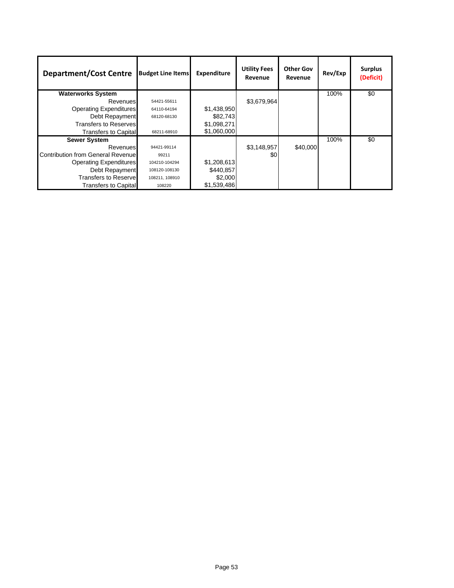| <b>Department/Cost Centre</b>             | <b>Budget Line Items</b> | Expenditure | <b>Utility Fees</b><br>Revenue | <b>Other Gov</b><br>Revenue | Rev/Exp | <b>Surplus</b><br>(Deficit) |
|-------------------------------------------|--------------------------|-------------|--------------------------------|-----------------------------|---------|-----------------------------|
| <b>Waterworks System</b>                  |                          |             |                                |                             | 100%    | $\overline{50}$             |
| Revenues                                  | 54421-55611              |             | \$3,679,964                    |                             |         |                             |
| <b>Operating Expenditures</b>             | 64110-64194              | \$1,438,950 |                                |                             |         |                             |
| Debt Repayment                            | 68120-68130              | \$82,743    |                                |                             |         |                             |
| <b>Transfers to Reserves</b>              |                          | \$1,098,271 |                                |                             |         |                             |
| Transfers to Capital                      | 68211-68910              | \$1,060,000 |                                |                             |         |                             |
| <b>Sewer System</b>                       |                          |             |                                |                             | 100%    | \$0                         |
| Revenues                                  | 94421-99114              |             | \$3,148,957                    | \$40,000                    |         |                             |
| <b>Contribution from General Revenuel</b> | 99211                    |             | \$0                            |                             |         |                             |
| <b>Operating Expenditures</b>             | 104210-104294            | \$1,208,613 |                                |                             |         |                             |
| Debt Repayment                            | 108120-108130            | \$440,857   |                                |                             |         |                             |
| <b>Transfers to Reservel</b>              | 108211, 108910           | \$2,000     |                                |                             |         |                             |
| <b>Transfers to Capital</b>               | 108220                   | \$1,539,486 |                                |                             |         |                             |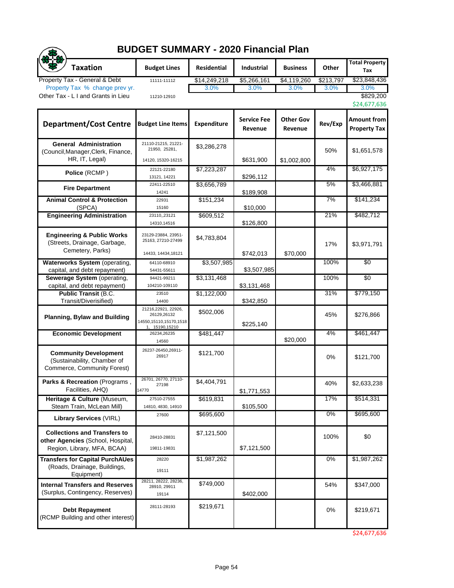## **BUDGET SUMMARY - 2020 Financial Plan**

| <b>BUDGET SUMMARY - 2020 Financial Plan</b>                                                             |                                                                                   |                    |                               |                             |           |                                    |  |  |
|---------------------------------------------------------------------------------------------------------|-----------------------------------------------------------------------------------|--------------------|-------------------------------|-----------------------------|-----------|------------------------------------|--|--|
| <b>Taxation</b>                                                                                         | <b>Budget Lines</b>                                                               | <b>Residential</b> | <b>Industrial</b>             | <b>Business</b>             | Other     | <b>Total Property</b><br>Tax       |  |  |
| Property Tax - General & Debt                                                                           | 11111-11112                                                                       | \$14,249,218       | \$5,266,161                   | \$4,119,260                 | \$213,797 | \$23,848,436                       |  |  |
| Property Tax % change prev yr.<br>Other Tax - L I and Grants in Lieu                                    | 11210-12910                                                                       | 3.0%               | 3.0%                          | 3.0%                        | 3.0%      | 3.0%<br>\$829,200                  |  |  |
|                                                                                                         |                                                                                   |                    |                               |                             |           | \$24,677,636                       |  |  |
| <b>Department/Cost Centre</b>                                                                           | <b>Budget Line Items</b>                                                          | <b>Expenditure</b> | <b>Service Fee</b><br>Revenue | <b>Other Gov</b><br>Revenue | Rev/Exp   | Amount from<br><b>Property Tax</b> |  |  |
| <b>General Administration</b><br>(Council, Manager, Clerk, Finance,<br>HR, IT, Legal)                   | 21110-21215, 21221-<br>21950, 25281,<br>14120, 15320-16215                        | \$3,286,278        | \$631,900                     | \$1,002,800                 | 50%       | \$1,651,578                        |  |  |
| Police (RCMP)                                                                                           | 22121-22180<br>13121, 14221                                                       | \$7,223,287        | \$296,112                     |                             | 4%        | \$6,927,175                        |  |  |
| <b>Fire Department</b>                                                                                  | 22411-22510<br>14241                                                              | \$3,656,789        | \$189,908                     |                             | 5%        | \$3,466,881                        |  |  |
| <b>Animal Control &amp; Protection</b><br>(SPCA)                                                        | 22931<br>15160                                                                    | \$151,234          | \$10,000                      |                             | 7%        | \$141,234                          |  |  |
| <b>Engineering Administration</b>                                                                       | 23110,,23121<br>14310,14516                                                       | \$609,512          | \$126,800                     |                             | 21%       | \$482,712                          |  |  |
| <b>Engineering &amp; Public Works</b><br>(Streets, Drainage, Garbage,<br>Cemetery, Parks)               | 23129-23884, 23951-<br>25163, 27210-27499<br>14433, 14434, 18121                  | \$4,783,804        | \$742,013                     | \$70,000                    | 17%       | \$3,971,791                        |  |  |
| Waterworks System (operating,                                                                           | 64110-68910                                                                       | \$3,507,985        |                               |                             | 100%      | $\overline{50}$                    |  |  |
| capital, and debt repayment)<br>Sewerage System (operating,                                             | 54431-55611<br>94421-99211                                                        | \$3,131,468        | \$3,507,985                   |                             | 100%      | $\overline{30}$                    |  |  |
| capital, and debt repayment)                                                                            | 104210-109110                                                                     |                    | \$3,131,468                   |                             |           |                                    |  |  |
| <b>Public Transit (B.C.</b><br>Transit/Diverisified)                                                    | 23510<br>14400                                                                    | \$1,122,000        | \$342,850                     |                             | 31%       | \$779,150                          |  |  |
| <b>Planning, Bylaw and Building</b>                                                                     | 21216,22921, 22926,<br>26129,26132<br>14550, 15110, 15170, 1518<br>1, 15190,15210 | \$502,006          | \$225,140                     |                             | 45%       | \$276,866                          |  |  |
| <b>Economic Development</b>                                                                             | 26234,26235<br>14560                                                              | \$481,447          |                               | \$20,000                    | 4%        | \$461,447                          |  |  |
| <b>Community Development</b><br>(Sustainability, Chamber of<br>Commerce, Community Forest)              | 26237-26450,26911-<br>26917                                                       | \$121,700          |                               |                             | 0%        | \$121,700                          |  |  |
| Parks & Recreation (Programs,<br>Facilities, AHQ)                                                       | 26701, 26770, 27110-<br>27198<br>14770                                            | \$4,404,791        | \$1,771,553                   |                             | 40%       | \$2,633,238                        |  |  |
| Heritage & Culture (Museum,<br>Steam Train, McLean Mill)                                                | 27510-27555<br>14810, 4830, 14910                                                 | \$619,831          | \$105,500                     |                             | 17%       | \$514,331                          |  |  |
| <b>Library Services (VIRL)</b>                                                                          | 27600                                                                             | \$695,600          |                               |                             | $0\%$     | \$695,600                          |  |  |
| <b>Collections and Transfers to</b><br>other Agencies (School, Hospital,<br>Region, Library, MFA, BCAA) | 28410-28831<br>19811-19831                                                        | \$7,121,500        | \$7,121,500                   |                             | 100%      | \$0                                |  |  |
| <b>Transfers for Capital PurchAUes</b><br>(Roads, Drainage, Buildings,<br>Equipment)                    | 28220<br>19111                                                                    | \$1,987,262        |                               |                             | 0%        | \$1,987,262                        |  |  |
| <b>Internal Transfers and Reserves</b><br>(Surplus, Contingency, Reserves)                              | 28211, 28222, 28236,<br>28910, 29911<br>19114                                     | \$749,000          | \$402,000                     |                             | 54%       | \$347,000                          |  |  |
| <b>Debt Repayment</b><br>(RCMP Building and other interest)                                             | 28111-28193                                                                       | \$219,671          |                               |                             | 0%        | \$219,671                          |  |  |

\$24,677,636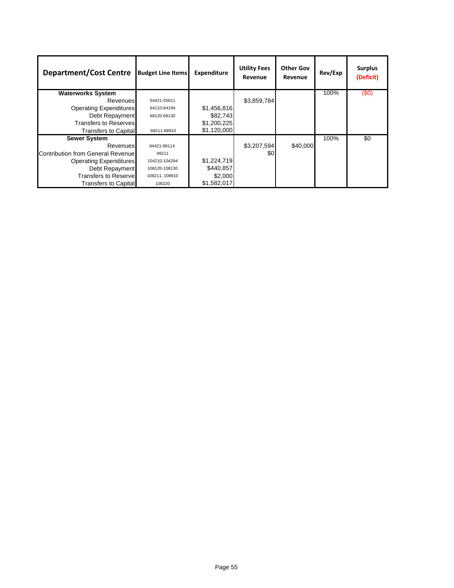| <b>Department/Cost Centre</b>     | <b>Budget Line Items</b> | <b>Expenditure</b> | <b>Utility Fees</b><br>Revenue | <b>Other Gov</b><br>Revenue | Rev/Exp | <b>Surplus</b><br>(Deficit) |
|-----------------------------------|--------------------------|--------------------|--------------------------------|-----------------------------|---------|-----------------------------|
| <b>Waterworks System</b>          |                          |                    |                                |                             | 100%    | (\$0)                       |
| Revenues                          | 54421-55611              |                    | \$3,859,784                    |                             |         |                             |
| <b>Operating Expenditures</b>     | 64110-64194              | \$1,456,816        |                                |                             |         |                             |
| Debt Repayment                    | 68120-68130              | \$82,743           |                                |                             |         |                             |
| <b>Transfers to Reserves</b>      |                          | \$1,200,225        |                                |                             |         |                             |
| <b>Transfers to Capital</b>       | 68211-68910              | \$1,120,000        |                                |                             |         |                             |
| <b>Sewer System</b>               |                          |                    |                                |                             | 100%    | \$0                         |
| Revenues                          | 94421-99114              |                    | \$3,207,594                    | \$40,000                    |         |                             |
| Contribution from General Revenue | 99211                    |                    | \$0                            |                             |         |                             |
| <b>Operating Expenditures</b>     | 104210-104294            | \$1,224,719        |                                |                             |         |                             |
| Debt Repayment                    | 108120-108130            | \$440,857          |                                |                             |         |                             |
| <b>Transfers to Reservel</b>      | 108211, 108910           | \$2,000            |                                |                             |         |                             |
| <b>Transfers to Capital</b>       | 108220                   | \$1,582,017        |                                |                             |         |                             |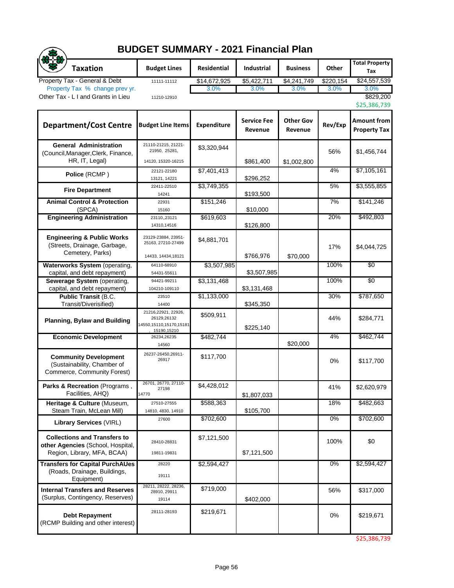| <b>BUDGET SUMMARY - 2021 Financial Plan</b>                                                             |                                                                              |              |                               |                             |           |                                    |  |  |  |
|---------------------------------------------------------------------------------------------------------|------------------------------------------------------------------------------|--------------|-------------------------------|-----------------------------|-----------|------------------------------------|--|--|--|
| <b>Taxation</b>                                                                                         | <b>Budget Lines</b>                                                          | Residential  | <b>Industrial</b>             | <b>Business</b>             | Other     | <b>Total Property</b><br>Tax       |  |  |  |
| Property Tax - General & Debt                                                                           | 11111-11112                                                                  | \$14,672,925 | \$5,422,711                   | \$4,241,749                 | \$220,154 | \$24,557,539                       |  |  |  |
| Property Tax % change prev yr.<br>Other Tax - L I and Grants in Lieu                                    | 11210-12910                                                                  | 3.0%         | 3.0%                          | 3.0%                        | 3.0%      | 3.0%<br>\$829,200<br>\$25,386,739  |  |  |  |
| <b>Department/Cost Centre</b>                                                                           | <b>Budget Line Items</b>                                                     | Expenditure  | <b>Service Fee</b><br>Revenue | <b>Other Gov</b><br>Revenue | Rev/Exp   | Amount from<br><b>Property Tax</b> |  |  |  |
| <b>General Administration</b><br>(Council, Manager, Clerk, Finance,<br>HR, IT, Legal)                   | 21110-21215, 21221-<br>21950, 25281,<br>14120, 15320-16215                   | \$3,320,944  | \$861,400                     | \$1,002,800                 | 56%       | \$1,456,744                        |  |  |  |
| Police (RCMP)                                                                                           | 22121-22180<br>13121, 14221                                                  | \$7,401,413  | \$296,252                     |                             | 4%        | \$7,105,161                        |  |  |  |
| <b>Fire Department</b>                                                                                  | 22411-22510                                                                  | \$3,749,355  |                               |                             | 5%        | \$3,555,855                        |  |  |  |
| <b>Animal Control &amp; Protection</b><br>(SPCA)                                                        | 14241<br>22931<br>15160                                                      | \$151,246    | \$193,500<br>\$10,000         |                             | 7%        | \$141,246                          |  |  |  |
| <b>Engineering Administration</b>                                                                       | 23110,,23121<br>14310,14516                                                  | \$619,603    | \$126,800                     |                             | 20%       | \$492,803                          |  |  |  |
| <b>Engineering &amp; Public Works</b><br>(Streets, Drainage, Garbage,<br>Cemetery, Parks)               | 23129-23884, 23951-<br>25163, 27210-27499<br>14433, 14434, 18121             | \$4,881,701  | \$766,976                     | \$70,000                    | 17%       | \$4.044.725                        |  |  |  |
| Waterworks System (operating,<br>capital, and debt repayment)                                           | 64110-68910<br>54431-55611                                                   | \$3,507,985  | \$3,507,985                   |                             | 100%      | $\overline{50}$                    |  |  |  |
| Sewerage System (operating,<br>capital, and debt repayment)                                             | 94421-99211<br>104210-109110                                                 | \$3,131,468  | \$3,131,468                   |                             | 100%      | $\frac{1}{20}$                     |  |  |  |
| <b>Public Transit (B.C.</b><br>Transit/Diverisified)                                                    | 23510<br>14400                                                               | \$1,133,000  | \$345,350                     |                             | 30%       | \$787,650                          |  |  |  |
| <b>Planning, Bylaw and Building</b>                                                                     | 21216,22921, 22926,<br>26129,26132<br>14550,15110,15170,15181<br>15190,15210 | \$509,911    | \$225,140                     |                             | 44%       | \$284,771                          |  |  |  |
| <b>Economic Development</b>                                                                             | 26234,26235<br>14560                                                         | \$482,744    |                               | \$20,000                    | 4%        | \$462,744                          |  |  |  |
| <b>Community Development</b><br>(Sustainability, Chamber of<br>Commerce, Community Forest)              | 26237-26450.26911-<br>26917                                                  | \$117,700    |                               |                             | 0%        | \$117,700                          |  |  |  |
| Parks & Recreation (Programs,<br>Facilities, AHQ)                                                       | 26701, 26770, 27110-<br>27198<br>14770                                       | \$4,428,012  | \$1,807,033                   |                             | 41%       | \$2,620,979                        |  |  |  |
| Heritage & Culture (Museum,<br>Steam Train, McLean Mill)                                                | 27510-27555<br>14810, 4830, 14910                                            | \$588,363    | \$105,700                     |                             | 18%       | \$482,663                          |  |  |  |
| <b>Library Services (VIRL)</b>                                                                          | 27600                                                                        | \$702,600    |                               |                             | 0%        | \$702,600                          |  |  |  |
| <b>Collections and Transfers to</b><br>other Agencies (School, Hospital,<br>Region, Library, MFA, BCAA) | 28410-28831<br>19811-19831                                                   | \$7,121,500  | \$7,121,500                   |                             | 100%      | \$0                                |  |  |  |
| <b>Transfers for Capital PurchAUes</b><br>(Roads, Drainage, Buildings,<br>Equipment)                    | 28220<br>19111                                                               | \$2,594,427  |                               |                             | $0\%$     | \$2,594,427                        |  |  |  |
| <b>Internal Transfers and Reserves</b><br>(Surplus, Contingency, Reserves)                              | 28211, 28222, 28236,<br>28910, 29911<br>19114                                | \$719,000    | \$402,000                     |                             | 56%       | \$317,000                          |  |  |  |
| <b>Debt Repayment</b><br>(RCMP Building and other interest)                                             | 28111-28193                                                                  | \$219,671    |                               |                             | 0%        | \$219,671                          |  |  |  |

\$25,386,739